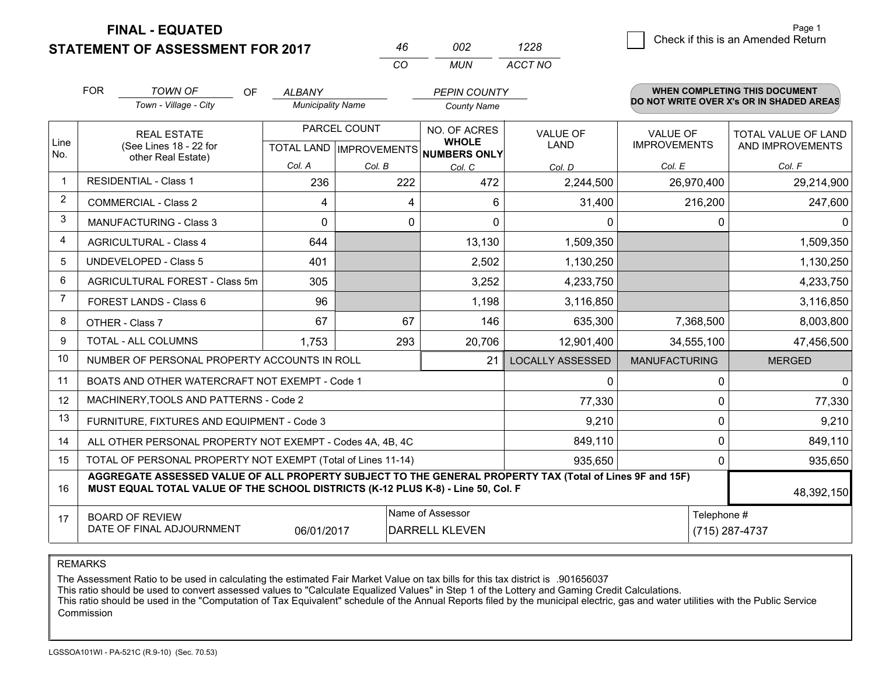**FINAL - EQUATED**

**STATEMENT OF ASSESSMENT FOR 2017** 

| 46 | nn2 | 1228    |
|----|-----|---------|
| cо | MUN | ACCT NO |

|                | <b>FOR</b> | <b>TOWN OF</b><br><b>OF</b>                                                                                                                                                                  | ALBANY                   |                                                | <b>PEPIN COUNTY</b>                       |                                |                                        | <b>WHEN COMPLETING THIS DOCUMENT</b>     |
|----------------|------------|----------------------------------------------------------------------------------------------------------------------------------------------------------------------------------------------|--------------------------|------------------------------------------------|-------------------------------------------|--------------------------------|----------------------------------------|------------------------------------------|
|                |            | Town - Village - City                                                                                                                                                                        | <b>Municipality Name</b> |                                                | <b>County Name</b>                        |                                |                                        | DO NOT WRITE OVER X's OR IN SHADED AREAS |
| Line           |            | <b>REAL ESTATE</b><br>(See Lines 18 - 22 for                                                                                                                                                 |                          | PARCEL COUNT<br><b>TOTAL LAND IMPROVEMENTS</b> | NO. OF ACRES<br><b>WHOLE</b>              | <b>VALUE OF</b><br><b>LAND</b> | <b>VALUE OF</b><br><b>IMPROVEMENTS</b> | TOTAL VALUE OF LAND<br>AND IMPROVEMENTS  |
| No.            |            | other Real Estate)                                                                                                                                                                           | Col. A                   | Col. B                                         | <b>NUMBERS ONLY</b><br>Col. C             | Col. D                         | Col. E                                 | Col. F                                   |
| $\mathbf{1}$   |            | <b>RESIDENTIAL - Class 1</b>                                                                                                                                                                 | 236                      | 222                                            | 472                                       | 2,244,500                      | 26,970,400                             | 29,214,900                               |
| 2              |            | <b>COMMERCIAL - Class 2</b>                                                                                                                                                                  | 4                        | 4                                              | 6                                         | 31,400                         | 216,200                                | 247,600                                  |
| 3              |            | <b>MANUFACTURING - Class 3</b>                                                                                                                                                               | $\Omega$                 | 0                                              | $\Omega$                                  | 0                              | $\Omega$                               |                                          |
| 4              |            | <b>AGRICULTURAL - Class 4</b>                                                                                                                                                                | 644                      |                                                | 13,130                                    | 1,509,350                      |                                        | 1,509,350                                |
| 5              |            | <b>UNDEVELOPED - Class 5</b>                                                                                                                                                                 | 401                      |                                                | 2,502                                     | 1,130,250                      |                                        | 1,130,250                                |
| 6              |            | AGRICULTURAL FOREST - Class 5m                                                                                                                                                               | 305                      |                                                | 3,252                                     | 4,233,750                      |                                        | 4,233,750                                |
| $\overline{7}$ |            | FOREST LANDS - Class 6                                                                                                                                                                       | 96                       |                                                | 1,198                                     | 3,116,850                      |                                        | 3,116,850                                |
| 8              |            | OTHER - Class 7                                                                                                                                                                              | 67                       | 67                                             | 146                                       | 635,300                        | 7,368,500                              | 8,003,800                                |
| 9              |            | TOTAL - ALL COLUMNS                                                                                                                                                                          | 1,753                    | 293                                            | 20,706                                    | 12,901,400                     | 34,555,100                             | 47,456,500                               |
| 10             |            | NUMBER OF PERSONAL PROPERTY ACCOUNTS IN ROLL                                                                                                                                                 |                          |                                                | 21                                        | <b>LOCALLY ASSESSED</b>        | <b>MANUFACTURING</b>                   | <b>MERGED</b>                            |
| 11             |            | BOATS AND OTHER WATERCRAFT NOT EXEMPT - Code 1                                                                                                                                               |                          |                                                |                                           | 0                              | $\Omega$                               | 0                                        |
| 12             |            | MACHINERY, TOOLS AND PATTERNS - Code 2                                                                                                                                                       |                          |                                                |                                           | 77,330                         | 0                                      | 77,330                                   |
| 13             |            | FURNITURE, FIXTURES AND EQUIPMENT - Code 3                                                                                                                                                   |                          |                                                |                                           | 9,210                          | 0                                      | 9,210                                    |
| 14             |            | ALL OTHER PERSONAL PROPERTY NOT EXEMPT - Codes 4A, 4B, 4C                                                                                                                                    |                          |                                                |                                           | 849,110                        | $\mathbf 0$                            | 849,110                                  |
| 15             |            | TOTAL OF PERSONAL PROPERTY NOT EXEMPT (Total of Lines 11-14)                                                                                                                                 |                          |                                                |                                           | 935,650                        | 0                                      | 935,650                                  |
| 16             |            | AGGREGATE ASSESSED VALUE OF ALL PROPERTY SUBJECT TO THE GENERAL PROPERTY TAX (Total of Lines 9F and 15F)<br>MUST EQUAL TOTAL VALUE OF THE SCHOOL DISTRICTS (K-12 PLUS K-8) - Line 50, Col. F |                          |                                                |                                           |                                |                                        | 48,392,150                               |
| 17             |            | <b>BOARD OF REVIEW</b><br>DATE OF FINAL ADJOURNMENT                                                                                                                                          | 06/01/2017               |                                                | Name of Assessor<br><b>DARRELL KLEVEN</b> |                                | Telephone #                            | (715) 287-4737                           |

REMARKS

The Assessment Ratio to be used in calculating the estimated Fair Market Value on tax bills for this tax district is .901656037<br>This ratio should be used to convert assessed values to "Calculate Equalized Values" in Step 1 Commission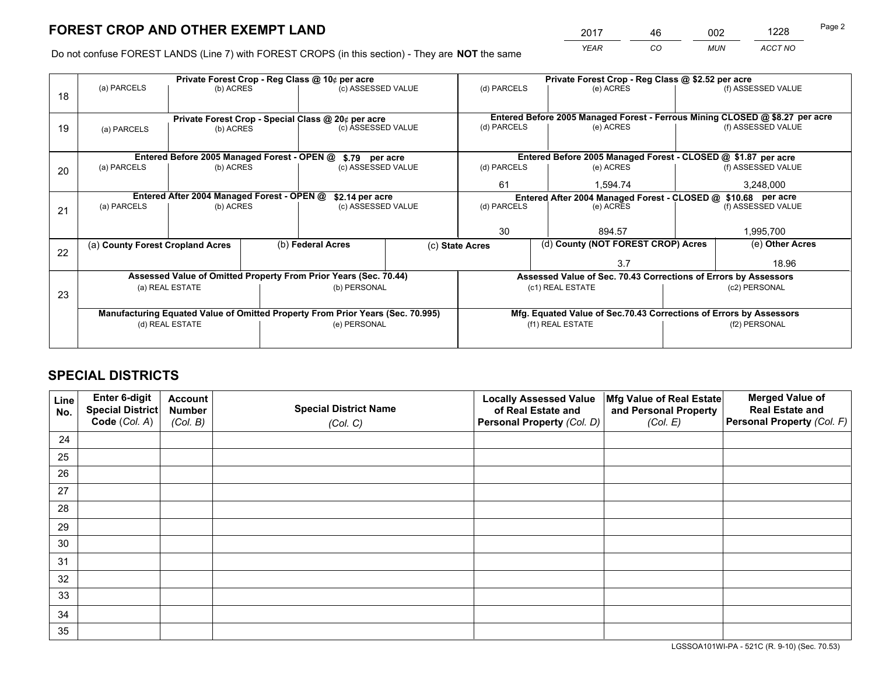*YEAR CO MUN ACCT NO* 2017 <u>46 002 1228 46</u>

Do not confuse FOREST LANDS (Line 7) with FOREST CROPS (in this section) - They are **NOT** the same

|    |                                  |                                             | Private Forest Crop - Reg Class @ 10¢ per acre                                 |                 | Private Forest Crop - Reg Class @ \$2.52 per acre                            |                    |
|----|----------------------------------|---------------------------------------------|--------------------------------------------------------------------------------|-----------------|------------------------------------------------------------------------------|--------------------|
| 18 | (a) PARCELS                      | (b) ACRES                                   | (c) ASSESSED VALUE                                                             | (d) PARCELS     | (e) ACRES                                                                    | (f) ASSESSED VALUE |
|    |                                  |                                             |                                                                                |                 |                                                                              |                    |
|    |                                  |                                             | Private Forest Crop - Special Class @ 20¢ per acre                             |                 | Entered Before 2005 Managed Forest - Ferrous Mining CLOSED @ \$8.27 per acre |                    |
| 19 | (a) PARCELS                      | (b) ACRES                                   | (c) ASSESSED VALUE                                                             | (d) PARCELS     | (e) ACRES                                                                    | (f) ASSESSED VALUE |
|    |                                  |                                             |                                                                                |                 |                                                                              |                    |
|    |                                  | Entered Before 2005 Managed Forest - OPEN @ | \$.79 per acre                                                                 |                 | Entered Before 2005 Managed Forest - CLOSED @ \$1.87 per acre                |                    |
| 20 | (a) PARCELS                      | (b) ACRES                                   | (c) ASSESSED VALUE                                                             | (d) PARCELS     | (e) ACRES                                                                    | (f) ASSESSED VALUE |
|    |                                  |                                             |                                                                                | 61              | 1.594.74                                                                     | 3,248,000          |
|    |                                  | Entered After 2004 Managed Forest - OPEN @  | \$2.14 per acre                                                                |                 | Entered After 2004 Managed Forest - CLOSED @ \$10.68 per acre                |                    |
| 21 | (a) PARCELS                      | (b) ACRES                                   | (c) ASSESSED VALUE                                                             | (d) PARCELS     | (e) ACRES                                                                    | (f) ASSESSED VALUE |
|    |                                  |                                             |                                                                                |                 |                                                                              |                    |
|    |                                  |                                             |                                                                                | 30              | 894.57                                                                       | 1,995,700          |
| 22 | (a) County Forest Cropland Acres |                                             | (b) Federal Acres                                                              | (c) State Acres | (d) County (NOT FOREST CROP) Acres                                           | (e) Other Acres    |
|    |                                  |                                             |                                                                                |                 | 3.7                                                                          | 18.96              |
|    |                                  |                                             | Assessed Value of Omitted Property From Prior Years (Sec. 70.44)               |                 | Assessed Value of Sec. 70.43 Corrections of Errors by Assessors              |                    |
| 23 |                                  | (a) REAL ESTATE                             | (b) PERSONAL                                                                   |                 | (c1) REAL ESTATE                                                             | (c2) PERSONAL      |
|    |                                  |                                             |                                                                                |                 |                                                                              |                    |
|    |                                  |                                             | Manufacturing Equated Value of Omitted Property From Prior Years (Sec. 70.995) |                 | Mfg. Equated Value of Sec.70.43 Corrections of Errors by Assessors           |                    |
|    |                                  | (d) REAL ESTATE                             | (e) PERSONAL                                                                   |                 | (f1) REAL ESTATE                                                             | (f2) PERSONAL      |
|    |                                  |                                             |                                                                                |                 |                                                                              |                    |

## **SPECIAL DISTRICTS**

| Line<br>No. | Enter 6-digit<br><b>Special District</b> | <b>Account</b><br><b>Number</b> | <b>Special District Name</b> | <b>Locally Assessed Value</b><br>of Real Estate and | Mfg Value of Real Estate<br>and Personal Property | <b>Merged Value of</b><br><b>Real Estate and</b> |
|-------------|------------------------------------------|---------------------------------|------------------------------|-----------------------------------------------------|---------------------------------------------------|--------------------------------------------------|
|             | Code (Col. A)                            | (Col. B)                        | (Col. C)                     | Personal Property (Col. D)                          | (Col. E)                                          | Personal Property (Col. F)                       |
| 24          |                                          |                                 |                              |                                                     |                                                   |                                                  |
| 25          |                                          |                                 |                              |                                                     |                                                   |                                                  |
| 26          |                                          |                                 |                              |                                                     |                                                   |                                                  |
| 27          |                                          |                                 |                              |                                                     |                                                   |                                                  |
| 28          |                                          |                                 |                              |                                                     |                                                   |                                                  |
| 29          |                                          |                                 |                              |                                                     |                                                   |                                                  |
| 30          |                                          |                                 |                              |                                                     |                                                   |                                                  |
| 31          |                                          |                                 |                              |                                                     |                                                   |                                                  |
| 32          |                                          |                                 |                              |                                                     |                                                   |                                                  |
| 33          |                                          |                                 |                              |                                                     |                                                   |                                                  |
| 34          |                                          |                                 |                              |                                                     |                                                   |                                                  |
| 35          |                                          |                                 |                              |                                                     |                                                   |                                                  |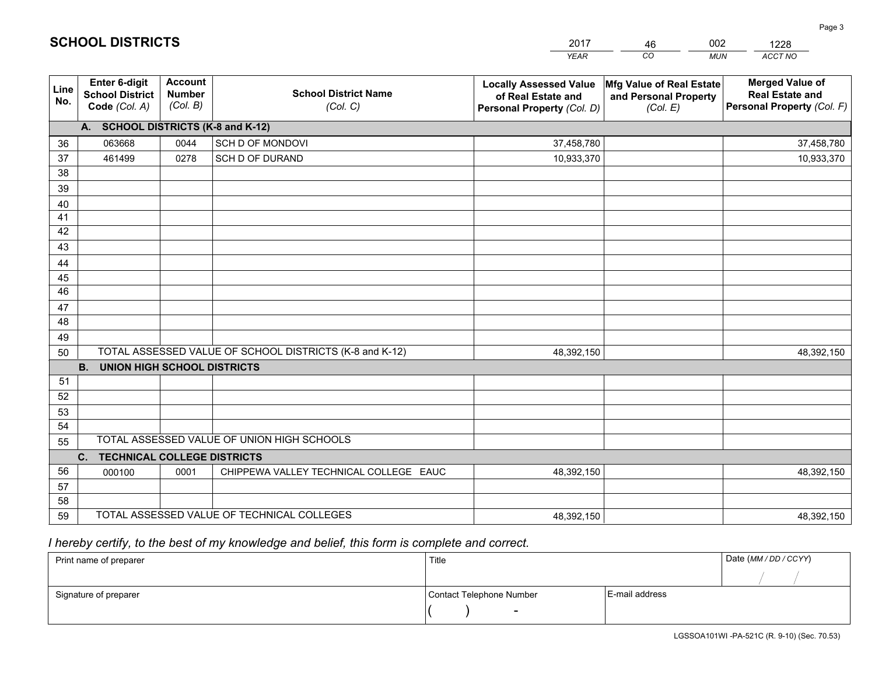|             |                                                          |                                             |                                                         | YEAR                                                                              | CO.<br><b>MUN</b>                                             | ACCT NO                                                                        |
|-------------|----------------------------------------------------------|---------------------------------------------|---------------------------------------------------------|-----------------------------------------------------------------------------------|---------------------------------------------------------------|--------------------------------------------------------------------------------|
| Line<br>No. | Enter 6-digit<br><b>School District</b><br>Code (Col. A) | <b>Account</b><br><b>Number</b><br>(Col. B) | <b>School District Name</b><br>(Col. C)                 | <b>Locally Assessed Value</b><br>of Real Estate and<br>Personal Property (Col. D) | Mfg Value of Real Estate<br>and Personal Property<br>(Col. E) | <b>Merged Value of</b><br><b>Real Estate and</b><br>Personal Property (Col. F) |
|             | A. SCHOOL DISTRICTS (K-8 and K-12)                       |                                             |                                                         |                                                                                   |                                                               |                                                                                |
| 36          | 063668                                                   | 0044                                        | SCH D OF MONDOVI                                        | 37,458,780                                                                        |                                                               | 37,458,780                                                                     |
| 37          | 461499                                                   | 0278                                        | SCH D OF DURAND                                         | 10,933,370                                                                        |                                                               | 10,933,370                                                                     |
| 38          |                                                          |                                             |                                                         |                                                                                   |                                                               |                                                                                |
| 39          |                                                          |                                             |                                                         |                                                                                   |                                                               |                                                                                |
| 40          |                                                          |                                             |                                                         |                                                                                   |                                                               |                                                                                |
| 41          |                                                          |                                             |                                                         |                                                                                   |                                                               |                                                                                |
| 42          |                                                          |                                             |                                                         |                                                                                   |                                                               |                                                                                |
| 43          |                                                          |                                             |                                                         |                                                                                   |                                                               |                                                                                |
| 44          |                                                          |                                             |                                                         |                                                                                   |                                                               |                                                                                |
| 45          |                                                          |                                             |                                                         |                                                                                   |                                                               |                                                                                |
| 46          |                                                          |                                             |                                                         |                                                                                   |                                                               |                                                                                |
| 47          |                                                          |                                             |                                                         |                                                                                   |                                                               |                                                                                |
| 48          |                                                          |                                             |                                                         |                                                                                   |                                                               |                                                                                |
| 49          |                                                          |                                             |                                                         |                                                                                   |                                                               |                                                                                |
| 50          |                                                          |                                             | TOTAL ASSESSED VALUE OF SCHOOL DISTRICTS (K-8 and K-12) | 48,392,150                                                                        |                                                               | 48,392,150                                                                     |
| 51          | <b>B.</b><br><b>UNION HIGH SCHOOL DISTRICTS</b>          |                                             |                                                         |                                                                                   |                                                               |                                                                                |
| 52          |                                                          |                                             |                                                         |                                                                                   |                                                               |                                                                                |
| 53          |                                                          |                                             |                                                         |                                                                                   |                                                               |                                                                                |
| 54          |                                                          |                                             |                                                         |                                                                                   |                                                               |                                                                                |
| 55          |                                                          |                                             | TOTAL ASSESSED VALUE OF UNION HIGH SCHOOLS              |                                                                                   |                                                               |                                                                                |
|             | C.<br>TECHNICAL COLLEGE DISTRICTS                        |                                             |                                                         |                                                                                   |                                                               |                                                                                |
| 56          | 000100                                                   | 0001                                        | CHIPPEWA VALLEY TECHNICAL COLLEGE EAUC                  | 48,392,150                                                                        |                                                               | 48,392,150                                                                     |
| 57          |                                                          |                                             |                                                         |                                                                                   |                                                               |                                                                                |
| 58          |                                                          |                                             |                                                         |                                                                                   |                                                               |                                                                                |
| 59          |                                                          |                                             | TOTAL ASSESSED VALUE OF TECHNICAL COLLEGES              | 48,392,150                                                                        |                                                               | 48,392,150                                                                     |

46

002

 *I hereby certify, to the best of my knowledge and belief, this form is complete and correct.*

**SCHOOL DISTRICTS**

| Print name of preparer | Title                    |                | Date (MM / DD / CCYY) |
|------------------------|--------------------------|----------------|-----------------------|
|                        |                          |                |                       |
| Signature of preparer  | Contact Telephone Number | E-mail address |                       |
|                        | $\overline{\phantom{0}}$ |                |                       |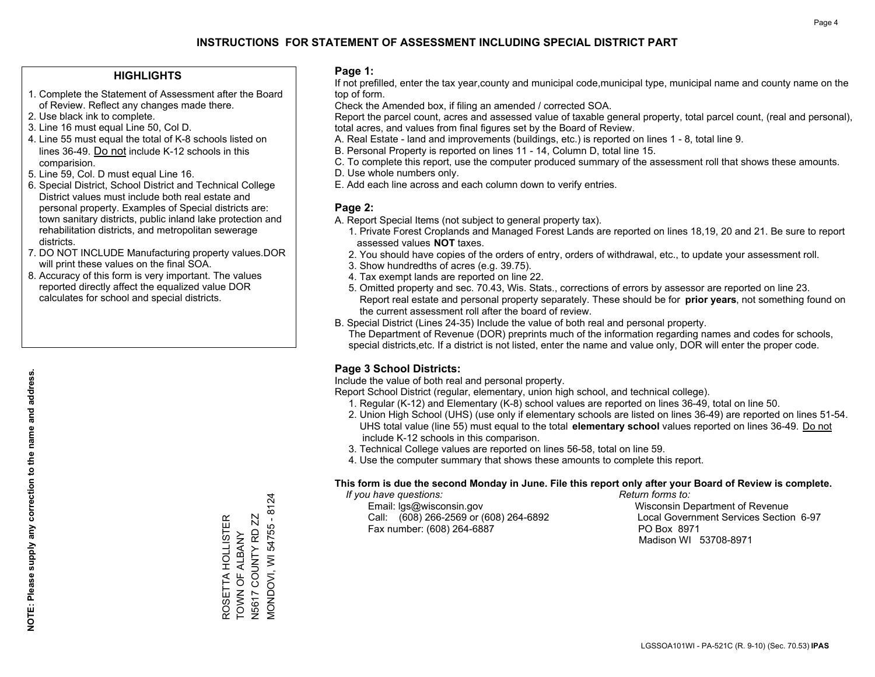### **HIGHLIGHTS**

- 1. Complete the Statement of Assessment after the Board of Review. Reflect any changes made there.
- 2. Use black ink to complete.
- 3. Line 16 must equal Line 50, Col D.
- 4. Line 55 must equal the total of K-8 schools listed on lines 36-49. Do not include K-12 schools in this comparision.
- 5. Line 59, Col. D must equal Line 16.
- 6. Special District, School District and Technical College District values must include both real estate and personal property. Examples of Special districts are: town sanitary districts, public inland lake protection and rehabilitation districts, and metropolitan sewerage districts.
- 7. DO NOT INCLUDE Manufacturing property values.DOR will print these values on the final SOA.
- 8. Accuracy of this form is very important. The values reported directly affect the equalized value DOR calculates for school and special districts.

#### **Page 1:**

 If not prefilled, enter the tax year,county and municipal code,municipal type, municipal name and county name on the top of form.

Check the Amended box, if filing an amended / corrected SOA.

 Report the parcel count, acres and assessed value of taxable general property, total parcel count, (real and personal), total acres, and values from final figures set by the Board of Review.

- A. Real Estate land and improvements (buildings, etc.) is reported on lines 1 8, total line 9.
- B. Personal Property is reported on lines 11 14, Column D, total line 15.
- C. To complete this report, use the computer produced summary of the assessment roll that shows these amounts.
- D. Use whole numbers only.
- E. Add each line across and each column down to verify entries.

### **Page 2:**

- A. Report Special Items (not subject to general property tax).
- 1. Private Forest Croplands and Managed Forest Lands are reported on lines 18,19, 20 and 21. Be sure to report assessed values **NOT** taxes.
- 2. You should have copies of the orders of entry, orders of withdrawal, etc., to update your assessment roll.
	- 3. Show hundredths of acres (e.g. 39.75).
- 4. Tax exempt lands are reported on line 22.
- 5. Omitted property and sec. 70.43, Wis. Stats., corrections of errors by assessor are reported on line 23. Report real estate and personal property separately. These should be for **prior years**, not something found on the current assessment roll after the board of review.
- B. Special District (Lines 24-35) Include the value of both real and personal property.

 The Department of Revenue (DOR) preprints much of the information regarding names and codes for schools, special districts,etc. If a district is not listed, enter the name and value only, DOR will enter the proper code.

### **Page 3 School Districts:**

Include the value of both real and personal property.

Report School District (regular, elementary, union high school, and technical college).

- 1. Regular (K-12) and Elementary (K-8) school values are reported on lines 36-49, total on line 50.
- 2. Union High School (UHS) (use only if elementary schools are listed on lines 36-49) are reported on lines 51-54. UHS total value (line 55) must equal to the total **elementary school** values reported on lines 36-49. Do notinclude K-12 schools in this comparison.
- 3. Technical College values are reported on lines 56-58, total on line 59.
- 4. Use the computer summary that shows these amounts to complete this report.

#### **This form is due the second Monday in June. File this report only after your Board of Review is complete.**

 *If you have questions: Return forms to:*

 Email: lgs@wisconsin.gov Wisconsin Department of RevenueCall:  $(608)$  266-2569 or  $(608)$  264-6892 Fax number: (608) 264-6887 PO Box 8971

Local Government Services Section 6-97 Madison WI 53708-8971

**MONDOVI, WI 54755 - 8124** MONDOVI, WI 54755 - 8124 ROSETTA HOLLISTER<br>TOWN OF ALBANY N5617 COUNTY RD ZZ ROSETTA HOLLISTER TOWN OF ALBANY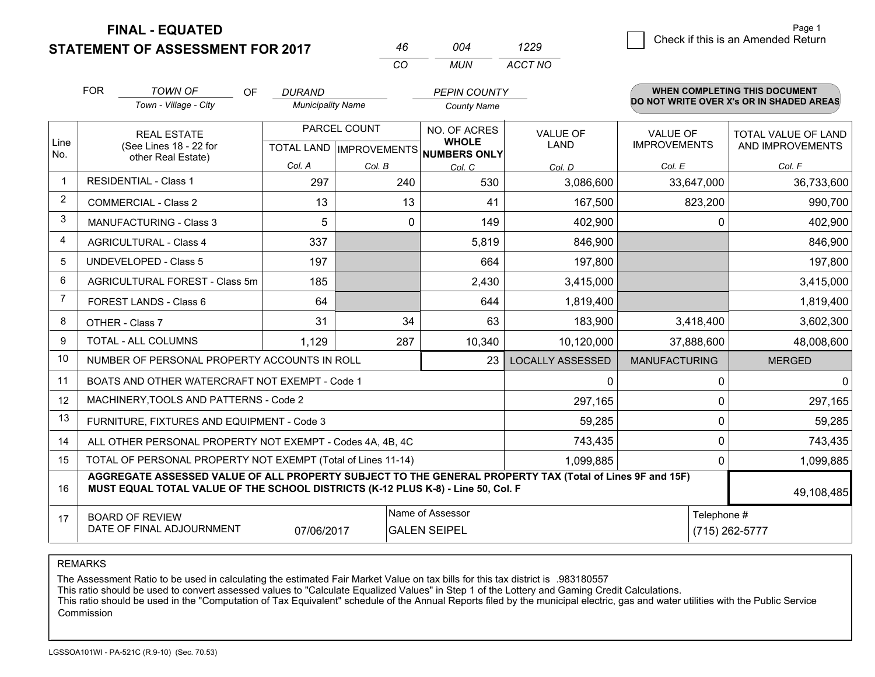**FINAL - EQUATED**

**STATE** 

|            | <b>EMENT OF ASSESSMENT FOR 2017</b>                          |                          | 46                        | 004                          | 1229                    |                      | Check if this is an Amended Return       |
|------------|--------------------------------------------------------------|--------------------------|---------------------------|------------------------------|-------------------------|----------------------|------------------------------------------|
|            |                                                              |                          | CO                        | <b>MUN</b>                   | ACCT NO                 |                      |                                          |
| <b>FOR</b> | <b>TOWN OF</b><br><b>OF</b>                                  | <b>DURAND</b>            |                           | <b>PEPIN COUNTY</b>          |                         |                      | WHEN COMPLETING THIS DOCUMENT            |
|            | Town - Village - City                                        | <b>Municipality Name</b> |                           | <b>County Name</b>           |                         |                      | DO NOT WRITE OVER X's OR IN SHADED AREAS |
|            | <b>REAL ESTATE</b>                                           |                          | PARCEL COUNT              | NO. OF ACRES                 | <b>VALUE OF</b>         | <b>VALUE OF</b>      | <b>TOTAL VALUE OF LAND</b>               |
|            | (See Lines 18 - 22 for<br>other Real Estate)                 |                          | TOTAL LAND   IMPROVEMENTS | <b>WHOLE</b><br>NUMBERS ONLY | LAND                    | <b>IMPROVEMENTS</b>  | AND IMPROVEMENTS                         |
|            |                                                              | Col. A                   | Col. B                    | Col. C                       | Col. D                  | Col. E               | Col. F                                   |
|            | <b>RESIDENTIAL - Class 1</b>                                 | 297                      | 240                       | 530                          | 3,086,600               | 33,647,000           | 36,733,600                               |
|            | <b>COMMERCIAL - Class 2</b>                                  | 13                       | 13                        | 41                           | 167,500                 | 823,200              | 990,700                                  |
|            | <b>MANUFACTURING - Class 3</b>                               | 5                        | 0                         | 149                          | 402,900                 | 0                    | 402,900                                  |
|            | <b>AGRICULTURAL - Class 4</b>                                | 337                      |                           | 5,819                        | 846,900                 |                      | 846,900                                  |
|            | <b>UNDEVELOPED - Class 5</b>                                 | 197                      |                           | 664                          | 197,800                 |                      | 197,800                                  |
|            | AGRICULTURAL FOREST - Class 5m                               | 185                      |                           | 2,430                        | 3,415,000               |                      | 3,415,000                                |
|            | FOREST LANDS - Class 6                                       | 64                       |                           | 644                          | 1,819,400               |                      | 1,819,400                                |
|            | OTHER - Class 7                                              | 31                       | 34                        | 63                           | 183,900                 | 3,418,400            | 3,602,300                                |
|            | <b>TOTAL - ALL COLUMNS</b>                                   | 1,129                    | 287                       | 10,340                       | 10,120,000              | 37,888,600           | 48,008,600                               |
|            | NUMBER OF PERSONAL PROPERTY ACCOUNTS IN ROLL                 |                          |                           | 23                           | <b>LOCALLY ASSESSED</b> | <b>MANUFACTURING</b> | <b>MERGED</b>                            |
|            | BOATS AND OTHER WATERCRAFT NOT EXEMPT - Code 1               |                          |                           |                              | 0                       | 0                    |                                          |
|            | MACHINERY, TOOLS AND PATTERNS - Code 2                       |                          |                           |                              | 297,165                 | 0                    | 297,165                                  |
|            | FURNITURE, FIXTURES AND EQUIPMENT - Code 3                   |                          |                           |                              | 59,285                  | 0                    | 59,285                                   |
|            | ALL OTHER PERSONAL PROPERTY NOT EXEMPT - Codes 4A, 4B, 4C    |                          |                           |                              | 743,435                 | 0                    | 743,435                                  |
|            | TOTAL OF PERSONAL PROPERTY NOT EXEMPT (Total of Lines 11-14) |                          |                           |                              | 1,099,885               | 0                    | 1,099,885                                |
|            |                                                              |                          |                           |                              |                         |                      |                                          |

Page 1

#### 1617**AGGREGATE ASSESSED VALUE OF ALL PROPERTY SUBJECT TO THE GENERAL PROPERTY TAX (Total of Lines 9F and 15F) MUST EQUAL TOTAL VALUE OF THE SCHOOL DISTRICTS (K-12 PLUS K-8) - Line 50, Col. F**BOARD OF REVIEW DATE OF FINAL ADJOURNMENTName of Assessor Telephone #(715) 262-5777 49,108,48507/06/2017**GALEN SEIPEL**

REMARKS

LineNo.

8910

111213

1415

The Assessment Ratio to be used in calculating the estimated Fair Market Value on tax bills for this tax district is .983180557<br>This ratio should be used to convert assessed values to "Calculate Equalized Values" in Step 1 Commission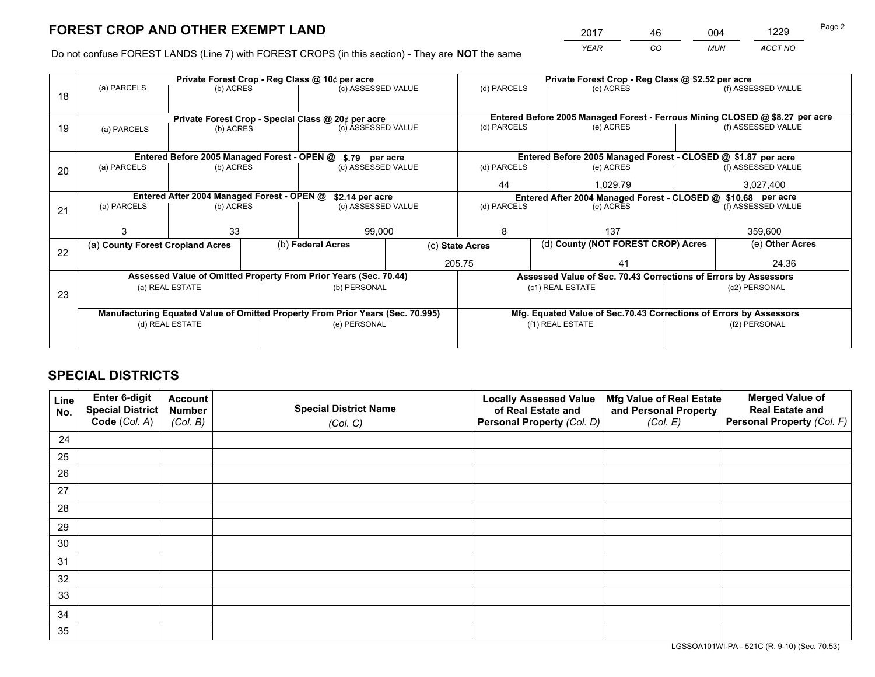*YEAR CO MUN ACCT NO* 2017 <u>46 004 1229</u>

Do not confuse FOREST LANDS (Line 7) with FOREST CROPS (in this section) - They are **NOT** the same

|    |                                  |                                             | Private Forest Crop - Reg Class @ 10¢ per acre                                 |                 | Private Forest Crop - Reg Class @ \$2.52 per acre                            |                    |
|----|----------------------------------|---------------------------------------------|--------------------------------------------------------------------------------|-----------------|------------------------------------------------------------------------------|--------------------|
| 18 | (a) PARCELS                      | (b) ACRES                                   | (c) ASSESSED VALUE                                                             | (d) PARCELS     | (e) ACRES                                                                    | (f) ASSESSED VALUE |
|    |                                  |                                             | Private Forest Crop - Special Class @ 20¢ per acre                             |                 | Entered Before 2005 Managed Forest - Ferrous Mining CLOSED @ \$8.27 per acre |                    |
| 19 | (a) PARCELS                      | (b) ACRES                                   | (c) ASSESSED VALUE                                                             | (d) PARCELS     | (e) ACRES                                                                    | (f) ASSESSED VALUE |
|    |                                  | Entered Before 2005 Managed Forest - OPEN @ | \$.79 per acre                                                                 |                 | Entered Before 2005 Managed Forest - CLOSED @ \$1.87 per acre                |                    |
| 20 | (a) PARCELS                      | (b) ACRES                                   | (c) ASSESSED VALUE                                                             | (d) PARCELS     | (e) ACRES                                                                    | (f) ASSESSED VALUE |
|    |                                  |                                             |                                                                                | 44              | 1.029.79                                                                     | 3,027,400          |
|    |                                  | Entered After 2004 Managed Forest - OPEN @  | \$2.14 per acre                                                                |                 | Entered After 2004 Managed Forest - CLOSED @ \$10.68 per acre                |                    |
| 21 | (a) PARCELS                      | (b) ACRES                                   | (c) ASSESSED VALUE                                                             | (d) PARCELS     | (e) ACRES                                                                    | (f) ASSESSED VALUE |
|    |                                  |                                             |                                                                                |                 |                                                                              |                    |
|    |                                  | 33                                          | 99,000                                                                         | 8               | 137                                                                          | 359,600            |
| 22 | (a) County Forest Cropland Acres |                                             | (b) Federal Acres                                                              | (c) State Acres | (d) County (NOT FOREST CROP) Acres                                           | (e) Other Acres    |
|    |                                  |                                             |                                                                                | 205.75          | 41                                                                           | 24.36              |
|    |                                  |                                             | Assessed Value of Omitted Property From Prior Years (Sec. 70.44)               |                 | Assessed Value of Sec. 70.43 Corrections of Errors by Assessors              |                    |
| 23 |                                  | (a) REAL ESTATE                             | (b) PERSONAL                                                                   |                 | (c1) REAL ESTATE                                                             | (c2) PERSONAL      |
|    |                                  |                                             |                                                                                |                 |                                                                              |                    |
|    |                                  |                                             | Manufacturing Equated Value of Omitted Property From Prior Years (Sec. 70.995) |                 | Mfg. Equated Value of Sec.70.43 Corrections of Errors by Assessors           |                    |
|    |                                  | (d) REAL ESTATE                             | (e) PERSONAL                                                                   |                 | (f1) REAL ESTATE                                                             | (f2) PERSONAL      |
|    |                                  |                                             |                                                                                |                 |                                                                              |                    |

## **SPECIAL DISTRICTS**

| Line<br>No. | Enter 6-digit<br><b>Special District</b> | <b>Account</b><br><b>Number</b> | <b>Special District Name</b> | <b>Locally Assessed Value</b><br>of Real Estate and | Mfg Value of Real Estate<br>and Personal Property | <b>Merged Value of</b><br><b>Real Estate and</b> |
|-------------|------------------------------------------|---------------------------------|------------------------------|-----------------------------------------------------|---------------------------------------------------|--------------------------------------------------|
|             | Code (Col. A)                            | (Col. B)                        | (Col. C)                     | Personal Property (Col. D)                          | (Col. E)                                          | Personal Property (Col. F)                       |
| 24          |                                          |                                 |                              |                                                     |                                                   |                                                  |
| 25          |                                          |                                 |                              |                                                     |                                                   |                                                  |
| 26          |                                          |                                 |                              |                                                     |                                                   |                                                  |
| 27          |                                          |                                 |                              |                                                     |                                                   |                                                  |
| 28          |                                          |                                 |                              |                                                     |                                                   |                                                  |
| 29          |                                          |                                 |                              |                                                     |                                                   |                                                  |
| 30          |                                          |                                 |                              |                                                     |                                                   |                                                  |
| 31          |                                          |                                 |                              |                                                     |                                                   |                                                  |
| 32          |                                          |                                 |                              |                                                     |                                                   |                                                  |
| 33          |                                          |                                 |                              |                                                     |                                                   |                                                  |
| 34          |                                          |                                 |                              |                                                     |                                                   |                                                  |
| 35          |                                          |                                 |                              |                                                     |                                                   |                                                  |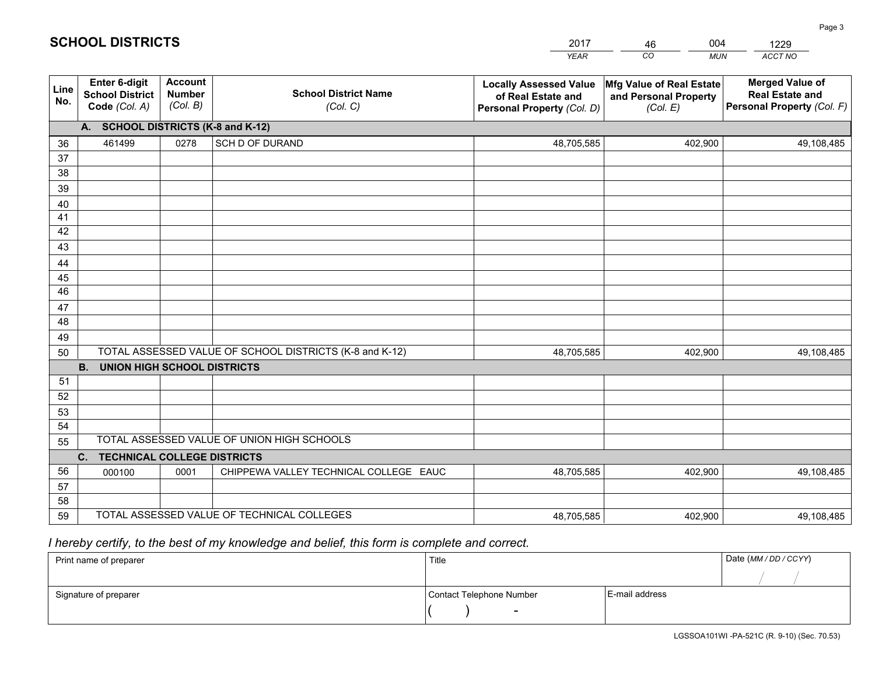|             |                                                                 |                                             |                                                         | <b>YEAR</b>                                                                       | CO<br><b>MUN</b>                                              | ACCT NO                                                                        |
|-------------|-----------------------------------------------------------------|---------------------------------------------|---------------------------------------------------------|-----------------------------------------------------------------------------------|---------------------------------------------------------------|--------------------------------------------------------------------------------|
| Line<br>No. | <b>Enter 6-digit</b><br><b>School District</b><br>Code (Col. A) | <b>Account</b><br><b>Number</b><br>(Col. B) | <b>School District Name</b><br>(Col. C)                 | <b>Locally Assessed Value</b><br>of Real Estate and<br>Personal Property (Col. D) | Mfg Value of Real Estate<br>and Personal Property<br>(Col. E) | <b>Merged Value of</b><br><b>Real Estate and</b><br>Personal Property (Col. F) |
|             | A. SCHOOL DISTRICTS (K-8 and K-12)                              |                                             |                                                         |                                                                                   |                                                               |                                                                                |
| 36          | 461499                                                          | 0278                                        | SCH D OF DURAND                                         | 48,705,585                                                                        | 402,900                                                       | 49,108,485                                                                     |
| 37          |                                                                 |                                             |                                                         |                                                                                   |                                                               |                                                                                |
| 38          |                                                                 |                                             |                                                         |                                                                                   |                                                               |                                                                                |
| 39          |                                                                 |                                             |                                                         |                                                                                   |                                                               |                                                                                |
| 40          |                                                                 |                                             |                                                         |                                                                                   |                                                               |                                                                                |
| 41<br>42    |                                                                 |                                             |                                                         |                                                                                   |                                                               |                                                                                |
| 43          |                                                                 |                                             |                                                         |                                                                                   |                                                               |                                                                                |
|             |                                                                 |                                             |                                                         |                                                                                   |                                                               |                                                                                |
| 44<br>45    |                                                                 |                                             |                                                         |                                                                                   |                                                               |                                                                                |
| 46          |                                                                 |                                             |                                                         |                                                                                   |                                                               |                                                                                |
| 47          |                                                                 |                                             |                                                         |                                                                                   |                                                               |                                                                                |
| 48          |                                                                 |                                             |                                                         |                                                                                   |                                                               |                                                                                |
| 49          |                                                                 |                                             |                                                         |                                                                                   |                                                               |                                                                                |
| 50          |                                                                 |                                             | TOTAL ASSESSED VALUE OF SCHOOL DISTRICTS (K-8 and K-12) | 48,705,585                                                                        | 402,900                                                       | 49,108,485                                                                     |
|             | <b>B.</b><br>UNION HIGH SCHOOL DISTRICTS                        |                                             |                                                         |                                                                                   |                                                               |                                                                                |
| 51          |                                                                 |                                             |                                                         |                                                                                   |                                                               |                                                                                |
| 52          |                                                                 |                                             |                                                         |                                                                                   |                                                               |                                                                                |
| 53          |                                                                 |                                             |                                                         |                                                                                   |                                                               |                                                                                |
| 54          |                                                                 |                                             |                                                         |                                                                                   |                                                               |                                                                                |
| 55          |                                                                 |                                             | TOTAL ASSESSED VALUE OF UNION HIGH SCHOOLS              |                                                                                   |                                                               |                                                                                |
|             | C.<br><b>TECHNICAL COLLEGE DISTRICTS</b>                        |                                             |                                                         |                                                                                   |                                                               |                                                                                |
| 56          | 000100                                                          | 0001                                        | CHIPPEWA VALLEY TECHNICAL COLLEGE EAUC                  | 48,705,585                                                                        | 402,900                                                       | 49,108,485                                                                     |
| 57<br>58    |                                                                 |                                             |                                                         |                                                                                   |                                                               |                                                                                |
| 59          |                                                                 |                                             | TOTAL ASSESSED VALUE OF TECHNICAL COLLEGES              | 48,705,585                                                                        | 402,900                                                       | 49,108,485                                                                     |
|             |                                                                 |                                             |                                                         |                                                                                   |                                                               |                                                                                |

 *I hereby certify, to the best of my knowledge and belief, this form is complete and correct.*

| Print name of preparer | Title                    |                | Date (MM / DD / CCYY) |
|------------------------|--------------------------|----------------|-----------------------|
|                        |                          |                |                       |
| Signature of preparer  | Contact Telephone Number | E-mail address |                       |
|                        |                          |                |                       |

| <b>SCHOOL DISTRICTS</b> |
|-------------------------|
|-------------------------|

201746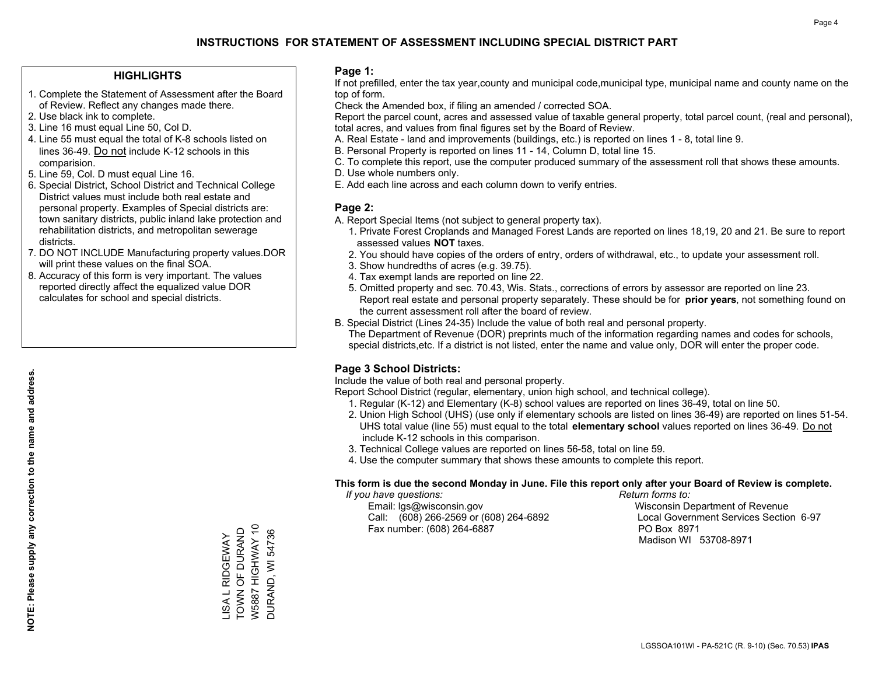### **HIGHLIGHTS**

- 1. Complete the Statement of Assessment after the Board of Review. Reflect any changes made there.
- 2. Use black ink to complete.
- 3. Line 16 must equal Line 50, Col D.
- 4. Line 55 must equal the total of K-8 schools listed on lines 36-49. Do not include K-12 schools in this comparision.
- 5. Line 59, Col. D must equal Line 16.
- 6. Special District, School District and Technical College District values must include both real estate and personal property. Examples of Special districts are: town sanitary districts, public inland lake protection and rehabilitation districts, and metropolitan sewerage districts.
- 7. DO NOT INCLUDE Manufacturing property values.DOR will print these values on the final SOA.
- 8. Accuracy of this form is very important. The values reported directly affect the equalized value DOR calculates for school and special districts.

#### **Page 1:**

 If not prefilled, enter the tax year,county and municipal code,municipal type, municipal name and county name on the top of form.

Check the Amended box, if filing an amended / corrected SOA.

 Report the parcel count, acres and assessed value of taxable general property, total parcel count, (real and personal), total acres, and values from final figures set by the Board of Review.

- A. Real Estate land and improvements (buildings, etc.) is reported on lines 1 8, total line 9.
- B. Personal Property is reported on lines 11 14, Column D, total line 15.
- C. To complete this report, use the computer produced summary of the assessment roll that shows these amounts.
- D. Use whole numbers only.
- E. Add each line across and each column down to verify entries.

#### **Page 2:**

- A. Report Special Items (not subject to general property tax).
- 1. Private Forest Croplands and Managed Forest Lands are reported on lines 18,19, 20 and 21. Be sure to report assessed values **NOT** taxes.
- 2. You should have copies of the orders of entry, orders of withdrawal, etc., to update your assessment roll.
	- 3. Show hundredths of acres (e.g. 39.75).
- 4. Tax exempt lands are reported on line 22.
- 5. Omitted property and sec. 70.43, Wis. Stats., corrections of errors by assessor are reported on line 23. Report real estate and personal property separately. These should be for **prior years**, not something found on the current assessment roll after the board of review.
- B. Special District (Lines 24-35) Include the value of both real and personal property.
- The Department of Revenue (DOR) preprints much of the information regarding names and codes for schools, special districts,etc. If a district is not listed, enter the name and value only, DOR will enter the proper code.

### **Page 3 School Districts:**

Include the value of both real and personal property.

Report School District (regular, elementary, union high school, and technical college).

- 1. Regular (K-12) and Elementary (K-8) school values are reported on lines 36-49, total on line 50.
- 2. Union High School (UHS) (use only if elementary schools are listed on lines 36-49) are reported on lines 51-54. UHS total value (line 55) must equal to the total **elementary school** values reported on lines 36-49. Do notinclude K-12 schools in this comparison.
- 3. Technical College values are reported on lines 56-58, total on line 59.
- 4. Use the computer summary that shows these amounts to complete this report.

#### **This form is due the second Monday in June. File this report only after your Board of Review is complete.**

 *If you have questions: Return forms to:*

 Email: lgs@wisconsin.gov Wisconsin Department of RevenueCall:  $(608)$  266-2569 or  $(608)$  264-6892 Fax number: (608) 264-6887 PO Box 8971

Local Government Services Section 6-97

Madison WI 53708-8971

W5887 HIGHWAY 10 LISA L RIDGEWAY<br>TOWN OF DURAND TOWN OF DURAND W5887 HIGHWAY 10 **DURAND, WI 54736** LISA L RIDGEWAY

DURAND, WI 54736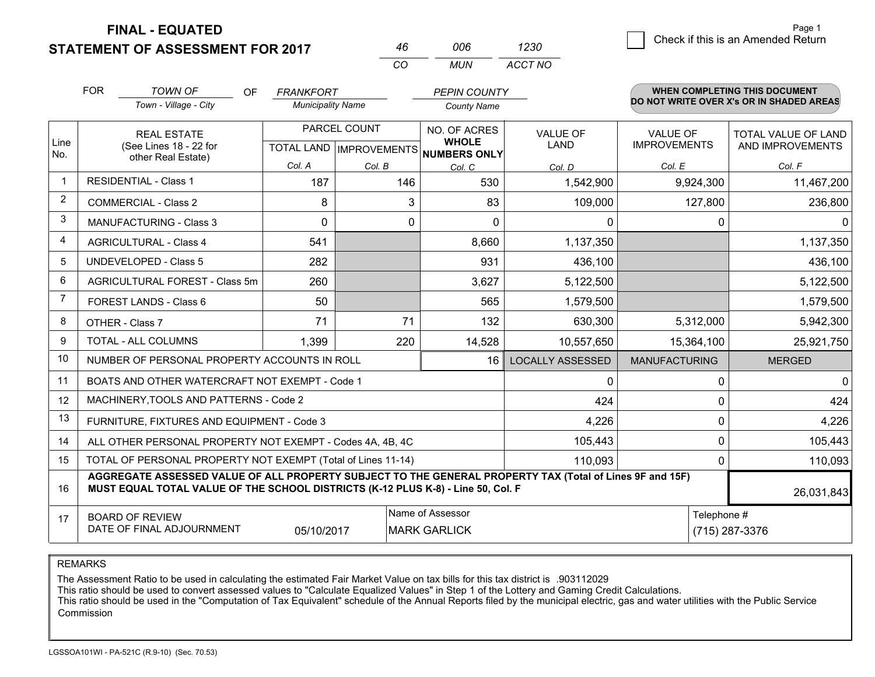**STATEMENT OF ASSESSMENT FOR 2017** 

**FINAL - EQUATED**

|                | <b>FOR</b>                                                                                                                                                                                   | <b>TOWN OF</b><br><b>OF</b>                                  | <b>FRANKFORT</b>         |                                | <b>PEPIN COUNTY</b>          |                         |                      | <b>WHEN COMPLETING THIS DOCUMENT</b>     |
|----------------|----------------------------------------------------------------------------------------------------------------------------------------------------------------------------------------------|--------------------------------------------------------------|--------------------------|--------------------------------|------------------------------|-------------------------|----------------------|------------------------------------------|
|                |                                                                                                                                                                                              | Town - Village - City                                        | <b>Municipality Name</b> |                                | <b>County Name</b>           |                         |                      | DO NOT WRITE OVER X's OR IN SHADED AREAS |
|                |                                                                                                                                                                                              | <b>REAL ESTATE</b>                                           |                          | PARCEL COUNT                   | NO. OF ACRES<br><b>WHOLE</b> | <b>VALUE OF</b>         | <b>VALUE OF</b>      | <b>TOTAL VALUE OF LAND</b>               |
| Line<br>No.    |                                                                                                                                                                                              | (See Lines 18 - 22 for<br>other Real Estate)                 |                          | <b>TOTAL LAND IMPROVEMENTS</b> | <b>NUMBERS ONLY</b>          | <b>LAND</b>             | <b>IMPROVEMENTS</b>  | AND IMPROVEMENTS                         |
|                |                                                                                                                                                                                              |                                                              | Col. A                   | Col. B                         | Col. C                       | Col. D                  | Col. E               | Col. F                                   |
| $\mathbf 1$    |                                                                                                                                                                                              | <b>RESIDENTIAL - Class 1</b>                                 | 187                      | 146                            | 530                          | 1,542,900               | 9,924,300            | 11,467,200                               |
| 2              |                                                                                                                                                                                              | <b>COMMERCIAL - Class 2</b>                                  | 8                        | 3                              | 83                           | 109,000                 | 127,800              | 236,800                                  |
| 3              |                                                                                                                                                                                              | MANUFACTURING - Class 3                                      | 0                        | 0                              | 0                            | 0                       |                      | $\Omega$<br>0                            |
| 4              |                                                                                                                                                                                              | <b>AGRICULTURAL - Class 4</b>                                | 541                      |                                | 8,660                        | 1,137,350               |                      | 1,137,350                                |
| 5              |                                                                                                                                                                                              | <b>UNDEVELOPED - Class 5</b>                                 | 282                      |                                | 931                          | 436,100                 |                      | 436,100                                  |
| 6              |                                                                                                                                                                                              | <b>AGRICULTURAL FOREST - Class 5m</b>                        | 260                      |                                | 3,627                        | 5,122,500               |                      | 5,122,500                                |
| $\overline{7}$ |                                                                                                                                                                                              | FOREST LANDS - Class 6                                       | 50                       |                                | 565                          | 1,579,500               |                      | 1,579,500                                |
| 8              |                                                                                                                                                                                              | OTHER - Class 7                                              | 71                       | 71                             | 132                          | 630,300                 | 5,312,000            | 5,942,300                                |
| 9              |                                                                                                                                                                                              | TOTAL - ALL COLUMNS                                          | 1,399                    | 220                            | 14,528                       | 10,557,650              | 15,364,100           | 25,921,750                               |
| 10             |                                                                                                                                                                                              | NUMBER OF PERSONAL PROPERTY ACCOUNTS IN ROLL                 |                          |                                | 16                           | <b>LOCALLY ASSESSED</b> | <b>MANUFACTURING</b> | <b>MERGED</b>                            |
| 11             |                                                                                                                                                                                              | BOATS AND OTHER WATERCRAFT NOT EXEMPT - Code 1               |                          |                                |                              | 0                       |                      | 0<br>0                                   |
| 12             |                                                                                                                                                                                              | MACHINERY, TOOLS AND PATTERNS - Code 2                       |                          |                                |                              | 424                     |                      | 424<br>0                                 |
| 13             |                                                                                                                                                                                              | FURNITURE, FIXTURES AND EQUIPMENT - Code 3                   |                          |                                |                              | 4,226                   |                      | 4,226<br>0                               |
| 14             |                                                                                                                                                                                              | ALL OTHER PERSONAL PROPERTY NOT EXEMPT - Codes 4A, 4B, 4C    |                          |                                |                              | 105,443                 |                      | 0<br>105,443                             |
| 15             |                                                                                                                                                                                              | TOTAL OF PERSONAL PROPERTY NOT EXEMPT (Total of Lines 11-14) |                          |                                | 110,093                      |                         | 0<br>110,093         |                                          |
| 16             | AGGREGATE ASSESSED VALUE OF ALL PROPERTY SUBJECT TO THE GENERAL PROPERTY TAX (Total of Lines 9F and 15F)<br>MUST EQUAL TOTAL VALUE OF THE SCHOOL DISTRICTS (K-12 PLUS K-8) - Line 50, Col. F |                                                              |                          |                                |                              |                         | 26,031,843           |                                          |
| 17             |                                                                                                                                                                                              | <b>BOARD OF REVIEW</b>                                       |                          |                                | Name of Assessor             |                         |                      | Telephone #                              |
|                |                                                                                                                                                                                              | DATE OF FINAL ADJOURNMENT                                    | 05/10/2017               |                                | <b>MARK GARLICK</b>          |                         |                      | (715) 287-3376                           |

*CO*

*MUN*

*ACCT NO1230*

*<sup>46</sup> <sup>006</sup>*

REMARKS

The Assessment Ratio to be used in calculating the estimated Fair Market Value on tax bills for this tax district is .903112029<br>This ratio should be used to convert assessed values to "Calculate Equalized Values" in Step 1 Commission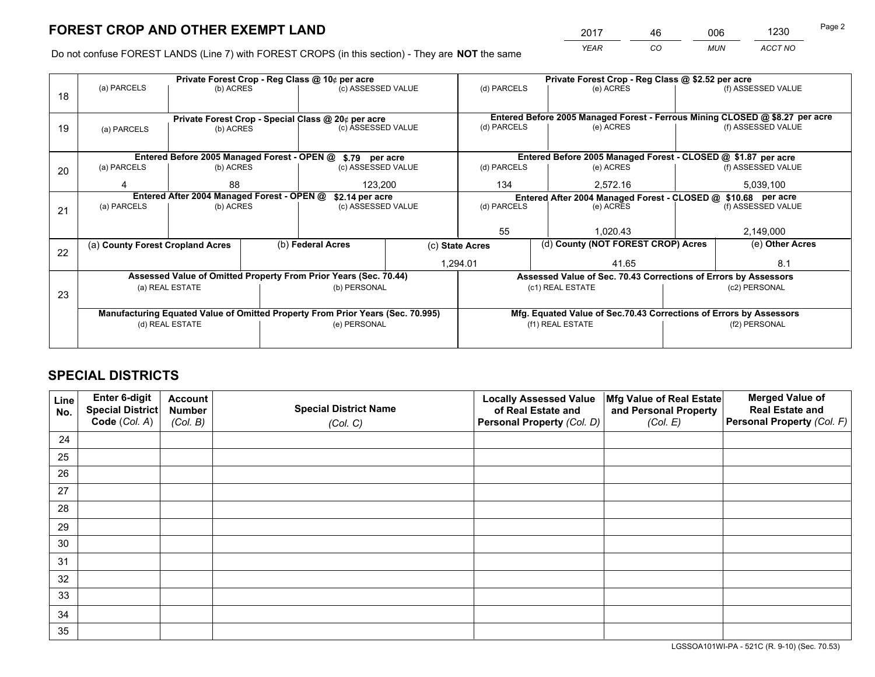*YEAR CO MUN ACCT NO* <sup>2017</sup> <sup>46</sup> <sup>006</sup> <sup>1230</sup>

Do not confuse FOREST LANDS (Line 7) with FOREST CROPS (in this section) - They are **NOT** the same

|    | Private Forest Crop - Reg Class @ 10¢ per acre                                 |                                                               |                                   |                                                                  |  | Private Forest Crop - Reg Class @ \$2.52 per acre                  |                                                                              |  |                    |
|----|--------------------------------------------------------------------------------|---------------------------------------------------------------|-----------------------------------|------------------------------------------------------------------|--|--------------------------------------------------------------------|------------------------------------------------------------------------------|--|--------------------|
| 18 | (a) PARCELS                                                                    | (b) ACRES                                                     |                                   | (c) ASSESSED VALUE                                               |  | (d) PARCELS                                                        | (e) ACRES                                                                    |  | (f) ASSESSED VALUE |
|    |                                                                                |                                                               |                                   |                                                                  |  |                                                                    |                                                                              |  |                    |
|    |                                                                                |                                                               |                                   | Private Forest Crop - Special Class @ 20¢ per acre               |  |                                                                    | Entered Before 2005 Managed Forest - Ferrous Mining CLOSED @ \$8.27 per acre |  |                    |
| 19 | (a) PARCELS                                                                    | (b) ACRES                                                     |                                   | (c) ASSESSED VALUE                                               |  | (d) PARCELS                                                        | (e) ACRES                                                                    |  | (f) ASSESSED VALUE |
|    |                                                                                |                                                               |                                   |                                                                  |  |                                                                    |                                                                              |  |                    |
|    |                                                                                |                                                               |                                   | Entered Before 2005 Managed Forest - OPEN @ \$.79 per acre       |  |                                                                    | Entered Before 2005 Managed Forest - CLOSED @ \$1.87 per acre                |  |                    |
| 20 | (a) PARCELS                                                                    | (b) ACRES                                                     |                                   | (c) ASSESSED VALUE                                               |  | (d) PARCELS                                                        | (e) ACRES                                                                    |  | (f) ASSESSED VALUE |
|    | Δ                                                                              | 88                                                            |                                   | 123.200                                                          |  | 134<br>2.572.16                                                    |                                                                              |  | 5,039,100          |
|    |                                                                                | Entered After 2004 Managed Forest - OPEN @<br>\$2.14 per acre |                                   |                                                                  |  | Entered After 2004 Managed Forest - CLOSED @ \$10.68 per acre      |                                                                              |  |                    |
| 21 | (a) PARCELS                                                                    | (b) ACRES                                                     |                                   | (c) ASSESSED VALUE                                               |  | (d) PARCELS<br>(e) ACRES                                           |                                                                              |  | (f) ASSESSED VALUE |
|    |                                                                                |                                                               |                                   |                                                                  |  |                                                                    |                                                                              |  |                    |
|    |                                                                                |                                                               |                                   |                                                                  |  | 55                                                                 | 1.020.43                                                                     |  | 2,149,000          |
| 22 | (a) County Forest Cropland Acres                                               |                                                               |                                   | (b) Federal Acres                                                |  | (c) State Acres                                                    | (d) County (NOT FOREST CROP) Acres                                           |  | (e) Other Acres    |
|    |                                                                                |                                                               |                                   |                                                                  |  | 1,294.01                                                           | 41.65                                                                        |  | 8.1                |
|    |                                                                                |                                                               |                                   | Assessed Value of Omitted Property From Prior Years (Sec. 70.44) |  |                                                                    | Assessed Value of Sec. 70.43 Corrections of Errors by Assessors              |  |                    |
|    |                                                                                | (a) REAL ESTATE                                               |                                   | (b) PERSONAL                                                     |  |                                                                    | (c1) REAL ESTATE                                                             |  | (c2) PERSONAL      |
| 23 |                                                                                |                                                               |                                   |                                                                  |  |                                                                    |                                                                              |  |                    |
|    | Manufacturing Equated Value of Omitted Property From Prior Years (Sec. 70.995) |                                                               |                                   |                                                                  |  | Mfg. Equated Value of Sec.70.43 Corrections of Errors by Assessors |                                                                              |  |                    |
|    | (d) REAL ESTATE<br>(e) PERSONAL                                                |                                                               | (f1) REAL ESTATE<br>(f2) PERSONAL |                                                                  |  |                                                                    |                                                                              |  |                    |
|    |                                                                                |                                                               |                                   |                                                                  |  |                                                                    |                                                                              |  |                    |

## **SPECIAL DISTRICTS**

| Line<br>No. | Enter 6-digit<br><b>Special District</b> | <b>Account</b><br><b>Number</b> | <b>Special District Name</b> | <b>Locally Assessed Value</b><br>of Real Estate and | Mfg Value of Real Estate<br>and Personal Property | <b>Merged Value of</b><br><b>Real Estate and</b> |
|-------------|------------------------------------------|---------------------------------|------------------------------|-----------------------------------------------------|---------------------------------------------------|--------------------------------------------------|
|             | Code (Col. A)                            | (Col. B)                        | (Col. C)                     | Personal Property (Col. D)                          | (Col. E)                                          | Personal Property (Col. F)                       |
| 24          |                                          |                                 |                              |                                                     |                                                   |                                                  |
| 25          |                                          |                                 |                              |                                                     |                                                   |                                                  |
| 26          |                                          |                                 |                              |                                                     |                                                   |                                                  |
| 27          |                                          |                                 |                              |                                                     |                                                   |                                                  |
| 28          |                                          |                                 |                              |                                                     |                                                   |                                                  |
| 29          |                                          |                                 |                              |                                                     |                                                   |                                                  |
| 30          |                                          |                                 |                              |                                                     |                                                   |                                                  |
| 31          |                                          |                                 |                              |                                                     |                                                   |                                                  |
| 32          |                                          |                                 |                              |                                                     |                                                   |                                                  |
| 33          |                                          |                                 |                              |                                                     |                                                   |                                                  |
| 34          |                                          |                                 |                              |                                                     |                                                   |                                                  |
| 35          |                                          |                                 |                              |                                                     |                                                   |                                                  |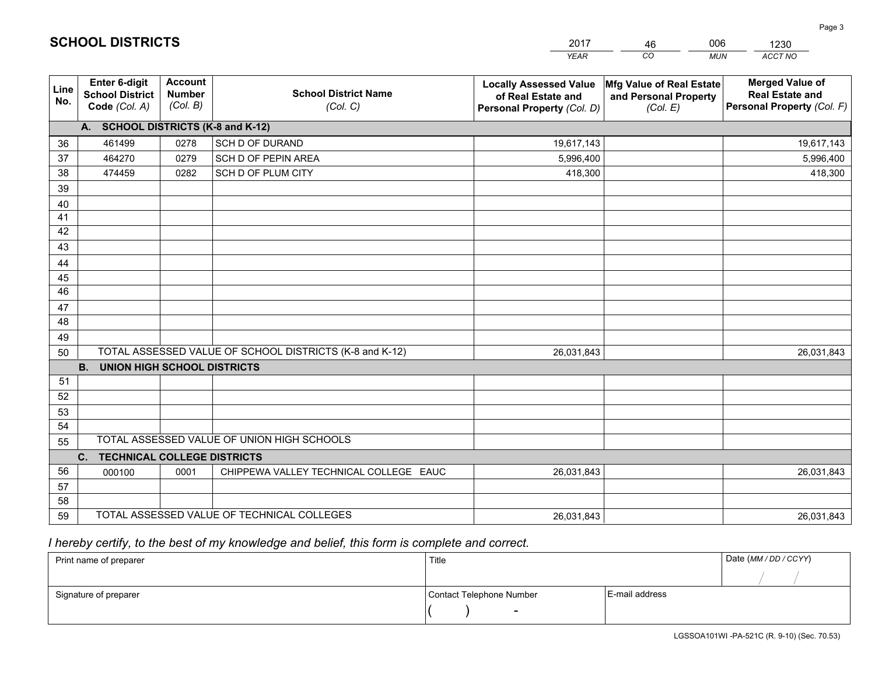|             |                                                                 |                                             |                                                         | <b>YEAR</b>                                                                       | CO<br><b>MUN</b>                                              | ACCT NO                                                                        |
|-------------|-----------------------------------------------------------------|---------------------------------------------|---------------------------------------------------------|-----------------------------------------------------------------------------------|---------------------------------------------------------------|--------------------------------------------------------------------------------|
| Line<br>No. | <b>Enter 6-digit</b><br><b>School District</b><br>Code (Col. A) | <b>Account</b><br><b>Number</b><br>(Col. B) | <b>School District Name</b><br>(Col. C)                 | <b>Locally Assessed Value</b><br>of Real Estate and<br>Personal Property (Col. D) | Mfg Value of Real Estate<br>and Personal Property<br>(Col. E) | <b>Merged Value of</b><br><b>Real Estate and</b><br>Personal Property (Col. F) |
|             | A. SCHOOL DISTRICTS (K-8 and K-12)                              |                                             |                                                         |                                                                                   |                                                               |                                                                                |
| 36          | 461499                                                          | 0278                                        | SCH D OF DURAND                                         | 19,617,143                                                                        |                                                               | 19,617,143                                                                     |
| 37          | 464270                                                          | 0279                                        | SCH D OF PEPIN AREA                                     | 5,996,400                                                                         |                                                               | 5,996,400                                                                      |
| 38          | 474459                                                          | 0282                                        | SCH D OF PLUM CITY                                      | 418,300                                                                           |                                                               | 418,300                                                                        |
| 39          |                                                                 |                                             |                                                         |                                                                                   |                                                               |                                                                                |
| 40          |                                                                 |                                             |                                                         |                                                                                   |                                                               |                                                                                |
| 41          |                                                                 |                                             |                                                         |                                                                                   |                                                               |                                                                                |
| 42          |                                                                 |                                             |                                                         |                                                                                   |                                                               |                                                                                |
| 43          |                                                                 |                                             |                                                         |                                                                                   |                                                               |                                                                                |
| 44          |                                                                 |                                             |                                                         |                                                                                   |                                                               |                                                                                |
| 45<br>46    |                                                                 |                                             |                                                         |                                                                                   |                                                               |                                                                                |
|             |                                                                 |                                             |                                                         |                                                                                   |                                                               |                                                                                |
| 47<br>48    |                                                                 |                                             |                                                         |                                                                                   |                                                               |                                                                                |
| 49          |                                                                 |                                             |                                                         |                                                                                   |                                                               |                                                                                |
| 50          |                                                                 |                                             | TOTAL ASSESSED VALUE OF SCHOOL DISTRICTS (K-8 and K-12) | 26,031,843                                                                        |                                                               | 26,031,843                                                                     |
|             | <b>B.</b><br><b>UNION HIGH SCHOOL DISTRICTS</b>                 |                                             |                                                         |                                                                                   |                                                               |                                                                                |
| 51          |                                                                 |                                             |                                                         |                                                                                   |                                                               |                                                                                |
| 52          |                                                                 |                                             |                                                         |                                                                                   |                                                               |                                                                                |
| 53          |                                                                 |                                             |                                                         |                                                                                   |                                                               |                                                                                |
| 54          |                                                                 |                                             |                                                         |                                                                                   |                                                               |                                                                                |
| 55          |                                                                 |                                             | TOTAL ASSESSED VALUE OF UNION HIGH SCHOOLS              |                                                                                   |                                                               |                                                                                |
|             | <b>TECHNICAL COLLEGE DISTRICTS</b><br>C.                        |                                             |                                                         |                                                                                   |                                                               |                                                                                |
| 56          | 000100                                                          | 0001                                        | CHIPPEWA VALLEY TECHNICAL COLLEGE EAUC                  | 26,031,843                                                                        |                                                               | 26,031,843                                                                     |
| 57          |                                                                 |                                             |                                                         |                                                                                   |                                                               |                                                                                |
| 58          |                                                                 |                                             |                                                         |                                                                                   |                                                               |                                                                                |
| 59          |                                                                 |                                             | TOTAL ASSESSED VALUE OF TECHNICAL COLLEGES              | 26,031,843                                                                        |                                                               | 26,031,843                                                                     |

46

006

## *I hereby certify, to the best of my knowledge and belief, this form is complete and correct.*

**SCHOOL DISTRICTS**

| Print name of preparer | Title                    |                | Date (MM / DD / CCYY) |
|------------------------|--------------------------|----------------|-----------------------|
|                        |                          |                |                       |
| Signature of preparer  | Contact Telephone Number | E-mail address |                       |
|                        | $\overline{\phantom{0}}$ |                |                       |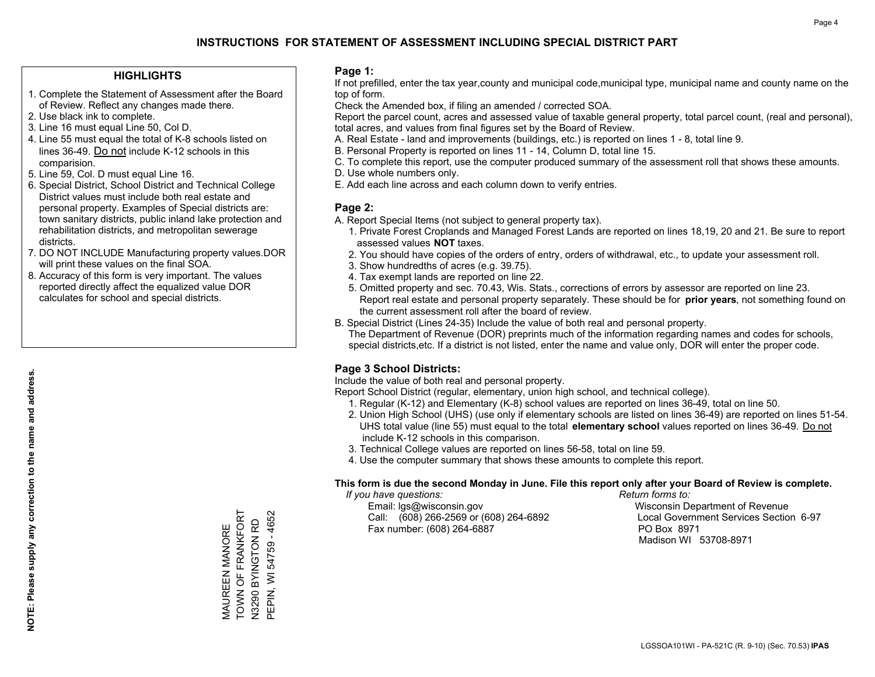### **HIGHLIGHTS**

- 1. Complete the Statement of Assessment after the Board of Review. Reflect any changes made there.
- 2. Use black ink to complete.
- 3. Line 16 must equal Line 50, Col D.
- 4. Line 55 must equal the total of K-8 schools listed on lines 36-49. Do not include K-12 schools in this comparision.
- 5. Line 59, Col. D must equal Line 16.
- 6. Special District, School District and Technical College District values must include both real estate and personal property. Examples of Special districts are: town sanitary districts, public inland lake protection and rehabilitation districts, and metropolitan sewerage districts.
- 7. DO NOT INCLUDE Manufacturing property values.DOR will print these values on the final SOA.

MAUREEN MANORE TOWN OF FRANKFORT N3290 BYINGTON RD PEPIN, WI 54759 - 4652

MAUREEN MANORE<br>TOWN OF FRANKFORT

PEPIN, WI 54759 - 4652 N3290 BYINGTON RD

 8. Accuracy of this form is very important. The values reported directly affect the equalized value DOR calculates for school and special districts.

#### **Page 1:**

 If not prefilled, enter the tax year,county and municipal code,municipal type, municipal name and county name on the top of form.

Check the Amended box, if filing an amended / corrected SOA.

 Report the parcel count, acres and assessed value of taxable general property, total parcel count, (real and personal), total acres, and values from final figures set by the Board of Review.

- A. Real Estate land and improvements (buildings, etc.) is reported on lines 1 8, total line 9.
- B. Personal Property is reported on lines 11 14, Column D, total line 15.
- C. To complete this report, use the computer produced summary of the assessment roll that shows these amounts.
- D. Use whole numbers only.
- E. Add each line across and each column down to verify entries.

### **Page 2:**

- A. Report Special Items (not subject to general property tax).
- 1. Private Forest Croplands and Managed Forest Lands are reported on lines 18,19, 20 and 21. Be sure to report assessed values **NOT** taxes.
- 2. You should have copies of the orders of entry, orders of withdrawal, etc., to update your assessment roll.
	- 3. Show hundredths of acres (e.g. 39.75).
- 4. Tax exempt lands are reported on line 22.
- 5. Omitted property and sec. 70.43, Wis. Stats., corrections of errors by assessor are reported on line 23. Report real estate and personal property separately. These should be for **prior years**, not something found on the current assessment roll after the board of review.
- B. Special District (Lines 24-35) Include the value of both real and personal property.

 The Department of Revenue (DOR) preprints much of the information regarding names and codes for schools, special districts,etc. If a district is not listed, enter the name and value only, DOR will enter the proper code.

### **Page 3 School Districts:**

Include the value of both real and personal property.

Report School District (regular, elementary, union high school, and technical college).

- 1. Regular (K-12) and Elementary (K-8) school values are reported on lines 36-49, total on line 50.
- 2. Union High School (UHS) (use only if elementary schools are listed on lines 36-49) are reported on lines 51-54. UHS total value (line 55) must equal to the total **elementary school** values reported on lines 36-49. Do notinclude K-12 schools in this comparison.
- 3. Technical College values are reported on lines 56-58, total on line 59.
- 4. Use the computer summary that shows these amounts to complete this report.

#### **This form is due the second Monday in June. File this report only after your Board of Review is complete.**

 *If you have questions: Return forms to:*

 Email: lgs@wisconsin.gov Wisconsin Department of RevenueCall:  $(608)$  266-2569 or  $(608)$  264-6892 Fax number: (608) 264-6887 PO Box 8971

Local Government Services Section 6-97

Madison WI 53708-8971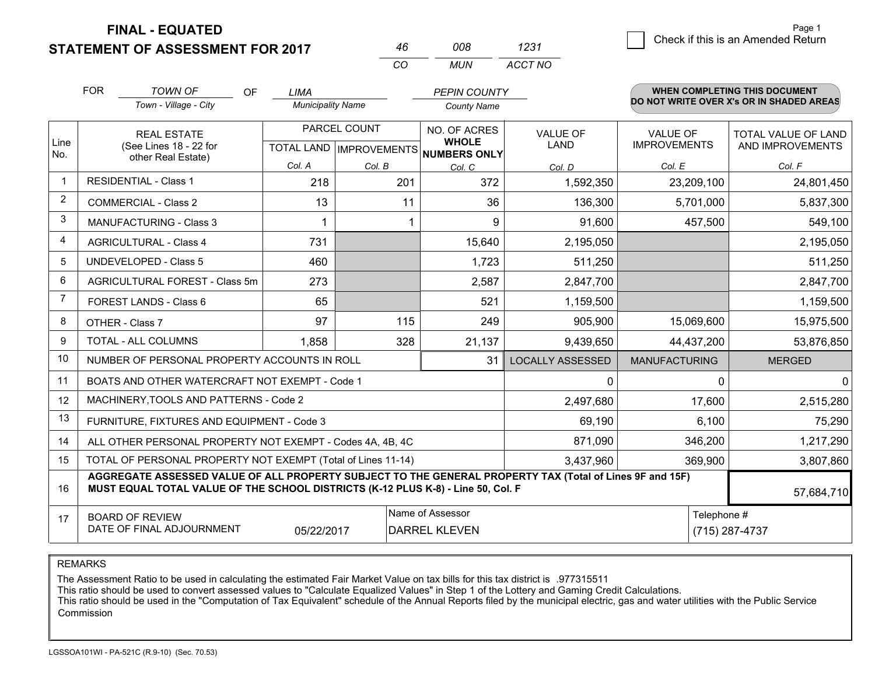**FINAL - EQUATED**

**STATEMENT OF ASSESSMENT FOR 2017** 

|     | nnr | 1231    |
|-----|-----|---------|
| CO. | MUN | ACCT NO |

|                         | <b>FOR</b>                                                                                                                                                                                   | <b>TOWN OF</b><br><b>OF</b>                                  | <b>LIMA</b>              |                           | <b>PEPIN COUNTY</b>                 |                         |                      | <b>WHEN COMPLETING THIS DOCUMENT</b>     |
|-------------------------|----------------------------------------------------------------------------------------------------------------------------------------------------------------------------------------------|--------------------------------------------------------------|--------------------------|---------------------------|-------------------------------------|-------------------------|----------------------|------------------------------------------|
|                         |                                                                                                                                                                                              | Town - Village - City                                        | <b>Municipality Name</b> |                           | <b>County Name</b>                  |                         |                      | DO NOT WRITE OVER X's OR IN SHADED AREAS |
|                         |                                                                                                                                                                                              | <b>REAL ESTATE</b>                                           |                          | PARCEL COUNT              | NO. OF ACRES                        | <b>VALUE OF</b>         | <b>VALUE OF</b>      | TOTAL VALUE OF LAND                      |
| Line<br>No.             |                                                                                                                                                                                              | (See Lines 18 - 22 for<br>other Real Estate)                 |                          | TOTAL LAND   IMPROVEMENTS | <b>WHOLE</b><br><b>NUMBERS ONLY</b> | <b>LAND</b>             | <b>IMPROVEMENTS</b>  | AND IMPROVEMENTS                         |
|                         |                                                                                                                                                                                              |                                                              | Col. A                   | Col. B                    | Col. C                              | Col. D                  | Col. E               | Col. F                                   |
| $\overline{\mathbf{1}}$ |                                                                                                                                                                                              | <b>RESIDENTIAL - Class 1</b>                                 | 218                      | 201                       | 372                                 | 1,592,350               | 23,209,100           | 24,801,450                               |
| 2                       |                                                                                                                                                                                              | <b>COMMERCIAL - Class 2</b>                                  | 13                       | 11                        | 36                                  | 136,300                 | 5,701,000            | 5,837,300                                |
| 3                       |                                                                                                                                                                                              | <b>MANUFACTURING - Class 3</b>                               |                          |                           | 9                                   | 91,600                  | 457,500              | 549,100                                  |
| 4                       |                                                                                                                                                                                              | <b>AGRICULTURAL - Class 4</b>                                | 731                      |                           | 15,640                              | 2,195,050               |                      | 2,195,050                                |
| 5                       |                                                                                                                                                                                              | UNDEVELOPED - Class 5                                        | 460                      |                           | 1,723                               | 511,250                 |                      | 511,250                                  |
| 6                       |                                                                                                                                                                                              | AGRICULTURAL FOREST - Class 5m                               | 273                      |                           | 2,587                               | 2,847,700               |                      | 2,847,700                                |
| $\overline{7}$          |                                                                                                                                                                                              | FOREST LANDS - Class 6                                       | 65                       |                           | 521                                 | 1,159,500               |                      | 1,159,500                                |
| 8                       |                                                                                                                                                                                              | OTHER - Class 7                                              | 97                       | 115                       | 249                                 | 905,900                 | 15,069,600           | 15,975,500                               |
| 9                       |                                                                                                                                                                                              | <b>TOTAL - ALL COLUMNS</b>                                   | 1,858                    | 328                       | 21,137                              | 9,439,650               | 44,437,200           | 53,876,850                               |
| 10                      |                                                                                                                                                                                              | NUMBER OF PERSONAL PROPERTY ACCOUNTS IN ROLL                 |                          |                           | 31                                  | <b>LOCALLY ASSESSED</b> | <b>MANUFACTURING</b> | <b>MERGED</b>                            |
| 11                      |                                                                                                                                                                                              | BOATS AND OTHER WATERCRAFT NOT EXEMPT - Code 1               |                          |                           |                                     | 0                       | 0                    | $\overline{0}$                           |
| 12                      |                                                                                                                                                                                              | MACHINERY, TOOLS AND PATTERNS - Code 2                       |                          |                           |                                     | 2,497,680               | 17,600               | 2,515,280                                |
| 13                      |                                                                                                                                                                                              | FURNITURE, FIXTURES AND EQUIPMENT - Code 3                   |                          |                           |                                     | 69,190                  | 6,100                | 75,290                                   |
| 14                      |                                                                                                                                                                                              | ALL OTHER PERSONAL PROPERTY NOT EXEMPT - Codes 4A, 4B, 4C    |                          |                           |                                     | 871,090                 | 346,200              | 1,217,290                                |
| 15                      |                                                                                                                                                                                              | TOTAL OF PERSONAL PROPERTY NOT EXEMPT (Total of Lines 11-14) |                          |                           | 3,437,960                           | 369,900                 | 3,807,860            |                                          |
| 16                      | AGGREGATE ASSESSED VALUE OF ALL PROPERTY SUBJECT TO THE GENERAL PROPERTY TAX (Total of Lines 9F and 15F)<br>MUST EQUAL TOTAL VALUE OF THE SCHOOL DISTRICTS (K-12 PLUS K-8) - Line 50, Col. F |                                                              |                          |                           |                                     |                         | 57,684,710           |                                          |
| 17                      |                                                                                                                                                                                              | <b>BOARD OF REVIEW</b>                                       |                          |                           | Name of Assessor                    |                         | Telephone #          |                                          |
|                         |                                                                                                                                                                                              | DATE OF FINAL ADJOURNMENT                                    | 05/22/2017               |                           | <b>DARREL KLEVEN</b>                |                         |                      | (715) 287-4737                           |

REMARKS

The Assessment Ratio to be used in calculating the estimated Fair Market Value on tax bills for this tax district is .977315511

This ratio should be used to convert assessed values to "Calculate Equalized Values" in Step 1 of the Lottery and Gaming Credit Calculations.<br>This ratio should be used in the "Computation of Tax Equivalent" schedule of the Commission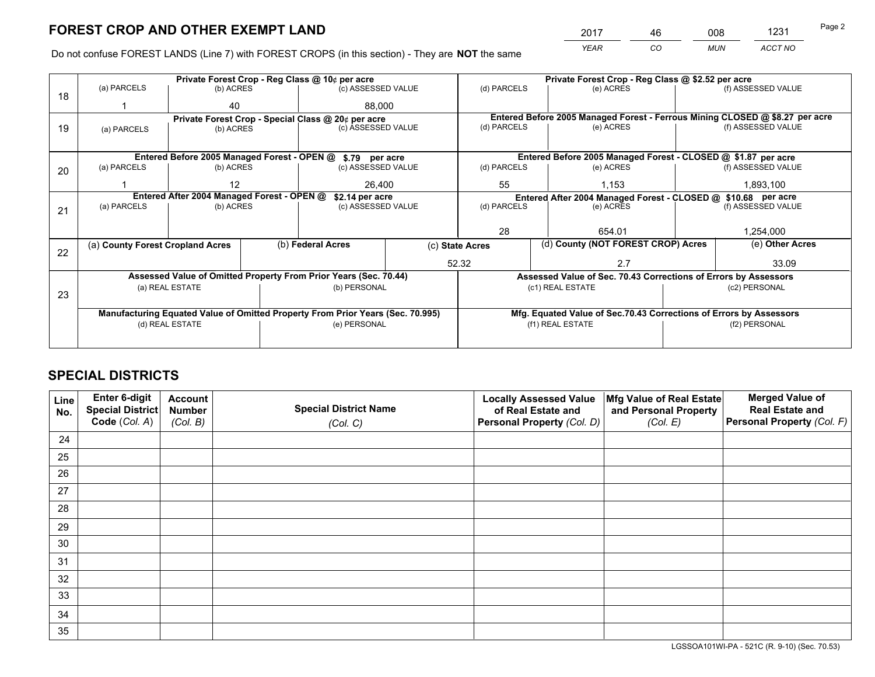*YEAR CO MUN ACCT NO* <sup>2017</sup> <sup>46</sup> <sup>008</sup> <sup>1231</sup>

Do not confuse FOREST LANDS (Line 7) with FOREST CROPS (in this section) - They are **NOT** the same

|    |                                                               |                                                       |                                   | Private Forest Crop - Reg Class @ 10¢ per acre                                 |                                                               | Private Forest Crop - Reg Class @ \$2.52 per acre |                                                                              |                 |                    |  |
|----|---------------------------------------------------------------|-------------------------------------------------------|-----------------------------------|--------------------------------------------------------------------------------|---------------------------------------------------------------|---------------------------------------------------|------------------------------------------------------------------------------|-----------------|--------------------|--|
| 18 | (a) PARCELS                                                   | (b) ACRES                                             |                                   | (c) ASSESSED VALUE                                                             |                                                               | (d) PARCELS                                       | (e) ACRES                                                                    |                 | (f) ASSESSED VALUE |  |
|    |                                                               | 40                                                    |                                   | 88.000                                                                         |                                                               |                                                   |                                                                              |                 |                    |  |
|    |                                                               |                                                       |                                   | Private Forest Crop - Special Class @ 20¢ per acre                             |                                                               |                                                   | Entered Before 2005 Managed Forest - Ferrous Mining CLOSED @ \$8.27 per acre |                 |                    |  |
| 19 | (a) PARCELS                                                   | (b) ACRES                                             |                                   | (c) ASSESSED VALUE                                                             |                                                               | (d) PARCELS                                       | (e) ACRES                                                                    |                 | (f) ASSESSED VALUE |  |
|    |                                                               |                                                       |                                   |                                                                                |                                                               |                                                   |                                                                              |                 |                    |  |
|    |                                                               |                                                       |                                   | Entered Before 2005 Managed Forest - OPEN @ \$.79 per acre                     |                                                               |                                                   | Entered Before 2005 Managed Forest - CLOSED @ \$1.87 per acre                |                 |                    |  |
| 20 | (a) PARCELS                                                   | (b) ACRES                                             |                                   | (c) ASSESSED VALUE                                                             |                                                               | (d) PARCELS                                       | (e) ACRES                                                                    |                 | (f) ASSESSED VALUE |  |
|    |                                                               | 12                                                    |                                   |                                                                                | 26,400                                                        |                                                   | 1,153                                                                        | 1,893,100       |                    |  |
|    | Entered After 2004 Managed Forest - OPEN @<br>\$2.14 per acre |                                                       |                                   |                                                                                | Entered After 2004 Managed Forest - CLOSED @ \$10.68 per acre |                                                   |                                                                              |                 |                    |  |
| 21 | (a) PARCELS                                                   | (b) ACRES                                             |                                   | (c) ASSESSED VALUE                                                             |                                                               | (d) PARCELS<br>(e) ACRES                          |                                                                              |                 | (f) ASSESSED VALUE |  |
|    |                                                               |                                                       |                                   |                                                                                |                                                               |                                                   |                                                                              |                 |                    |  |
|    |                                                               |                                                       |                                   |                                                                                |                                                               | 28                                                | 654.01                                                                       |                 | 1,254,000          |  |
|    |                                                               | (b) Federal Acres<br>(a) County Forest Cropland Acres |                                   | (c) State Acres                                                                |                                                               | (d) County (NOT FOREST CROP) Acres                |                                                                              | (e) Other Acres |                    |  |
| 22 |                                                               |                                                       |                                   |                                                                                | 52.32                                                         |                                                   | 2.7                                                                          |                 | 33.09              |  |
|    |                                                               |                                                       |                                   | Assessed Value of Omitted Property From Prior Years (Sec. 70.44)               |                                                               |                                                   | Assessed Value of Sec. 70.43 Corrections of Errors by Assessors              |                 |                    |  |
|    |                                                               | (a) REAL ESTATE                                       |                                   | (b) PERSONAL                                                                   |                                                               |                                                   | (c1) REAL ESTATE                                                             |                 | (c2) PERSONAL      |  |
| 23 |                                                               |                                                       |                                   |                                                                                |                                                               |                                                   |                                                                              |                 |                    |  |
|    |                                                               |                                                       |                                   | Manufacturing Equated Value of Omitted Property From Prior Years (Sec. 70.995) |                                                               |                                                   | Mfg. Equated Value of Sec.70.43 Corrections of Errors by Assessors           |                 |                    |  |
|    | (d) REAL ESTATE<br>(e) PERSONAL                               |                                                       | (f1) REAL ESTATE<br>(f2) PERSONAL |                                                                                |                                                               |                                                   |                                                                              |                 |                    |  |
|    |                                                               |                                                       |                                   |                                                                                |                                                               |                                                   |                                                                              |                 |                    |  |
|    |                                                               |                                                       |                                   |                                                                                |                                                               |                                                   |                                                                              |                 |                    |  |

## **SPECIAL DISTRICTS**

| Line<br>No. | Enter 6-digit<br>Special District<br>Code (Col. A) | <b>Account</b><br><b>Number</b> | <b>Special District Name</b> | <b>Locally Assessed Value</b><br>of Real Estate and | Mfg Value of Real Estate<br>and Personal Property | <b>Merged Value of</b><br><b>Real Estate and</b><br>Personal Property (Col. F) |
|-------------|----------------------------------------------------|---------------------------------|------------------------------|-----------------------------------------------------|---------------------------------------------------|--------------------------------------------------------------------------------|
|             |                                                    | (Col. B)                        | (Col. C)                     | Personal Property (Col. D)                          | (Col. E)                                          |                                                                                |
| 24          |                                                    |                                 |                              |                                                     |                                                   |                                                                                |
| 25          |                                                    |                                 |                              |                                                     |                                                   |                                                                                |
| 26          |                                                    |                                 |                              |                                                     |                                                   |                                                                                |
| 27          |                                                    |                                 |                              |                                                     |                                                   |                                                                                |
| 28          |                                                    |                                 |                              |                                                     |                                                   |                                                                                |
| 29          |                                                    |                                 |                              |                                                     |                                                   |                                                                                |
| 30          |                                                    |                                 |                              |                                                     |                                                   |                                                                                |
| 31          |                                                    |                                 |                              |                                                     |                                                   |                                                                                |
| 32          |                                                    |                                 |                              |                                                     |                                                   |                                                                                |
| 33          |                                                    |                                 |                              |                                                     |                                                   |                                                                                |
| 34          |                                                    |                                 |                              |                                                     |                                                   |                                                                                |
| 35          |                                                    |                                 |                              |                                                     |                                                   |                                                                                |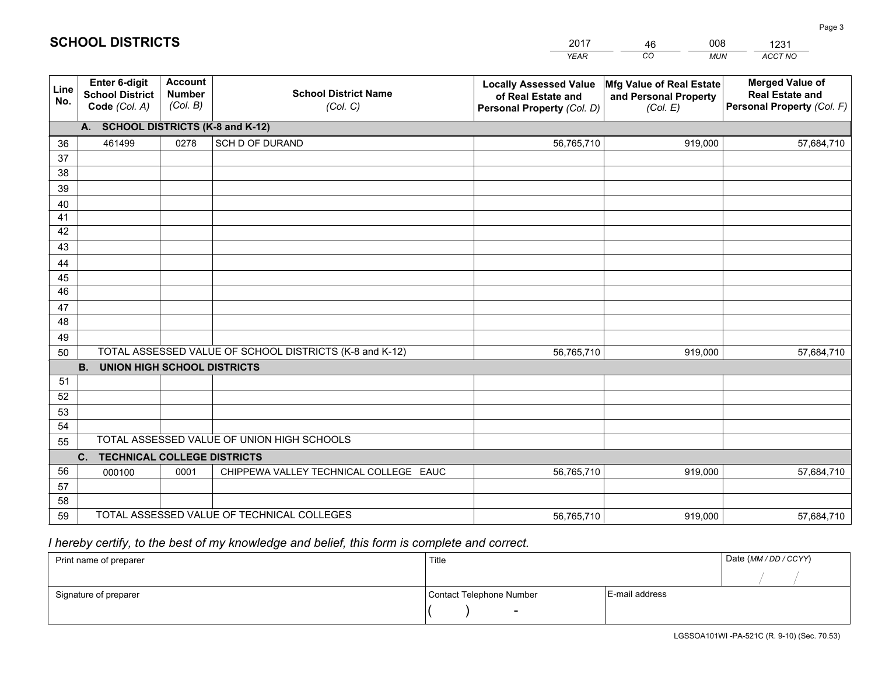|             |                                                                 |                                             |                                                         | <b>YEAR</b>                                                                       | CO<br><b>MUN</b>                                              | ACCT NO                                                                        |
|-------------|-----------------------------------------------------------------|---------------------------------------------|---------------------------------------------------------|-----------------------------------------------------------------------------------|---------------------------------------------------------------|--------------------------------------------------------------------------------|
| Line<br>No. | <b>Enter 6-digit</b><br><b>School District</b><br>Code (Col. A) | <b>Account</b><br><b>Number</b><br>(Col. B) | <b>School District Name</b><br>(Col. C)                 | <b>Locally Assessed Value</b><br>of Real Estate and<br>Personal Property (Col. D) | Mfg Value of Real Estate<br>and Personal Property<br>(Col. E) | <b>Merged Value of</b><br><b>Real Estate and</b><br>Personal Property (Col. F) |
|             | A. SCHOOL DISTRICTS (K-8 and K-12)                              |                                             |                                                         |                                                                                   |                                                               |                                                                                |
| 36          | 461499                                                          | 0278                                        | <b>SCH D OF DURAND</b>                                  | 56,765,710                                                                        | 919.000                                                       | 57,684,710                                                                     |
| 37          |                                                                 |                                             |                                                         |                                                                                   |                                                               |                                                                                |
| 38          |                                                                 |                                             |                                                         |                                                                                   |                                                               |                                                                                |
| 39          |                                                                 |                                             |                                                         |                                                                                   |                                                               |                                                                                |
| 40          |                                                                 |                                             |                                                         |                                                                                   |                                                               |                                                                                |
| 41          |                                                                 |                                             |                                                         |                                                                                   |                                                               |                                                                                |
| 42          |                                                                 |                                             |                                                         |                                                                                   |                                                               |                                                                                |
| 43          |                                                                 |                                             |                                                         |                                                                                   |                                                               |                                                                                |
| 44<br>45    |                                                                 |                                             |                                                         |                                                                                   |                                                               |                                                                                |
| 46          |                                                                 |                                             |                                                         |                                                                                   |                                                               |                                                                                |
| 47          |                                                                 |                                             |                                                         |                                                                                   |                                                               |                                                                                |
| 48          |                                                                 |                                             |                                                         |                                                                                   |                                                               |                                                                                |
| 49          |                                                                 |                                             |                                                         |                                                                                   |                                                               |                                                                                |
| 50          |                                                                 |                                             | TOTAL ASSESSED VALUE OF SCHOOL DISTRICTS (K-8 and K-12) | 56,765,710                                                                        | 919,000                                                       | 57,684,710                                                                     |
|             | <b>B. UNION HIGH SCHOOL DISTRICTS</b>                           |                                             |                                                         |                                                                                   |                                                               |                                                                                |
| 51          |                                                                 |                                             |                                                         |                                                                                   |                                                               |                                                                                |
| 52          |                                                                 |                                             |                                                         |                                                                                   |                                                               |                                                                                |
| 53          |                                                                 |                                             |                                                         |                                                                                   |                                                               |                                                                                |
| 54          |                                                                 |                                             |                                                         |                                                                                   |                                                               |                                                                                |
| 55          |                                                                 |                                             | TOTAL ASSESSED VALUE OF UNION HIGH SCHOOLS              |                                                                                   |                                                               |                                                                                |
|             | C.<br><b>TECHNICAL COLLEGE DISTRICTS</b>                        |                                             |                                                         |                                                                                   |                                                               |                                                                                |
| 56          | 000100                                                          | 0001                                        | CHIPPEWA VALLEY TECHNICAL COLLEGE EAUC                  | 56,765,710                                                                        | 919,000                                                       | 57,684,710                                                                     |
| 57<br>58    |                                                                 |                                             |                                                         |                                                                                   |                                                               |                                                                                |
| 59          |                                                                 |                                             | TOTAL ASSESSED VALUE OF TECHNICAL COLLEGES              | 56,765,710                                                                        | 919,000                                                       | 57,684,710                                                                     |
|             |                                                                 |                                             |                                                         |                                                                                   |                                                               |                                                                                |

46

008

 *I hereby certify, to the best of my knowledge and belief, this form is complete and correct.*

**SCHOOL DISTRICTS**

| Print name of preparer | Title                    |                | Date (MM / DD / CCYY) |
|------------------------|--------------------------|----------------|-----------------------|
|                        |                          |                |                       |
| Signature of preparer  | Contact Telephone Number | E-mail address |                       |
|                        | $\sim$                   |                |                       |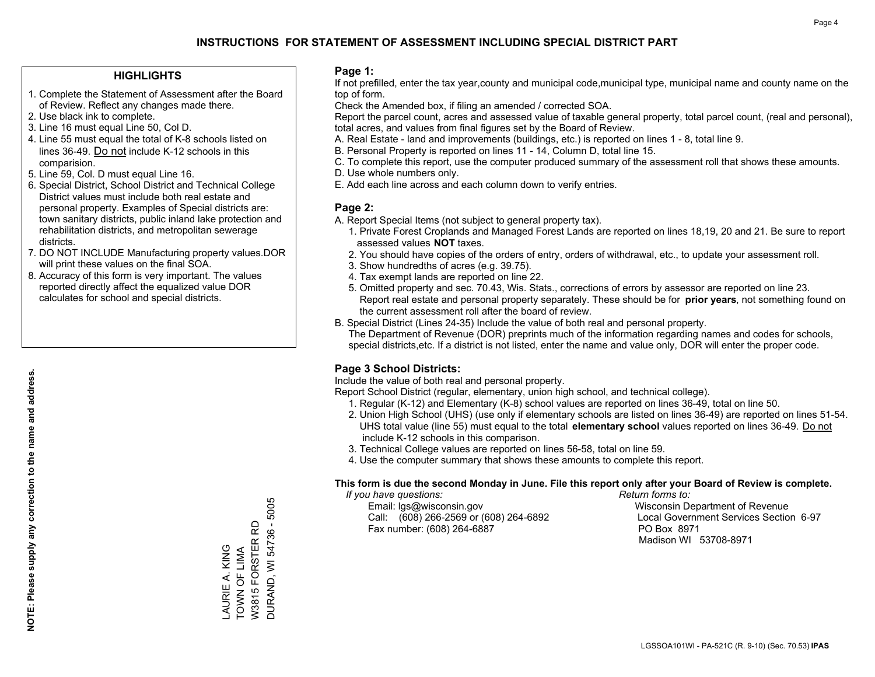### **HIGHLIGHTS**

- 1. Complete the Statement of Assessment after the Board of Review. Reflect any changes made there.
- 2. Use black ink to complete.
- 3. Line 16 must equal Line 50, Col D.
- 4. Line 55 must equal the total of K-8 schools listed on lines 36-49. Do not include K-12 schools in this comparision.
- 5. Line 59, Col. D must equal Line 16.
- 6. Special District, School District and Technical College District values must include both real estate and personal property. Examples of Special districts are: town sanitary districts, public inland lake protection and rehabilitation districts, and metropolitan sewerage districts.
- 7. DO NOT INCLUDE Manufacturing property values.DOR will print these values on the final SOA.

LAURIE A. KING TOWN OF LIMA W3815 FORSTER RD DURAND, WI 54736 - 5005

LAURIE A. KING<br>TOWN OF LIMA

**DURAND, WI 54736 - 5005** W3815 FORSTER RD

 8. Accuracy of this form is very important. The values reported directly affect the equalized value DOR calculates for school and special districts.

#### **Page 1:**

 If not prefilled, enter the tax year,county and municipal code,municipal type, municipal name and county name on the top of form.

Check the Amended box, if filing an amended / corrected SOA.

 Report the parcel count, acres and assessed value of taxable general property, total parcel count, (real and personal), total acres, and values from final figures set by the Board of Review.

- A. Real Estate land and improvements (buildings, etc.) is reported on lines 1 8, total line 9.
- B. Personal Property is reported on lines 11 14, Column D, total line 15.
- C. To complete this report, use the computer produced summary of the assessment roll that shows these amounts.
- D. Use whole numbers only.
- E. Add each line across and each column down to verify entries.

### **Page 2:**

- A. Report Special Items (not subject to general property tax).
- 1. Private Forest Croplands and Managed Forest Lands are reported on lines 18,19, 20 and 21. Be sure to report assessed values **NOT** taxes.
- 2. You should have copies of the orders of entry, orders of withdrawal, etc., to update your assessment roll.
	- 3. Show hundredths of acres (e.g. 39.75).
- 4. Tax exempt lands are reported on line 22.
- 5. Omitted property and sec. 70.43, Wis. Stats., corrections of errors by assessor are reported on line 23. Report real estate and personal property separately. These should be for **prior years**, not something found on the current assessment roll after the board of review.
- B. Special District (Lines 24-35) Include the value of both real and personal property.

 The Department of Revenue (DOR) preprints much of the information regarding names and codes for schools, special districts,etc. If a district is not listed, enter the name and value only, DOR will enter the proper code.

### **Page 3 School Districts:**

Include the value of both real and personal property.

Report School District (regular, elementary, union high school, and technical college).

- 1. Regular (K-12) and Elementary (K-8) school values are reported on lines 36-49, total on line 50.
- 2. Union High School (UHS) (use only if elementary schools are listed on lines 36-49) are reported on lines 51-54. UHS total value (line 55) must equal to the total **elementary school** values reported on lines 36-49. Do notinclude K-12 schools in this comparison.
- 3. Technical College values are reported on lines 56-58, total on line 59.
- 4. Use the computer summary that shows these amounts to complete this report.

#### **This form is due the second Monday in June. File this report only after your Board of Review is complete.**

 *If you have questions: Return forms to:*

 Email: lgs@wisconsin.gov Wisconsin Department of RevenueCall:  $(608)$  266-2569 or  $(608)$  264-6892 Fax number: (608) 264-6887 PO Box 8971

Local Government Services Section 6-97 Madison WI 53708-8971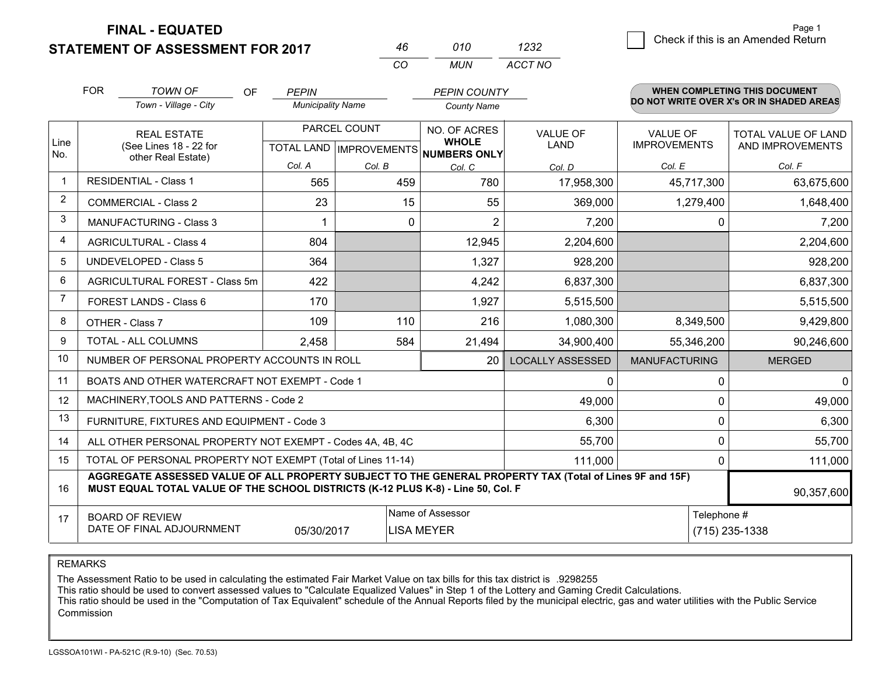**FINAL - EQUATED**

**STATEMENT OF ASSESSMENT FOR 2017** 

| 46  | 010   | 1232    |
|-----|-------|---------|
| CO. | MI IN | ACCT NO |

|             | <b>FOR</b>                                                                                                                                                                                   | <b>TOWN OF</b><br>OF                                         | <b>PEPIN</b>             |                                      | <b>PEPIN COUNTY</b> |                         |                      | WHEN COMPLETING THIS DOCUMENT            |  |
|-------------|----------------------------------------------------------------------------------------------------------------------------------------------------------------------------------------------|--------------------------------------------------------------|--------------------------|--------------------------------------|---------------------|-------------------------|----------------------|------------------------------------------|--|
|             |                                                                                                                                                                                              | Town - Village - City                                        | <b>Municipality Name</b> |                                      | <b>County Name</b>  |                         |                      | DO NOT WRITE OVER X's OR IN SHADED AREAS |  |
|             |                                                                                                                                                                                              | <b>REAL ESTATE</b>                                           |                          | PARCEL COUNT                         | NO. OF ACRES        | <b>VALUE OF</b>         | <b>VALUE OF</b>      | <b>TOTAL VALUE OF LAND</b>               |  |
| Line<br>No. |                                                                                                                                                                                              | (See Lines 18 - 22 for<br>other Real Estate)                 |                          | TOTAL LAND IMPROVEMENTS NUMBERS ONLY | <b>WHOLE</b>        | <b>LAND</b>             | <b>IMPROVEMENTS</b>  | AND IMPROVEMENTS                         |  |
|             |                                                                                                                                                                                              |                                                              | Col. A                   | Col. B                               | Col. C              | Col. D                  | Col. E               | Col. F                                   |  |
|             |                                                                                                                                                                                              | <b>RESIDENTIAL - Class 1</b>                                 | 565                      | 459                                  | 780                 | 17,958,300              | 45,717,300           | 63,675,600                               |  |
| 2           |                                                                                                                                                                                              | <b>COMMERCIAL - Class 2</b>                                  | 23                       | 15                                   | 55                  | 369,000                 | 1,279,400            | 1,648,400                                |  |
| 3           |                                                                                                                                                                                              | <b>MANUFACTURING - Class 3</b>                               | 1                        | $\Omega$                             | $\overline{2}$      | 7,200                   | 0                    | 7,200                                    |  |
| 4           |                                                                                                                                                                                              | <b>AGRICULTURAL - Class 4</b>                                | 804                      |                                      | 12,945              | 2,204,600               |                      | 2,204,600                                |  |
| 5           |                                                                                                                                                                                              | <b>UNDEVELOPED - Class 5</b>                                 | 364                      |                                      | 1,327               | 928,200                 |                      | 928,200                                  |  |
| 6           |                                                                                                                                                                                              | AGRICULTURAL FOREST - Class 5m                               | 422                      |                                      | 4,242               | 6,837,300               |                      | 6,837,300                                |  |
| 7           |                                                                                                                                                                                              | FOREST LANDS - Class 6                                       | 170                      |                                      | 1,927               | 5,515,500               |                      | 5,515,500                                |  |
| 8           |                                                                                                                                                                                              | OTHER - Class 7                                              | 109                      | 110                                  | 216                 | 1,080,300               | 8,349,500            | 9,429,800                                |  |
| 9           |                                                                                                                                                                                              | TOTAL - ALL COLUMNS                                          | 2,458                    | 584                                  | 21,494              | 34,900,400              | 55,346,200           | 90,246,600                               |  |
| 10          |                                                                                                                                                                                              | NUMBER OF PERSONAL PROPERTY ACCOUNTS IN ROLL                 |                          |                                      | 20                  | <b>LOCALLY ASSESSED</b> | <b>MANUFACTURING</b> | <b>MERGED</b>                            |  |
| 11          |                                                                                                                                                                                              | BOATS AND OTHER WATERCRAFT NOT EXEMPT - Code 1               |                          |                                      |                     | $\Omega$                | 0                    | <sup>0</sup>                             |  |
| 12          |                                                                                                                                                                                              | MACHINERY, TOOLS AND PATTERNS - Code 2                       |                          |                                      |                     | 49,000                  | 0                    | 49,000                                   |  |
| 13          |                                                                                                                                                                                              | FURNITURE, FIXTURES AND EQUIPMENT - Code 3                   |                          |                                      |                     | 6,300                   | 0                    | 6,300                                    |  |
| 14          |                                                                                                                                                                                              | ALL OTHER PERSONAL PROPERTY NOT EXEMPT - Codes 4A, 4B, 4C    |                          |                                      |                     | 55,700                  | 0                    | 55,700                                   |  |
| 15          |                                                                                                                                                                                              | TOTAL OF PERSONAL PROPERTY NOT EXEMPT (Total of Lines 11-14) |                          |                                      | 111,000             | 0                       | 111,000              |                                          |  |
| 16          | AGGREGATE ASSESSED VALUE OF ALL PROPERTY SUBJECT TO THE GENERAL PROPERTY TAX (Total of Lines 9F and 15F)<br>MUST EQUAL TOTAL VALUE OF THE SCHOOL DISTRICTS (K-12 PLUS K-8) - Line 50, Col. F |                                                              |                          |                                      |                     |                         |                      | 90,357,600                               |  |
| 17          |                                                                                                                                                                                              | <b>BOARD OF REVIEW</b>                                       |                          |                                      | Name of Assessor    |                         | Telephone #          |                                          |  |
|             |                                                                                                                                                                                              | DATE OF FINAL ADJOURNMENT                                    | 05/30/2017               |                                      | <b>LISA MEYER</b>   |                         |                      | (715) 235-1338                           |  |

REMARKS

The Assessment Ratio to be used in calculating the estimated Fair Market Value on tax bills for this tax district is .9298255

This ratio should be used to convert assessed values to "Calculate Equalized Values" in Step 1 of the Lottery and Gaming Credit Calculations.<br>This ratio should be used in the "Computation of Tax Equivalent" schedule of the Commission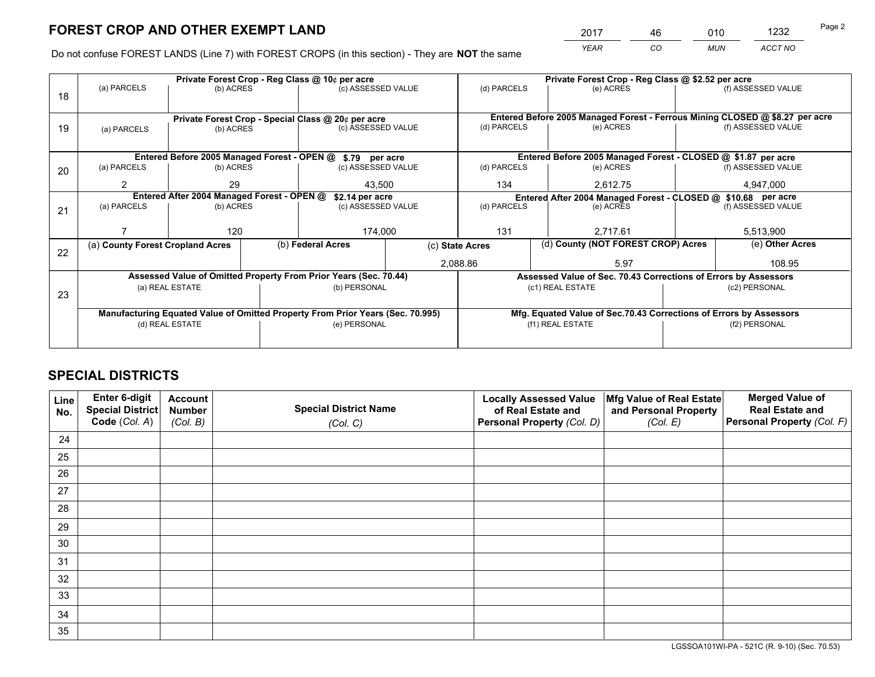*YEAR CO MUN ACCT NO* <sup>2017</sup> <sup>46</sup> <sup>010</sup> <sup>1232</sup>

Do not confuse FOREST LANDS (Line 7) with FOREST CROPS (in this section) - They are **NOT** the same

|    | Private Forest Crop - Reg Class @ 10¢ per acre                                 |                 |  |                                                                  |  | Private Forest Crop - Reg Class @ \$2.52 per acre                  |                                                                              |           |                    |  |
|----|--------------------------------------------------------------------------------|-----------------|--|------------------------------------------------------------------|--|--------------------------------------------------------------------|------------------------------------------------------------------------------|-----------|--------------------|--|
| 18 | (a) PARCELS                                                                    | (b) ACRES       |  | (c) ASSESSED VALUE                                               |  | (d) PARCELS                                                        | (e) ACRES                                                                    |           | (f) ASSESSED VALUE |  |
|    |                                                                                |                 |  | Private Forest Crop - Special Class @ 20¢ per acre               |  |                                                                    | Entered Before 2005 Managed Forest - Ferrous Mining CLOSED @ \$8.27 per acre |           |                    |  |
| 19 | (a) PARCELS                                                                    | (b) ACRES       |  | (c) ASSESSED VALUE                                               |  | (d) PARCELS                                                        | (e) ACRES                                                                    |           | (f) ASSESSED VALUE |  |
|    |                                                                                |                 |  |                                                                  |  |                                                                    |                                                                              |           |                    |  |
|    |                                                                                |                 |  | Entered Before 2005 Managed Forest - OPEN @ \$.79 per acre       |  |                                                                    | Entered Before 2005 Managed Forest - CLOSED @ \$1.87 per acre                |           |                    |  |
| 20 | (a) PARCELS                                                                    | (b) ACRES       |  | (c) ASSESSED VALUE                                               |  | (d) PARCELS                                                        | (e) ACRES                                                                    |           | (f) ASSESSED VALUE |  |
|    | 2                                                                              | 29              |  | 43.500                                                           |  | 134<br>2,612.75                                                    |                                                                              |           | 4,947,000          |  |
|    | Entered After 2004 Managed Forest - OPEN @<br>\$2.14 per acre                  |                 |  |                                                                  |  | Entered After 2004 Managed Forest - CLOSED @ \$10.68 per acre      |                                                                              |           |                    |  |
| 21 | (a) PARCELS                                                                    | (b) ACRES       |  | (c) ASSESSED VALUE                                               |  | (d) PARCELS<br>(e) ACRES                                           |                                                                              |           | (f) ASSESSED VALUE |  |
|    |                                                                                |                 |  |                                                                  |  |                                                                    |                                                                              |           |                    |  |
|    |                                                                                | 120             |  | 174,000                                                          |  | 131<br>2,717.61                                                    |                                                                              | 5,513,900 |                    |  |
| 22 | (a) County Forest Cropland Acres                                               |                 |  | (b) Federal Acres                                                |  | (c) State Acres                                                    | (d) County (NOT FOREST CROP) Acres                                           |           | (e) Other Acres    |  |
|    |                                                                                |                 |  |                                                                  |  | 2,088.86                                                           | 5.97                                                                         |           | 108.95             |  |
|    |                                                                                |                 |  | Assessed Value of Omitted Property From Prior Years (Sec. 70.44) |  | Assessed Value of Sec. 70.43 Corrections of Errors by Assessors    |                                                                              |           |                    |  |
|    |                                                                                | (a) REAL ESTATE |  | (b) PERSONAL                                                     |  |                                                                    | (c1) REAL ESTATE                                                             |           | (c2) PERSONAL      |  |
| 23 |                                                                                |                 |  |                                                                  |  |                                                                    |                                                                              |           |                    |  |
|    | Manufacturing Equated Value of Omitted Property From Prior Years (Sec. 70.995) |                 |  |                                                                  |  | Mfg. Equated Value of Sec.70.43 Corrections of Errors by Assessors |                                                                              |           |                    |  |
|    | (d) REAL ESTATE                                                                |                 |  | (e) PERSONAL                                                     |  | (f1) REAL ESTATE                                                   |                                                                              |           | (f2) PERSONAL      |  |
|    |                                                                                |                 |  |                                                                  |  |                                                                    |                                                                              |           |                    |  |

## **SPECIAL DISTRICTS**

| Line<br>No. | Enter 6-digit<br>Special District<br>Code (Col. A) | <b>Account</b><br><b>Number</b> | <b>Special District Name</b> | <b>Locally Assessed Value</b><br>of Real Estate and | Mfg Value of Real Estate<br>and Personal Property | <b>Merged Value of</b><br><b>Real Estate and</b><br>Personal Property (Col. F) |
|-------------|----------------------------------------------------|---------------------------------|------------------------------|-----------------------------------------------------|---------------------------------------------------|--------------------------------------------------------------------------------|
|             |                                                    | (Col. B)                        | (Col. C)                     | Personal Property (Col. D)                          | (Col. E)                                          |                                                                                |
| 24          |                                                    |                                 |                              |                                                     |                                                   |                                                                                |
| 25          |                                                    |                                 |                              |                                                     |                                                   |                                                                                |
| 26          |                                                    |                                 |                              |                                                     |                                                   |                                                                                |
| 27          |                                                    |                                 |                              |                                                     |                                                   |                                                                                |
| 28          |                                                    |                                 |                              |                                                     |                                                   |                                                                                |
| 29          |                                                    |                                 |                              |                                                     |                                                   |                                                                                |
| 30          |                                                    |                                 |                              |                                                     |                                                   |                                                                                |
| 31          |                                                    |                                 |                              |                                                     |                                                   |                                                                                |
| 32          |                                                    |                                 |                              |                                                     |                                                   |                                                                                |
| 33          |                                                    |                                 |                              |                                                     |                                                   |                                                                                |
| 34          |                                                    |                                 |                              |                                                     |                                                   |                                                                                |
| 35          |                                                    |                                 |                              |                                                     |                                                   |                                                                                |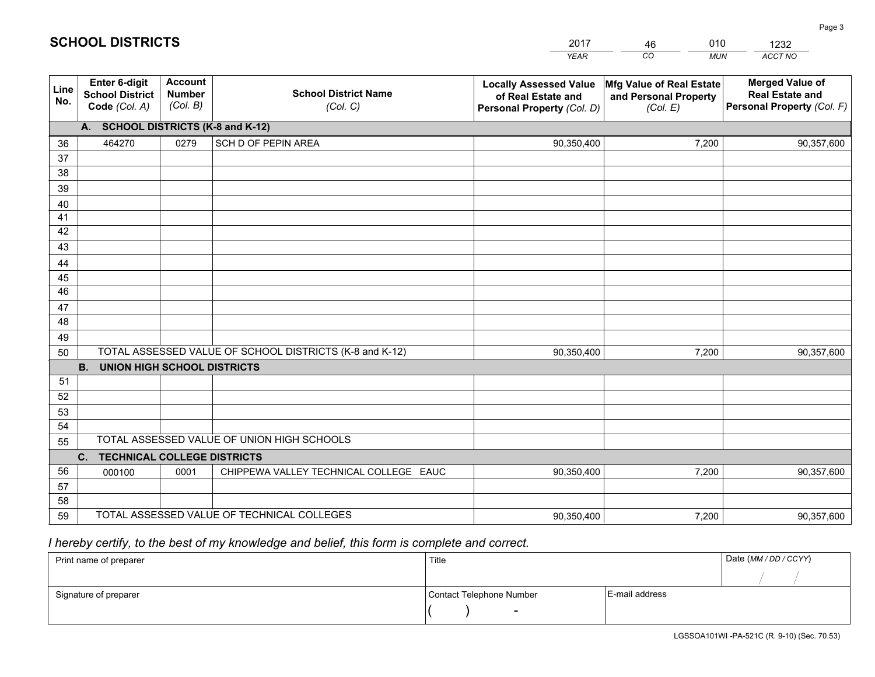|             |                                                                 |                                             |                                                         | <b>YEAR</b>                                                                       | CO<br><b>MUN</b>                                              | ACCT NO                                                                        |
|-------------|-----------------------------------------------------------------|---------------------------------------------|---------------------------------------------------------|-----------------------------------------------------------------------------------|---------------------------------------------------------------|--------------------------------------------------------------------------------|
| Line<br>No. | <b>Enter 6-digit</b><br><b>School District</b><br>Code (Col. A) | <b>Account</b><br><b>Number</b><br>(Col. B) | <b>School District Name</b><br>(Col. C)                 | <b>Locally Assessed Value</b><br>of Real Estate and<br>Personal Property (Col. D) | Mfg Value of Real Estate<br>and Personal Property<br>(Col. E) | <b>Merged Value of</b><br><b>Real Estate and</b><br>Personal Property (Col. F) |
|             | A. SCHOOL DISTRICTS (K-8 and K-12)                              |                                             |                                                         |                                                                                   |                                                               |                                                                                |
| 36          | 464270                                                          | 0279                                        | SCH D OF PEPIN AREA                                     | 90,350,400                                                                        | 7,200                                                         | 90,357,600                                                                     |
| 37          |                                                                 |                                             |                                                         |                                                                                   |                                                               |                                                                                |
| 38          |                                                                 |                                             |                                                         |                                                                                   |                                                               |                                                                                |
| 39          |                                                                 |                                             |                                                         |                                                                                   |                                                               |                                                                                |
| 40          |                                                                 |                                             |                                                         |                                                                                   |                                                               |                                                                                |
| 41<br>42    |                                                                 |                                             |                                                         |                                                                                   |                                                               |                                                                                |
| 43          |                                                                 |                                             |                                                         |                                                                                   |                                                               |                                                                                |
| 44          |                                                                 |                                             |                                                         |                                                                                   |                                                               |                                                                                |
| 45          |                                                                 |                                             |                                                         |                                                                                   |                                                               |                                                                                |
| 46          |                                                                 |                                             |                                                         |                                                                                   |                                                               |                                                                                |
| 47          |                                                                 |                                             |                                                         |                                                                                   |                                                               |                                                                                |
| 48          |                                                                 |                                             |                                                         |                                                                                   |                                                               |                                                                                |
| 49          |                                                                 |                                             |                                                         |                                                                                   |                                                               |                                                                                |
| 50          |                                                                 |                                             | TOTAL ASSESSED VALUE OF SCHOOL DISTRICTS (K-8 and K-12) | 90,350,400                                                                        | 7,200                                                         | 90,357,600                                                                     |
|             | <b>B. UNION HIGH SCHOOL DISTRICTS</b>                           |                                             |                                                         |                                                                                   |                                                               |                                                                                |
| 51          |                                                                 |                                             |                                                         |                                                                                   |                                                               |                                                                                |
| 52          |                                                                 |                                             |                                                         |                                                                                   |                                                               |                                                                                |
| 53<br>54    |                                                                 |                                             |                                                         |                                                                                   |                                                               |                                                                                |
| 55          |                                                                 |                                             | TOTAL ASSESSED VALUE OF UNION HIGH SCHOOLS              |                                                                                   |                                                               |                                                                                |
|             | C.<br><b>TECHNICAL COLLEGE DISTRICTS</b>                        |                                             |                                                         |                                                                                   |                                                               |                                                                                |
| 56          | 000100                                                          | 0001                                        | CHIPPEWA VALLEY TECHNICAL COLLEGE EAUC                  | 90,350,400                                                                        | 7,200                                                         | 90,357,600                                                                     |
| 57          |                                                                 |                                             |                                                         |                                                                                   |                                                               |                                                                                |
| 58          |                                                                 |                                             |                                                         |                                                                                   |                                                               |                                                                                |
| 59          |                                                                 |                                             | TOTAL ASSESSED VALUE OF TECHNICAL COLLEGES              | 90,350,400                                                                        | 7,200                                                         | 90,357,600                                                                     |

46

010

 *I hereby certify, to the best of my knowledge and belief, this form is complete and correct.*

**SCHOOL DISTRICTS**

| Print name of preparer | Title                    |                | Date (MM / DD / CCYY) |
|------------------------|--------------------------|----------------|-----------------------|
|                        |                          |                |                       |
| Signature of preparer  | Contact Telephone Number | E-mail address |                       |
|                        | $\sim$                   |                |                       |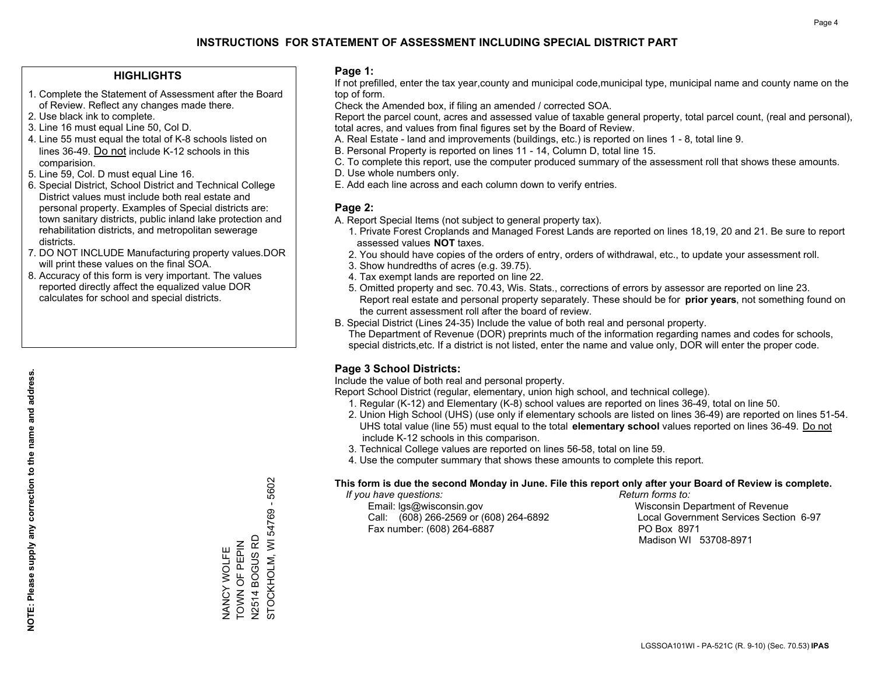### **HIGHLIGHTS**

- 1. Complete the Statement of Assessment after the Board of Review. Reflect any changes made there.
- 2. Use black ink to complete.
- 3. Line 16 must equal Line 50, Col D.
- 4. Line 55 must equal the total of K-8 schools listed on lines 36-49. Do not include K-12 schools in this comparision.
- 5. Line 59, Col. D must equal Line 16.
- 6. Special District, School District and Technical College District values must include both real estate and personal property. Examples of Special districts are: town sanitary districts, public inland lake protection and rehabilitation districts, and metropolitan sewerage districts.
- 7. DO NOT INCLUDE Manufacturing property values.DOR will print these values on the final SOA.

NANCY WOLFE TOWN OF PEPIN N2514 BOGUS RD STOCKHOLM, WI 54769 - 5602

STOCKHOLM, WI 54769 - 5602

N2514 BOGUS RD NANCY WOLFE<br>TOWN OF PEPIN

 8. Accuracy of this form is very important. The values reported directly affect the equalized value DOR calculates for school and special districts.

#### **Page 1:**

 If not prefilled, enter the tax year,county and municipal code,municipal type, municipal name and county name on the top of form.

Check the Amended box, if filing an amended / corrected SOA.

 Report the parcel count, acres and assessed value of taxable general property, total parcel count, (real and personal), total acres, and values from final figures set by the Board of Review.

- A. Real Estate land and improvements (buildings, etc.) is reported on lines 1 8, total line 9.
- B. Personal Property is reported on lines 11 14, Column D, total line 15.
- C. To complete this report, use the computer produced summary of the assessment roll that shows these amounts.
- D. Use whole numbers only.
- E. Add each line across and each column down to verify entries.

### **Page 2:**

- A. Report Special Items (not subject to general property tax).
- 1. Private Forest Croplands and Managed Forest Lands are reported on lines 18,19, 20 and 21. Be sure to report assessed values **NOT** taxes.
- 2. You should have copies of the orders of entry, orders of withdrawal, etc., to update your assessment roll.
	- 3. Show hundredths of acres (e.g. 39.75).
- 4. Tax exempt lands are reported on line 22.
- 5. Omitted property and sec. 70.43, Wis. Stats., corrections of errors by assessor are reported on line 23. Report real estate and personal property separately. These should be for **prior years**, not something found on the current assessment roll after the board of review.
- B. Special District (Lines 24-35) Include the value of both real and personal property.

 The Department of Revenue (DOR) preprints much of the information regarding names and codes for schools, special districts,etc. If a district is not listed, enter the name and value only, DOR will enter the proper code.

### **Page 3 School Districts:**

Include the value of both real and personal property.

Report School District (regular, elementary, union high school, and technical college).

- 1. Regular (K-12) and Elementary (K-8) school values are reported on lines 36-49, total on line 50.
- 2. Union High School (UHS) (use only if elementary schools are listed on lines 36-49) are reported on lines 51-54. UHS total value (line 55) must equal to the total **elementary school** values reported on lines 36-49. Do notinclude K-12 schools in this comparison.
- 3. Technical College values are reported on lines 56-58, total on line 59.
- 4. Use the computer summary that shows these amounts to complete this report.

#### **This form is due the second Monday in June. File this report only after your Board of Review is complete.**

 *If you have questions: Return forms to:*

 Email: lgs@wisconsin.gov Wisconsin Department of RevenueCall:  $(608)$  266-2569 or  $(608)$  264-6892 Fax number: (608) 264-6887 PO Box 8971

Local Government Services Section 6-97 Madison WI 53708-8971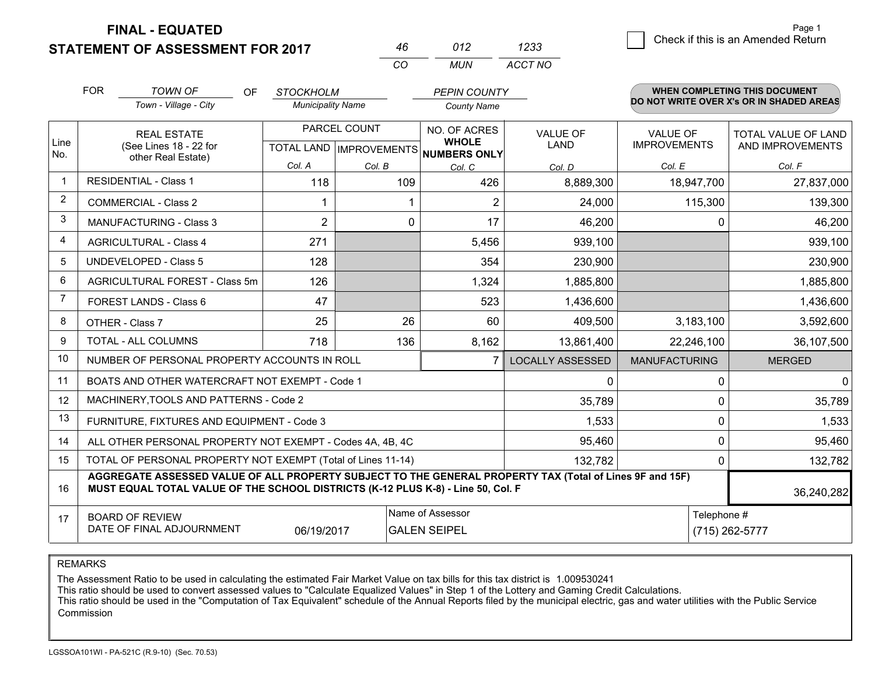**STATEMENT OF ASSESSMENT FOR 2017 FINAL - EQUATED**

| 46 | 012 | 1233    |
|----|-----|---------|
| CO | MUN | ACCT NO |

|                | <b>FOR</b> | <b>TOWN OF</b><br><b>OF</b>                                                                                                                                                                  | <b>STOCKHOLM</b>         |                           | <b>PEPIN COUNTY</b>          |                         |                      | <b>WHEN COMPLETING THIS DOCUMENT</b>     |
|----------------|------------|----------------------------------------------------------------------------------------------------------------------------------------------------------------------------------------------|--------------------------|---------------------------|------------------------------|-------------------------|----------------------|------------------------------------------|
|                |            | Town - Village - City                                                                                                                                                                        | <b>Municipality Name</b> |                           | <b>County Name</b>           |                         |                      | DO NOT WRITE OVER X's OR IN SHADED AREAS |
|                |            | <b>REAL ESTATE</b>                                                                                                                                                                           |                          | PARCEL COUNT              | NO. OF ACRES                 | <b>VALUE OF</b>         | <b>VALUE OF</b>      | TOTAL VALUE OF LAND                      |
| Line<br>No.    |            | (See Lines 18 - 22 for<br>other Real Estate)                                                                                                                                                 |                          | TOTAL LAND   IMPROVEMENTS | <b>WHOLE</b><br>NUMBERS ONLY | LAND                    | <b>IMPROVEMENTS</b>  | AND IMPROVEMENTS                         |
|                |            |                                                                                                                                                                                              | Col. A                   | Col. B                    | Col. C                       | Col. D                  | Col. E               | Col. F                                   |
| -1             |            | <b>RESIDENTIAL - Class 1</b>                                                                                                                                                                 | 118                      | 109                       | 426                          | 8,889,300               | 18,947,700           | 27,837,000                               |
| 2              |            | <b>COMMERCIAL - Class 2</b>                                                                                                                                                                  |                          |                           | $\overline{2}$               | 24,000                  | 115,300              | 139,300                                  |
| 3              |            | <b>MANUFACTURING - Class 3</b>                                                                                                                                                               | $\overline{2}$           | 0                         | 17                           | 46,200                  | 0                    | 46,200                                   |
| 4              |            | <b>AGRICULTURAL - Class 4</b>                                                                                                                                                                | 271                      |                           | 5,456                        | 939,100                 |                      | 939,100                                  |
| 5              |            | UNDEVELOPED - Class 5                                                                                                                                                                        | 128                      |                           | 354                          | 230,900                 |                      | 230,900                                  |
| 6              |            | AGRICULTURAL FOREST - Class 5m                                                                                                                                                               | 126                      |                           | 1,324                        | 1,885,800               |                      | 1,885,800                                |
| $\overline{7}$ |            | FOREST LANDS - Class 6                                                                                                                                                                       | 47                       |                           | 523                          | 1,436,600               |                      | 1,436,600                                |
| 8              |            | OTHER - Class 7                                                                                                                                                                              | 25                       | 26                        | 60                           | 409,500                 | 3,183,100            | 3,592,600                                |
| 9              |            | TOTAL - ALL COLUMNS                                                                                                                                                                          | 718                      | 136                       | 8,162                        | 13,861,400              | 22,246,100           | 36,107,500                               |
| 10             |            | NUMBER OF PERSONAL PROPERTY ACCOUNTS IN ROLL                                                                                                                                                 |                          |                           | $\overline{7}$               | <b>LOCALLY ASSESSED</b> | <b>MANUFACTURING</b> | <b>MERGED</b>                            |
| 11             |            | BOATS AND OTHER WATERCRAFT NOT EXEMPT - Code 1                                                                                                                                               |                          |                           |                              | 0                       | 0                    | $\overline{0}$                           |
| 12             |            | MACHINERY, TOOLS AND PATTERNS - Code 2                                                                                                                                                       |                          |                           |                              | 35,789                  | $\Omega$             | 35,789                                   |
| 13             |            | FURNITURE, FIXTURES AND EQUIPMENT - Code 3                                                                                                                                                   |                          |                           |                              | 1,533                   | 0                    | 1,533                                    |
| 14             |            | ALL OTHER PERSONAL PROPERTY NOT EXEMPT - Codes 4A, 4B, 4C                                                                                                                                    |                          |                           |                              | 95,460                  | 0                    | 95,460                                   |
| 15             |            | TOTAL OF PERSONAL PROPERTY NOT EXEMPT (Total of Lines 11-14)                                                                                                                                 |                          |                           | 132,782                      | $\Omega$                | 132,782              |                                          |
| 16             |            | AGGREGATE ASSESSED VALUE OF ALL PROPERTY SUBJECT TO THE GENERAL PROPERTY TAX (Total of Lines 9F and 15F)<br>MUST EQUAL TOTAL VALUE OF THE SCHOOL DISTRICTS (K-12 PLUS K-8) - Line 50, Col. F |                          |                           |                              | 36,240,282              |                      |                                          |
| 17             |            | <b>BOARD OF REVIEW</b>                                                                                                                                                                       |                          |                           | Name of Assessor             |                         | Telephone #          |                                          |
|                |            | DATE OF FINAL ADJOURNMENT                                                                                                                                                                    | 06/19/2017               |                           | <b>GALEN SEIPEL</b>          |                         |                      | (715) 262-5777                           |

REMARKS

The Assessment Ratio to be used in calculating the estimated Fair Market Value on tax bills for this tax district is 1.009530241

This ratio should be used to convert assessed values to "Calculate Equalized Values" in Step 1 of the Lottery and Gaming Credit Calculations.

 This ratio should be used in the "Computation of Tax Equivalent" schedule of the Annual Reports filed by the municipal electric, gas and water utilities with the Public Service Commission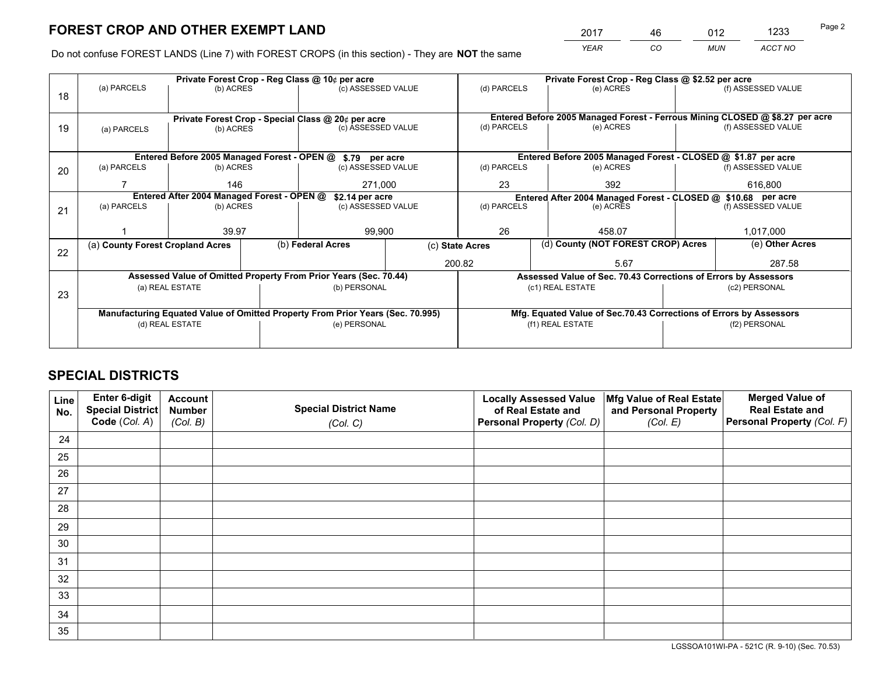*YEAR CO MUN ACCT NO* <u>2017 - 46 - 012 - 1233</u> Page 2

Do not confuse FOREST LANDS (Line 7) with FOREST CROPS (in this section) - They are **NOT** the same

|    | Private Forest Crop - Reg Class @ 10¢ per acre                                 |                                                               |  |                                                                              |  | Private Forest Crop - Reg Class @ \$2.52 per acre                  |                                                                 |               |                    |  |
|----|--------------------------------------------------------------------------------|---------------------------------------------------------------|--|------------------------------------------------------------------------------|--|--------------------------------------------------------------------|-----------------------------------------------------------------|---------------|--------------------|--|
| 18 | (a) PARCELS                                                                    | (b) ACRES                                                     |  | (c) ASSESSED VALUE                                                           |  | (d) PARCELS                                                        | (e) ACRES                                                       |               | (f) ASSESSED VALUE |  |
|    |                                                                                |                                                               |  |                                                                              |  |                                                                    |                                                                 |               |                    |  |
|    | Private Forest Crop - Special Class @ 20¢ per acre                             |                                                               |  | Entered Before 2005 Managed Forest - Ferrous Mining CLOSED @ \$8.27 per acre |  |                                                                    |                                                                 |               |                    |  |
| 19 | (a) PARCELS                                                                    | (b) ACRES                                                     |  | (c) ASSESSED VALUE                                                           |  | (d) PARCELS                                                        | (e) ACRES                                                       |               | (f) ASSESSED VALUE |  |
|    |                                                                                |                                                               |  |                                                                              |  |                                                                    |                                                                 |               |                    |  |
|    |                                                                                |                                                               |  | Entered Before 2005 Managed Forest - OPEN @ \$.79 per acre                   |  |                                                                    | Entered Before 2005 Managed Forest - CLOSED @ \$1.87 per acre   |               |                    |  |
| 20 | (a) PARCELS                                                                    | (b) ACRES                                                     |  | (c) ASSESSED VALUE                                                           |  | (d) PARCELS                                                        | (e) ACRES                                                       |               | (f) ASSESSED VALUE |  |
|    |                                                                                | 146                                                           |  | 271.000                                                                      |  | 23<br>392                                                          |                                                                 |               | 616.800            |  |
|    |                                                                                | Entered After 2004 Managed Forest - OPEN @<br>\$2.14 per acre |  |                                                                              |  | Entered After 2004 Managed Forest - CLOSED @ \$10.68 per acre      |                                                                 |               |                    |  |
| 21 | (a) PARCELS                                                                    | (b) ACRES                                                     |  | (c) ASSESSED VALUE                                                           |  | (d) PARCELS<br>(e) ACRES                                           |                                                                 |               | (f) ASSESSED VALUE |  |
|    |                                                                                |                                                               |  |                                                                              |  |                                                                    |                                                                 |               |                    |  |
|    |                                                                                | 39.97                                                         |  | 99,900                                                                       |  | 26<br>458.07                                                       |                                                                 |               | 1,017,000          |  |
|    | (a) County Forest Cropland Acres                                               |                                                               |  | (b) Federal Acres                                                            |  | (c) State Acres                                                    | (d) County (NOT FOREST CROP) Acres                              |               | (e) Other Acres    |  |
| 22 |                                                                                |                                                               |  |                                                                              |  | 200.82                                                             | 5.67                                                            |               | 287.58             |  |
|    |                                                                                |                                                               |  |                                                                              |  |                                                                    |                                                                 |               |                    |  |
|    |                                                                                |                                                               |  | Assessed Value of Omitted Property From Prior Years (Sec. 70.44)             |  |                                                                    | Assessed Value of Sec. 70.43 Corrections of Errors by Assessors |               |                    |  |
| 23 |                                                                                | (a) REAL ESTATE                                               |  | (b) PERSONAL                                                                 |  |                                                                    | (c1) REAL ESTATE                                                |               | (c2) PERSONAL      |  |
|    |                                                                                |                                                               |  |                                                                              |  |                                                                    |                                                                 |               |                    |  |
|    | Manufacturing Equated Value of Omitted Property From Prior Years (Sec. 70.995) |                                                               |  |                                                                              |  | Mfg. Equated Value of Sec.70.43 Corrections of Errors by Assessors |                                                                 |               |                    |  |
|    | (d) REAL ESTATE                                                                |                                                               |  | (e) PERSONAL                                                                 |  | (f1) REAL ESTATE                                                   |                                                                 | (f2) PERSONAL |                    |  |
|    |                                                                                |                                                               |  |                                                                              |  |                                                                    |                                                                 |               |                    |  |

## **SPECIAL DISTRICTS**

| Line<br>No. | Enter 6-digit<br>Special District | <b>Account</b><br><b>Number</b> | <b>Special District Name</b> | <b>Locally Assessed Value</b><br>of Real Estate and | Mfg Value of Real Estate<br>and Personal Property | <b>Merged Value of</b><br><b>Real Estate and</b> |
|-------------|-----------------------------------|---------------------------------|------------------------------|-----------------------------------------------------|---------------------------------------------------|--------------------------------------------------|
|             | Code (Col. A)                     | (Col. B)                        | (Col. C)                     | Personal Property (Col. D)                          | (Col. E)                                          | Personal Property (Col. F)                       |
| 24          |                                   |                                 |                              |                                                     |                                                   |                                                  |
| 25          |                                   |                                 |                              |                                                     |                                                   |                                                  |
| 26          |                                   |                                 |                              |                                                     |                                                   |                                                  |
| 27          |                                   |                                 |                              |                                                     |                                                   |                                                  |
| 28          |                                   |                                 |                              |                                                     |                                                   |                                                  |
| 29          |                                   |                                 |                              |                                                     |                                                   |                                                  |
| 30          |                                   |                                 |                              |                                                     |                                                   |                                                  |
| 31          |                                   |                                 |                              |                                                     |                                                   |                                                  |
| 32          |                                   |                                 |                              |                                                     |                                                   |                                                  |
| 33          |                                   |                                 |                              |                                                     |                                                   |                                                  |
| 34          |                                   |                                 |                              |                                                     |                                                   |                                                  |
| 35          |                                   |                                 |                              |                                                     |                                                   |                                                  |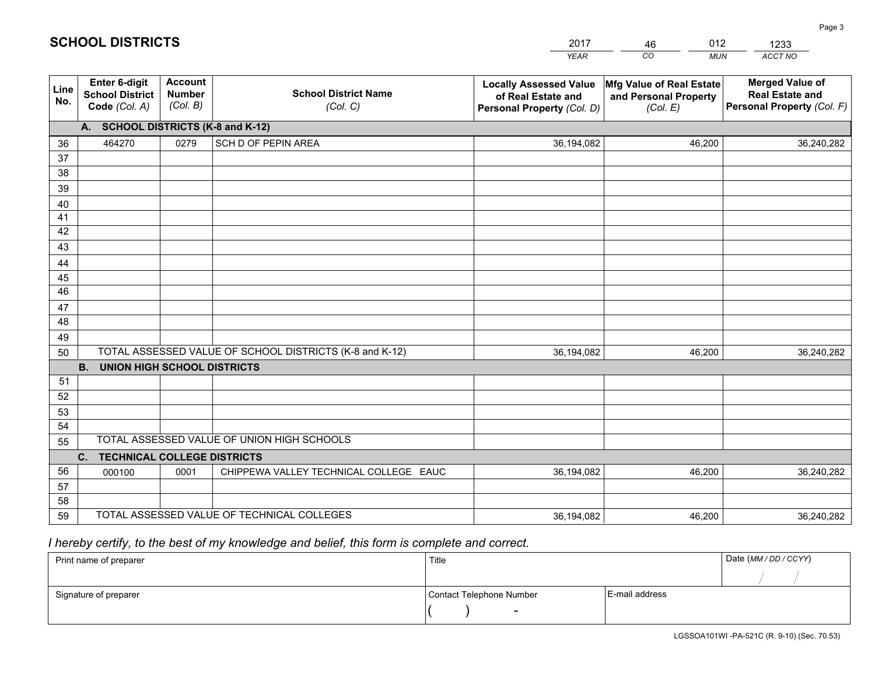|             |                                                                 |                                             |                                                         | <b>YEAR</b>                                                                       | CO<br><b>MUN</b>                                              | ACCT NO                                                                        |
|-------------|-----------------------------------------------------------------|---------------------------------------------|---------------------------------------------------------|-----------------------------------------------------------------------------------|---------------------------------------------------------------|--------------------------------------------------------------------------------|
| Line<br>No. | <b>Enter 6-digit</b><br><b>School District</b><br>Code (Col. A) | <b>Account</b><br><b>Number</b><br>(Col. B) | <b>School District Name</b><br>(Col. C)                 | <b>Locally Assessed Value</b><br>of Real Estate and<br>Personal Property (Col. D) | Mfg Value of Real Estate<br>and Personal Property<br>(Col. E) | <b>Merged Value of</b><br><b>Real Estate and</b><br>Personal Property (Col. F) |
|             | A. SCHOOL DISTRICTS (K-8 and K-12)                              |                                             |                                                         |                                                                                   |                                                               |                                                                                |
| 36          | 464270                                                          | 0279                                        | SCH D OF PEPIN AREA                                     | 36,194,082                                                                        | 46.200                                                        | 36,240,282                                                                     |
| 37          |                                                                 |                                             |                                                         |                                                                                   |                                                               |                                                                                |
| 38          |                                                                 |                                             |                                                         |                                                                                   |                                                               |                                                                                |
| 39          |                                                                 |                                             |                                                         |                                                                                   |                                                               |                                                                                |
| 40          |                                                                 |                                             |                                                         |                                                                                   |                                                               |                                                                                |
| 41<br>42    |                                                                 |                                             |                                                         |                                                                                   |                                                               |                                                                                |
| 43          |                                                                 |                                             |                                                         |                                                                                   |                                                               |                                                                                |
|             |                                                                 |                                             |                                                         |                                                                                   |                                                               |                                                                                |
| 44<br>45    |                                                                 |                                             |                                                         |                                                                                   |                                                               |                                                                                |
| 46          |                                                                 |                                             |                                                         |                                                                                   |                                                               |                                                                                |
| 47          |                                                                 |                                             |                                                         |                                                                                   |                                                               |                                                                                |
| 48          |                                                                 |                                             |                                                         |                                                                                   |                                                               |                                                                                |
| 49          |                                                                 |                                             |                                                         |                                                                                   |                                                               |                                                                                |
| 50          |                                                                 |                                             | TOTAL ASSESSED VALUE OF SCHOOL DISTRICTS (K-8 and K-12) | 36,194,082                                                                        | 46,200                                                        | 36,240,282                                                                     |
|             | <b>B.</b><br>UNION HIGH SCHOOL DISTRICTS                        |                                             |                                                         |                                                                                   |                                                               |                                                                                |
| 51          |                                                                 |                                             |                                                         |                                                                                   |                                                               |                                                                                |
| 52          |                                                                 |                                             |                                                         |                                                                                   |                                                               |                                                                                |
| 53          |                                                                 |                                             |                                                         |                                                                                   |                                                               |                                                                                |
| 54          |                                                                 |                                             |                                                         |                                                                                   |                                                               |                                                                                |
| 55          | TOTAL ASSESSED VALUE OF UNION HIGH SCHOOLS                      |                                             |                                                         |                                                                                   |                                                               |                                                                                |
|             | C.<br><b>TECHNICAL COLLEGE DISTRICTS</b>                        |                                             |                                                         |                                                                                   |                                                               |                                                                                |
| 56          | 000100                                                          | 0001                                        | CHIPPEWA VALLEY TECHNICAL COLLEGE EAUC                  | 36,194,082                                                                        | 46,200                                                        | 36,240,282                                                                     |
| 57          |                                                                 |                                             |                                                         |                                                                                   |                                                               |                                                                                |
| 58<br>59    |                                                                 |                                             | TOTAL ASSESSED VALUE OF TECHNICAL COLLEGES              |                                                                                   |                                                               |                                                                                |
|             |                                                                 |                                             |                                                         | 36,194,082                                                                        | 46,200                                                        | 36,240,282                                                                     |

46

012

 *I hereby certify, to the best of my knowledge and belief, this form is complete and correct.*

**SCHOOL DISTRICTS**

| Print name of preparer | Title                    |                | Date (MM / DD / CCYY) |
|------------------------|--------------------------|----------------|-----------------------|
|                        |                          |                |                       |
| Signature of preparer  | Contact Telephone Number | E-mail address |                       |
|                        | $\sim$                   |                |                       |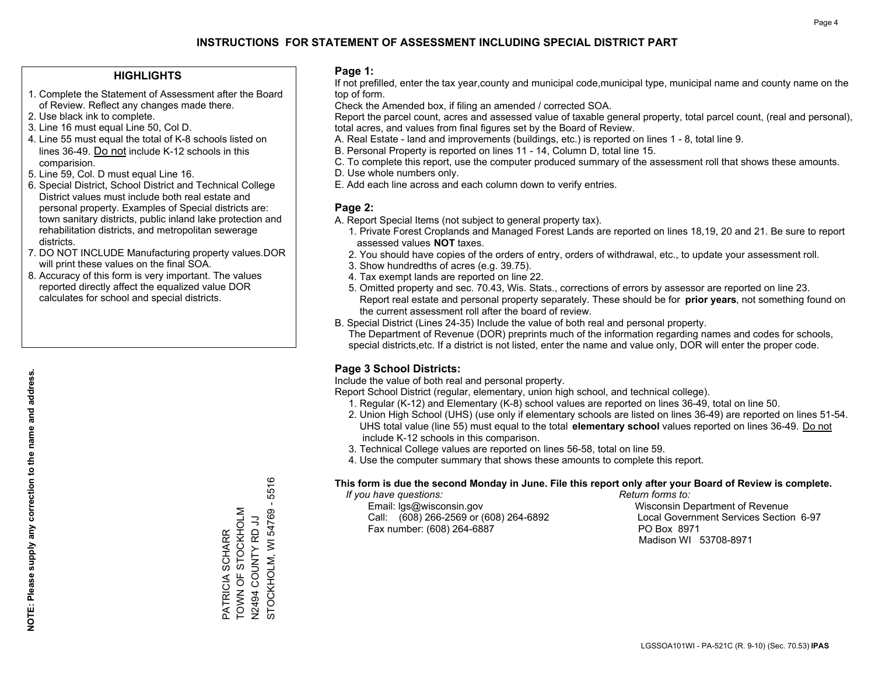### **HIGHLIGHTS**

- 1. Complete the Statement of Assessment after the Board of Review. Reflect any changes made there.
- 2. Use black ink to complete.
- 3. Line 16 must equal Line 50, Col D.
- 4. Line 55 must equal the total of K-8 schools listed on lines 36-49. Do not include K-12 schools in this comparision.
- 5. Line 59, Col. D must equal Line 16.
- 6. Special District, School District and Technical College District values must include both real estate and personal property. Examples of Special districts are: town sanitary districts, public inland lake protection and rehabilitation districts, and metropolitan sewerage districts.
- 7. DO NOT INCLUDE Manufacturing property values.DOR will print these values on the final SOA.

PATRICIA SCHARR TOWN OF STOCKHOLM N2494 COUNTY RD JJ

PATRICIA SCHARR<br>TOWN OF STOCKHOLM LU DI ALNIOO <del>1</del>6750<br>Installoo 1967 STOCKHOLM, WI 54769 - 5516

STOCKHOLM, WI 54769 -

5516

 8. Accuracy of this form is very important. The values reported directly affect the equalized value DOR calculates for school and special districts.

#### **Page 1:**

 If not prefilled, enter the tax year,county and municipal code,municipal type, municipal name and county name on the top of form.

Check the Amended box, if filing an amended / corrected SOA.

 Report the parcel count, acres and assessed value of taxable general property, total parcel count, (real and personal), total acres, and values from final figures set by the Board of Review.

- A. Real Estate land and improvements (buildings, etc.) is reported on lines 1 8, total line 9.
- B. Personal Property is reported on lines 11 14, Column D, total line 15.
- C. To complete this report, use the computer produced summary of the assessment roll that shows these amounts.
- D. Use whole numbers only.
- E. Add each line across and each column down to verify entries.

#### **Page 2:**

- A. Report Special Items (not subject to general property tax).
- 1. Private Forest Croplands and Managed Forest Lands are reported on lines 18,19, 20 and 21. Be sure to report assessed values **NOT** taxes.
- 2. You should have copies of the orders of entry, orders of withdrawal, etc., to update your assessment roll.
	- 3. Show hundredths of acres (e.g. 39.75).
- 4. Tax exempt lands are reported on line 22.
- 5. Omitted property and sec. 70.43, Wis. Stats., corrections of errors by assessor are reported on line 23. Report real estate and personal property separately. These should be for **prior years**, not something found on the current assessment roll after the board of review.
- B. Special District (Lines 24-35) Include the value of both real and personal property.
- The Department of Revenue (DOR) preprints much of the information regarding names and codes for schools, special districts,etc. If a district is not listed, enter the name and value only, DOR will enter the proper code.

### **Page 3 School Districts:**

Include the value of both real and personal property.

Report School District (regular, elementary, union high school, and technical college).

- 1. Regular (K-12) and Elementary (K-8) school values are reported on lines 36-49, total on line 50.
- 2. Union High School (UHS) (use only if elementary schools are listed on lines 36-49) are reported on lines 51-54. UHS total value (line 55) must equal to the total **elementary school** values reported on lines 36-49. Do notinclude K-12 schools in this comparison.
- 3. Technical College values are reported on lines 56-58, total on line 59.
- 4. Use the computer summary that shows these amounts to complete this report.

#### **This form is due the second Monday in June. File this report only after your Board of Review is complete.**

 *If you have questions: Return forms to:*

 Email: lgs@wisconsin.gov Wisconsin Department of RevenueCall:  $(608)$  266-2569 or  $(608)$  264-6892 Fax number: (608) 264-6887 PO Box 8971

Local Government Services Section 6-97 Madison WI 53708-8971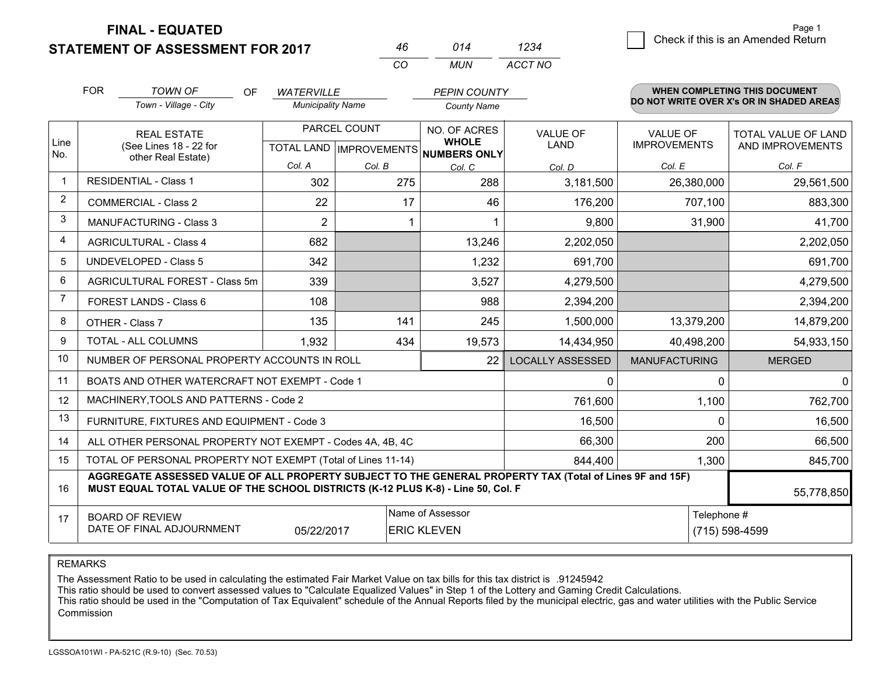**FINAL - EQUATED**

**STATEMENT OF ASSESSMENT FOR 2017** 

|          | 014 | 1234    |
|----------|-----|---------|
| $\alpha$ | MUN | ACCT NO |

|                | <b>FOR</b>                                                                                                                                                                                   | <b>TOWN OF</b><br>OF                                         | <b>WATERVILLE</b>        |              | <b>PEPIN COUNTY</b>                                      |                         |                      | WHEN COMPLETING THIS DOCUMENT            |
|----------------|----------------------------------------------------------------------------------------------------------------------------------------------------------------------------------------------|--------------------------------------------------------------|--------------------------|--------------|----------------------------------------------------------|-------------------------|----------------------|------------------------------------------|
|                |                                                                                                                                                                                              | Town - Village - City                                        | <b>Municipality Name</b> |              | <b>County Name</b>                                       |                         |                      | DO NOT WRITE OVER X's OR IN SHADED AREAS |
|                |                                                                                                                                                                                              | <b>REAL ESTATE</b>                                           |                          | PARCEL COUNT | NO. OF ACRES                                             | <b>VALUE OF</b>         | <b>VALUE OF</b>      | TOTAL VALUE OF LAND                      |
| Line<br>No.    |                                                                                                                                                                                              | (See Lines 18 - 22 for<br>other Real Estate)                 |                          |              | <b>WHOLE</b><br>TOTAL LAND   IMPROVEMENTS   NUMBERS ONLY | <b>LAND</b>             | <b>IMPROVEMENTS</b>  | AND IMPROVEMENTS                         |
|                |                                                                                                                                                                                              |                                                              | Col. A                   | Col. B       | Col. C                                                   | Col. D                  | Col. E               | Col. F                                   |
| $\mathbf{1}$   |                                                                                                                                                                                              | <b>RESIDENTIAL - Class 1</b>                                 | 302                      | 275          | 288                                                      | 3,181,500               | 26,380,000           | 29,561,500                               |
| 2              |                                                                                                                                                                                              | <b>COMMERCIAL - Class 2</b>                                  | 22                       | 17           | 46                                                       | 176,200                 | 707,100              | 883,300                                  |
| 3              |                                                                                                                                                                                              | MANUFACTURING - Class 3                                      | $\overline{2}$           |              |                                                          | 9,800                   | 31,900               | 41,700                                   |
| 4              |                                                                                                                                                                                              | <b>AGRICULTURAL - Class 4</b>                                | 682                      |              | 13,246                                                   | 2,202,050               |                      | 2,202,050                                |
| 5              |                                                                                                                                                                                              | <b>UNDEVELOPED - Class 5</b>                                 | 342                      |              | 1,232                                                    | 691,700                 |                      | 691,700                                  |
| 6              |                                                                                                                                                                                              | AGRICULTURAL FOREST - Class 5m                               | 339                      |              | 3,527                                                    | 4,279,500               |                      | 4,279,500                                |
| $\overline{7}$ |                                                                                                                                                                                              | FOREST LANDS - Class 6                                       | 108                      |              | 988                                                      | 2,394,200               |                      | 2,394,200                                |
| 8              |                                                                                                                                                                                              | OTHER - Class 7                                              | 135                      | 141          | 245                                                      | 1,500,000               | 13,379,200           | 14,879,200                               |
| 9              |                                                                                                                                                                                              | TOTAL - ALL COLUMNS                                          | 1,932                    | 434          | 19,573                                                   | 14,434,950              | 40,498,200           | 54,933,150                               |
| 10             |                                                                                                                                                                                              | NUMBER OF PERSONAL PROPERTY ACCOUNTS IN ROLL                 |                          |              | 22                                                       | <b>LOCALLY ASSESSED</b> | <b>MANUFACTURING</b> | <b>MERGED</b>                            |
| 11             |                                                                                                                                                                                              | BOATS AND OTHER WATERCRAFT NOT EXEMPT - Code 1               |                          |              |                                                          | $\Omega$                | 0                    | $\Omega$                                 |
| 12             |                                                                                                                                                                                              | MACHINERY, TOOLS AND PATTERNS - Code 2                       |                          |              |                                                          | 761,600                 | 1,100                | 762,700                                  |
| 13             |                                                                                                                                                                                              | FURNITURE, FIXTURES AND EQUIPMENT - Code 3                   |                          |              |                                                          | 16,500                  | $\Omega$             | 16,500                                   |
| 14             |                                                                                                                                                                                              | ALL OTHER PERSONAL PROPERTY NOT EXEMPT - Codes 4A, 4B, 4C    |                          |              |                                                          | 66,300                  | 200                  | 66,500                                   |
| 15             |                                                                                                                                                                                              | TOTAL OF PERSONAL PROPERTY NOT EXEMPT (Total of Lines 11-14) |                          |              |                                                          | 844,400                 | 1,300                | 845,700                                  |
| 16             | AGGREGATE ASSESSED VALUE OF ALL PROPERTY SUBJECT TO THE GENERAL PROPERTY TAX (Total of Lines 9F and 15F)<br>MUST EQUAL TOTAL VALUE OF THE SCHOOL DISTRICTS (K-12 PLUS K-8) - Line 50, Col. F |                                                              |                          |              |                                                          |                         | 55,778,850           |                                          |
| 17             |                                                                                                                                                                                              | <b>BOARD OF REVIEW</b>                                       |                          |              | Name of Assessor                                         |                         | Telephone #          |                                          |
|                |                                                                                                                                                                                              | DATE OF FINAL ADJOURNMENT                                    | 05/22/2017               |              | <b>ERIC KLEVEN</b>                                       |                         |                      | (715) 598-4599                           |

REMARKS

The Assessment Ratio to be used in calculating the estimated Fair Market Value on tax bills for this tax district is .91245942

This ratio should be used to convert assessed values to "Calculate Equalized Values" in Step 1 of the Lottery and Gaming Credit Calculations.<br>This ratio should be used in the "Computation of Tax Equivalent" schedule of the Commission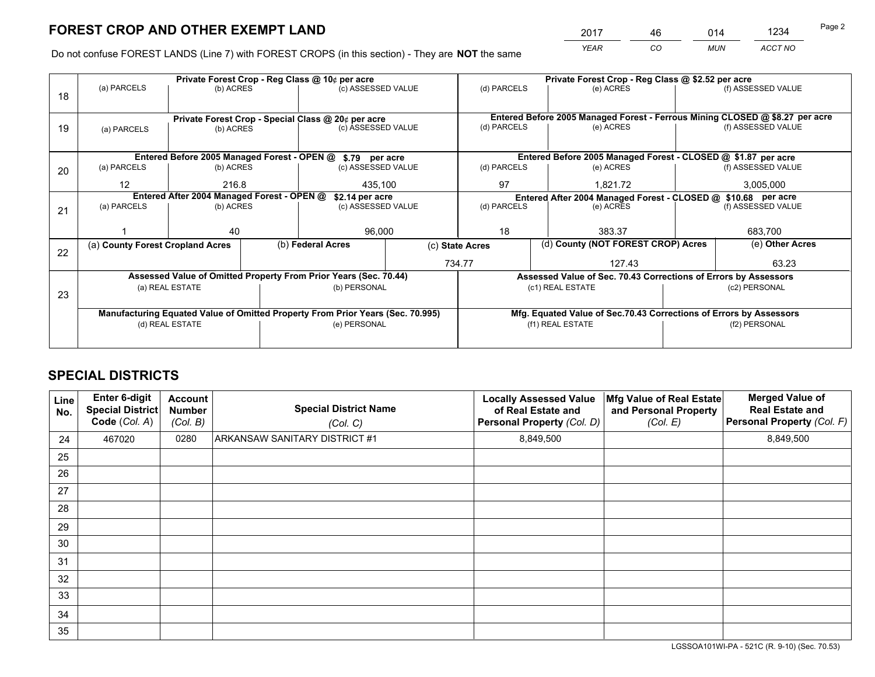*YEAR CO MUN ACCT NO* 2017 <u>46 014 1234</u>

Do not confuse FOREST LANDS (Line 7) with FOREST CROPS (in this section) - They are **NOT** the same

|    |                                                                                |                 | Private Forest Crop - Reg Class @ \$2.52 per acre |                                                                  |                 |                                                               |                                                                    |                                                                              |               |                    |
|----|--------------------------------------------------------------------------------|-----------------|---------------------------------------------------|------------------------------------------------------------------|-----------------|---------------------------------------------------------------|--------------------------------------------------------------------|------------------------------------------------------------------------------|---------------|--------------------|
| 18 | (a) PARCELS                                                                    | (b) ACRES       |                                                   | (c) ASSESSED VALUE                                               |                 | (d) PARCELS                                                   |                                                                    | (e) ACRES                                                                    |               | (f) ASSESSED VALUE |
|    | Private Forest Crop - Special Class @ 20¢ per acre                             |                 |                                                   |                                                                  |                 |                                                               |                                                                    | Entered Before 2005 Managed Forest - Ferrous Mining CLOSED @ \$8.27 per acre |               |                    |
| 19 | (a) PARCELS                                                                    | (b) ACRES       |                                                   | (c) ASSESSED VALUE                                               |                 | (d) PARCELS                                                   |                                                                    | (e) ACRES                                                                    |               | (f) ASSESSED VALUE |
|    |                                                                                |                 |                                                   | Entered Before 2005 Managed Forest - OPEN @ \$.79 per acre       |                 |                                                               |                                                                    | Entered Before 2005 Managed Forest - CLOSED @ \$1.87 per acre                |               |                    |
| 20 | (a) PARCELS                                                                    | (b) ACRES       |                                                   | (c) ASSESSED VALUE                                               |                 | (d) PARCELS                                                   |                                                                    | (e) ACRES                                                                    |               | (f) ASSESSED VALUE |
|    | $12 \overline{ }$                                                              | 216.8           |                                                   | 435.100                                                          |                 | 97<br>1,821.72                                                |                                                                    |                                                                              | 3,005,000     |                    |
|    | Entered After 2004 Managed Forest - OPEN @<br>\$2.14 per acre                  |                 |                                                   |                                                                  |                 | Entered After 2004 Managed Forest - CLOSED @ \$10.68 per acre |                                                                    |                                                                              |               |                    |
| 21 | (a) PARCELS                                                                    | (b) ACRES       |                                                   | (c) ASSESSED VALUE                                               |                 | (d) PARCELS<br>(e) ACRES                                      |                                                                    | (f) ASSESSED VALUE                                                           |               |                    |
|    |                                                                                |                 |                                                   |                                                                  |                 |                                                               |                                                                    |                                                                              |               |                    |
|    |                                                                                | 40              |                                                   | 96,000                                                           |                 | 18                                                            |                                                                    | 383.37                                                                       |               | 683,700            |
|    | (a) County Forest Cropland Acres                                               |                 |                                                   | (b) Federal Acres                                                | (c) State Acres |                                                               |                                                                    | (d) County (NOT FOREST CROP) Acres                                           |               | (e) Other Acres    |
| 22 |                                                                                |                 |                                                   |                                                                  |                 | 734.77                                                        | 127.43                                                             |                                                                              |               | 63.23              |
|    |                                                                                |                 |                                                   | Assessed Value of Omitted Property From Prior Years (Sec. 70.44) |                 |                                                               |                                                                    | Assessed Value of Sec. 70.43 Corrections of Errors by Assessors              |               |                    |
| 23 |                                                                                | (a) REAL ESTATE |                                                   | (b) PERSONAL                                                     |                 | (c1) REAL ESTATE                                              |                                                                    | (c2) PERSONAL                                                                |               |                    |
|    |                                                                                |                 |                                                   |                                                                  |                 |                                                               |                                                                    |                                                                              |               |                    |
|    | Manufacturing Equated Value of Omitted Property From Prior Years (Sec. 70.995) |                 |                                                   |                                                                  |                 |                                                               | Mfg. Equated Value of Sec.70.43 Corrections of Errors by Assessors |                                                                              |               |                    |
|    | (d) REAL ESTATE                                                                |                 |                                                   | (e) PERSONAL                                                     |                 | (f1) REAL ESTATE                                              |                                                                    |                                                                              | (f2) PERSONAL |                    |
|    |                                                                                |                 |                                                   |                                                                  |                 |                                                               |                                                                    |                                                                              |               |                    |

## **SPECIAL DISTRICTS**

| Line<br>No. | Enter 6-digit<br><b>Special District</b><br>Code (Col. A) | <b>Account</b><br><b>Number</b><br>(Col. B) | <b>Special District Name</b><br>(Col. C) | <b>Locally Assessed Value</b><br>of Real Estate and<br>Personal Property (Col. D) | Mfg Value of Real Estate<br>and Personal Property<br>(Col. E) | <b>Merged Value of</b><br><b>Real Estate and</b><br>Personal Property (Col. F) |
|-------------|-----------------------------------------------------------|---------------------------------------------|------------------------------------------|-----------------------------------------------------------------------------------|---------------------------------------------------------------|--------------------------------------------------------------------------------|
| 24          | 467020                                                    | 0280                                        | <b>ARKANSAW SANITARY DISTRICT #1</b>     | 8,849,500                                                                         |                                                               | 8,849,500                                                                      |
| 25          |                                                           |                                             |                                          |                                                                                   |                                                               |                                                                                |
| 26          |                                                           |                                             |                                          |                                                                                   |                                                               |                                                                                |
| 27          |                                                           |                                             |                                          |                                                                                   |                                                               |                                                                                |
| 28          |                                                           |                                             |                                          |                                                                                   |                                                               |                                                                                |
| 29          |                                                           |                                             |                                          |                                                                                   |                                                               |                                                                                |
| 30          |                                                           |                                             |                                          |                                                                                   |                                                               |                                                                                |
| 31          |                                                           |                                             |                                          |                                                                                   |                                                               |                                                                                |
| 32          |                                                           |                                             |                                          |                                                                                   |                                                               |                                                                                |
| 33          |                                                           |                                             |                                          |                                                                                   |                                                               |                                                                                |
| 34          |                                                           |                                             |                                          |                                                                                   |                                                               |                                                                                |
| 35          |                                                           |                                             |                                          |                                                                                   |                                                               |                                                                                |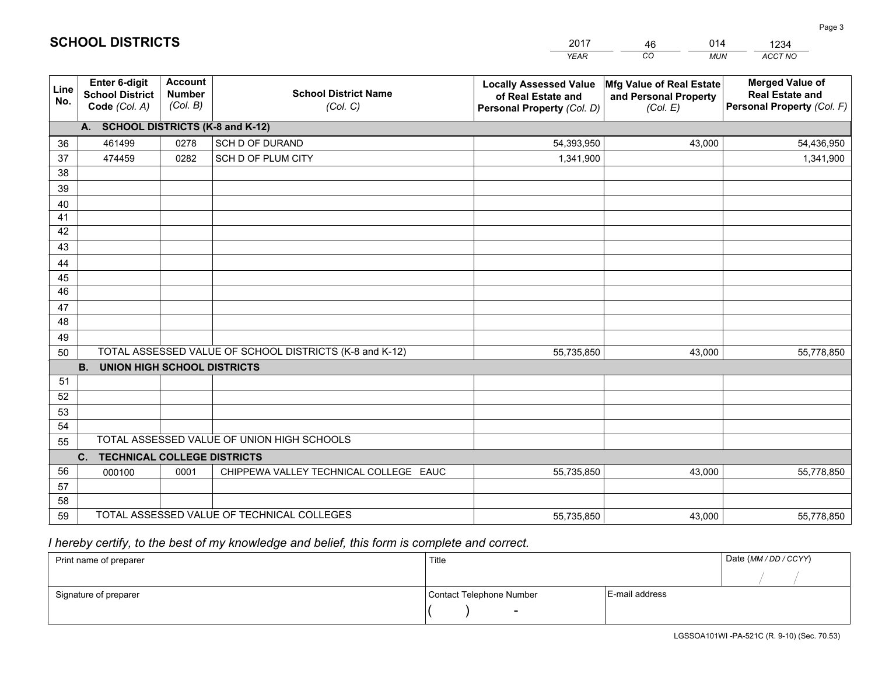|             |                                                          |                                             |                                                         | YEAR                                                                              | CO.<br><b>MUN</b>                                             | ACCT NO                                                                        |
|-------------|----------------------------------------------------------|---------------------------------------------|---------------------------------------------------------|-----------------------------------------------------------------------------------|---------------------------------------------------------------|--------------------------------------------------------------------------------|
| Line<br>No. | Enter 6-digit<br><b>School District</b><br>Code (Col. A) | <b>Account</b><br><b>Number</b><br>(Col. B) | <b>School District Name</b><br>(Col. C)                 | <b>Locally Assessed Value</b><br>of Real Estate and<br>Personal Property (Col. D) | Mfg Value of Real Estate<br>and Personal Property<br>(Col. E) | <b>Merged Value of</b><br><b>Real Estate and</b><br>Personal Property (Col. F) |
|             | A. SCHOOL DISTRICTS (K-8 and K-12)                       |                                             |                                                         |                                                                                   |                                                               |                                                                                |
| 36          | 461499                                                   | 0278                                        | <b>SCH D OF DURAND</b>                                  | 54,393,950                                                                        | 43.000                                                        | 54,436,950                                                                     |
| 37          | 474459                                                   | 0282                                        | SCH D OF PLUM CITY                                      | 1,341,900                                                                         |                                                               | 1,341,900                                                                      |
| 38          |                                                          |                                             |                                                         |                                                                                   |                                                               |                                                                                |
| 39          |                                                          |                                             |                                                         |                                                                                   |                                                               |                                                                                |
| 40          |                                                          |                                             |                                                         |                                                                                   |                                                               |                                                                                |
| 41<br>42    |                                                          |                                             |                                                         |                                                                                   |                                                               |                                                                                |
| 43          |                                                          |                                             |                                                         |                                                                                   |                                                               |                                                                                |
| 44          |                                                          |                                             |                                                         |                                                                                   |                                                               |                                                                                |
| 45          |                                                          |                                             |                                                         |                                                                                   |                                                               |                                                                                |
| 46          |                                                          |                                             |                                                         |                                                                                   |                                                               |                                                                                |
| 47          |                                                          |                                             |                                                         |                                                                                   |                                                               |                                                                                |
| 48          |                                                          |                                             |                                                         |                                                                                   |                                                               |                                                                                |
| 49          |                                                          |                                             |                                                         |                                                                                   |                                                               |                                                                                |
| 50          |                                                          |                                             | TOTAL ASSESSED VALUE OF SCHOOL DISTRICTS (K-8 and K-12) | 55,735,850                                                                        | 43,000                                                        | 55,778,850                                                                     |
|             | <b>B. UNION HIGH SCHOOL DISTRICTS</b>                    |                                             |                                                         |                                                                                   |                                                               |                                                                                |
| 51          |                                                          |                                             |                                                         |                                                                                   |                                                               |                                                                                |
| 52          |                                                          |                                             |                                                         |                                                                                   |                                                               |                                                                                |
| 53          |                                                          |                                             |                                                         |                                                                                   |                                                               |                                                                                |
| 54          |                                                          |                                             |                                                         |                                                                                   |                                                               |                                                                                |
| 55          |                                                          |                                             | TOTAL ASSESSED VALUE OF UNION HIGH SCHOOLS              |                                                                                   |                                                               |                                                                                |
|             | C.<br><b>TECHNICAL COLLEGE DISTRICTS</b>                 |                                             |                                                         |                                                                                   |                                                               |                                                                                |
| 56          | 000100                                                   | 0001                                        | CHIPPEWA VALLEY TECHNICAL COLLEGE EAUC                  | 55,735,850                                                                        | 43,000                                                        | 55,778,850                                                                     |
| 57<br>58    |                                                          |                                             |                                                         |                                                                                   |                                                               |                                                                                |
| 59          |                                                          |                                             | TOTAL ASSESSED VALUE OF TECHNICAL COLLEGES              | 55,735,850                                                                        | 43,000                                                        | 55,778,850                                                                     |
|             |                                                          |                                             |                                                         |                                                                                   |                                                               |                                                                                |

46

014

 *I hereby certify, to the best of my knowledge and belief, this form is complete and correct.*

**SCHOOL DISTRICTS**

| Print name of preparer | Title                    |                | Date (MM / DD / CCYY) |
|------------------------|--------------------------|----------------|-----------------------|
|                        |                          |                |                       |
| Signature of preparer  | Contact Telephone Number | E-mail address |                       |
|                        | $\sim$                   |                |                       |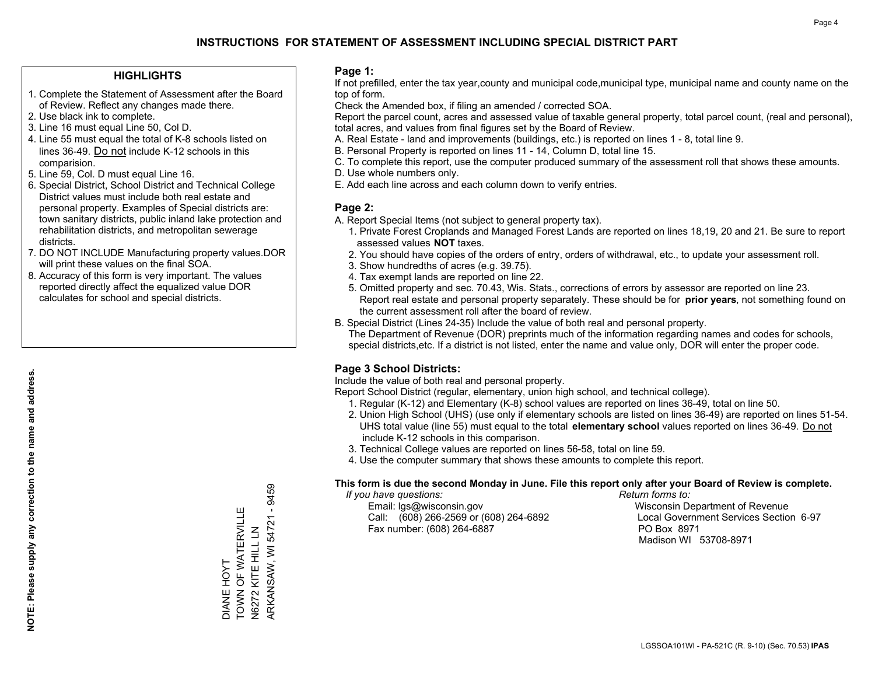### **HIGHLIGHTS**

- 1. Complete the Statement of Assessment after the Board of Review. Reflect any changes made there.
- 2. Use black ink to complete.
- 3. Line 16 must equal Line 50, Col D.
- 4. Line 55 must equal the total of K-8 schools listed on lines 36-49. Do not include K-12 schools in this comparision.
- 5. Line 59, Col. D must equal Line 16.
- 6. Special District, School District and Technical College District values must include both real estate and personal property. Examples of Special districts are: town sanitary districts, public inland lake protection and rehabilitation districts, and metropolitan sewerage districts.
- 7. DO NOT INCLUDE Manufacturing property values.DOR will print these values on the final SOA.
- 8. Accuracy of this form is very important. The values reported directly affect the equalized value DOR calculates for school and special districts.

#### **Page 1:**

 If not prefilled, enter the tax year,county and municipal code,municipal type, municipal name and county name on the top of form.

Check the Amended box, if filing an amended / corrected SOA.

 Report the parcel count, acres and assessed value of taxable general property, total parcel count, (real and personal), total acres, and values from final figures set by the Board of Review.

- A. Real Estate land and improvements (buildings, etc.) is reported on lines 1 8, total line 9.
- B. Personal Property is reported on lines 11 14, Column D, total line 15.
- C. To complete this report, use the computer produced summary of the assessment roll that shows these amounts.
- D. Use whole numbers only.
- E. Add each line across and each column down to verify entries.

### **Page 2:**

- A. Report Special Items (not subject to general property tax).
- 1. Private Forest Croplands and Managed Forest Lands are reported on lines 18,19, 20 and 21. Be sure to report assessed values **NOT** taxes.
- 2. You should have copies of the orders of entry, orders of withdrawal, etc., to update your assessment roll.
	- 3. Show hundredths of acres (e.g. 39.75).
- 4. Tax exempt lands are reported on line 22.
- 5. Omitted property and sec. 70.43, Wis. Stats., corrections of errors by assessor are reported on line 23. Report real estate and personal property separately. These should be for **prior years**, not something found on the current assessment roll after the board of review.
- B. Special District (Lines 24-35) Include the value of both real and personal property.

 The Department of Revenue (DOR) preprints much of the information regarding names and codes for schools, special districts,etc. If a district is not listed, enter the name and value only, DOR will enter the proper code.

### **Page 3 School Districts:**

Include the value of both real and personal property.

Report School District (regular, elementary, union high school, and technical college).

- 1. Regular (K-12) and Elementary (K-8) school values are reported on lines 36-49, total on line 50.
- 2. Union High School (UHS) (use only if elementary schools are listed on lines 36-49) are reported on lines 51-54. UHS total value (line 55) must equal to the total **elementary school** values reported on lines 36-49. Do notinclude K-12 schools in this comparison.
- 3. Technical College values are reported on lines 56-58, total on line 59.
- 4. Use the computer summary that shows these amounts to complete this report.

#### **This form is due the second Monday in June. File this report only after your Board of Review is complete.**

 *If you have questions: Return forms to:*

 Email: lgs@wisconsin.gov Wisconsin Department of RevenueCall:  $(608)$  266-2569 or  $(608)$  264-6892 Fax number: (608) 264-6887 PO Box 8971

Local Government Services Section 6-97

Madison WI 53708-8971

9459 ARKANSAW, WI 54721 - 9459 TOWN OF WATERVILLE DIANE HOYT<br>TOWN OF WATERVILLE  $\mathbf{I}$ ARKANSAW, WI 54721 N6272 KITE HILL LN N6272 KITE HILL LN DIANE HOYT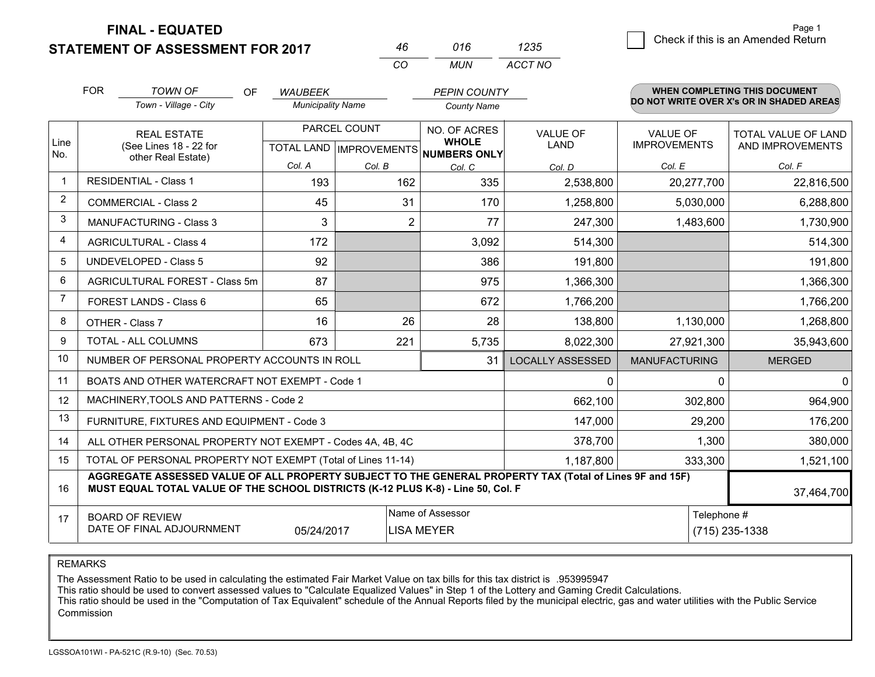**FINAL - EQUATED**

**STATEMENT OF ASSESSMENT FOR 2017** 

| 46  | 016 | 1235    |
|-----|-----|---------|
| CO. | MUN | ACCT NO |

|                | <b>FOR</b>         | <b>TOWN OF</b><br>OF                                                                                                                                                                         | <b>WAUBEEK</b>           |              | <b>PEPIN COUNTY</b>                                      |                         |                      | <b>WHEN COMPLETING THIS DOCUMENT</b>     |
|----------------|--------------------|----------------------------------------------------------------------------------------------------------------------------------------------------------------------------------------------|--------------------------|--------------|----------------------------------------------------------|-------------------------|----------------------|------------------------------------------|
|                |                    | Town - Village - City                                                                                                                                                                        | <b>Municipality Name</b> |              | <b>County Name</b>                                       |                         |                      | DO NOT WRITE OVER X's OR IN SHADED AREAS |
|                | <b>REAL ESTATE</b> |                                                                                                                                                                                              |                          | PARCEL COUNT | NO. OF ACRES                                             | <b>VALUE OF</b>         | <b>VALUE OF</b>      | <b>TOTAL VALUE OF LAND</b>               |
| Line<br>No.    |                    | (See Lines 18 - 22 for<br>other Real Estate)                                                                                                                                                 |                          |              | <b>WHOLE</b><br>TOTAL LAND   IMPROVEMENTS   NUMBERS ONLY | LAND                    | <b>IMPROVEMENTS</b>  | AND IMPROVEMENTS                         |
|                |                    |                                                                                                                                                                                              | Col. A                   | Col. B       | Col. C                                                   | Col. D                  | Col. E               | Col. F                                   |
| $\mathbf 1$    |                    | <b>RESIDENTIAL - Class 1</b>                                                                                                                                                                 | 193                      | 162          | 335                                                      | 2,538,800               | 20,277,700           | 22,816,500                               |
| 2              |                    | <b>COMMERCIAL - Class 2</b>                                                                                                                                                                  | 45                       | 31           | 170                                                      | 1,258,800               | 5,030,000            | 6,288,800                                |
| 3              |                    | <b>MANUFACTURING - Class 3</b>                                                                                                                                                               | 3                        | 2            | 77                                                       | 247,300                 | 1,483,600            | 1,730,900                                |
| 4              |                    | <b>AGRICULTURAL - Class 4</b>                                                                                                                                                                | 172                      |              | 3,092                                                    | 514,300                 |                      | 514,300                                  |
| 5              |                    | UNDEVELOPED - Class 5                                                                                                                                                                        | 92                       |              | 386                                                      | 191,800                 |                      | 191,800                                  |
| 6              |                    | AGRICULTURAL FOREST - Class 5m                                                                                                                                                               | 87                       |              | 975                                                      | 1,366,300               |                      | 1,366,300                                |
| $\overline{7}$ |                    | FOREST LANDS - Class 6                                                                                                                                                                       | 65                       |              | 672                                                      | 1,766,200               |                      | 1,766,200                                |
| 8              |                    | OTHER - Class 7                                                                                                                                                                              | 16                       | 26           | 28                                                       | 138,800                 | 1,130,000            | 1,268,800                                |
| $\mathbf{Q}$   |                    | <b>TOTAL - ALL COLUMNS</b>                                                                                                                                                                   | 673                      | 221          | 5,735                                                    | 8,022,300               | 27,921,300           | 35,943,600                               |
| 10             |                    | NUMBER OF PERSONAL PROPERTY ACCOUNTS IN ROLL                                                                                                                                                 |                          |              | 31                                                       | <b>LOCALLY ASSESSED</b> | <b>MANUFACTURING</b> | <b>MERGED</b>                            |
| 11             |                    | BOATS AND OTHER WATERCRAFT NOT EXEMPT - Code 1                                                                                                                                               |                          |              |                                                          | $\mathbf{0}$            | $\mathbf{0}$         | $\mathbf{0}$                             |
| 12             |                    | MACHINERY, TOOLS AND PATTERNS - Code 2                                                                                                                                                       |                          |              |                                                          | 662,100                 | 302,800              | 964,900                                  |
| 13             |                    | FURNITURE, FIXTURES AND EQUIPMENT - Code 3                                                                                                                                                   |                          |              |                                                          | 147,000                 | 29,200               | 176,200                                  |
| 14             |                    | ALL OTHER PERSONAL PROPERTY NOT EXEMPT - Codes 4A, 4B, 4C                                                                                                                                    |                          |              |                                                          | 378,700                 | 1,300                | 380,000                                  |
| 15             |                    | TOTAL OF PERSONAL PROPERTY NOT EXEMPT (Total of Lines 11-14)                                                                                                                                 |                          |              |                                                          | 1,187,800               | 333,300              | 1,521,100                                |
| 16             |                    | AGGREGATE ASSESSED VALUE OF ALL PROPERTY SUBJECT TO THE GENERAL PROPERTY TAX (Total of Lines 9F and 15F)<br>MUST EQUAL TOTAL VALUE OF THE SCHOOL DISTRICTS (K-12 PLUS K-8) - Line 50, Col. F |                          |              |                                                          |                         | 37,464,700           |                                          |
| 17             |                    | <b>BOARD OF REVIEW</b>                                                                                                                                                                       |                          |              | Name of Assessor                                         |                         | Telephone #          |                                          |
|                |                    | DATE OF FINAL ADJOURNMENT                                                                                                                                                                    | 05/24/2017               |              | <b>LISA MEYER</b>                                        |                         |                      | (715) 235-1338                           |

REMARKS

The Assessment Ratio to be used in calculating the estimated Fair Market Value on tax bills for this tax district is .953995947<br>This ratio should be used to convert assessed values to "Calculate Equalized Values" in Step 1 Commission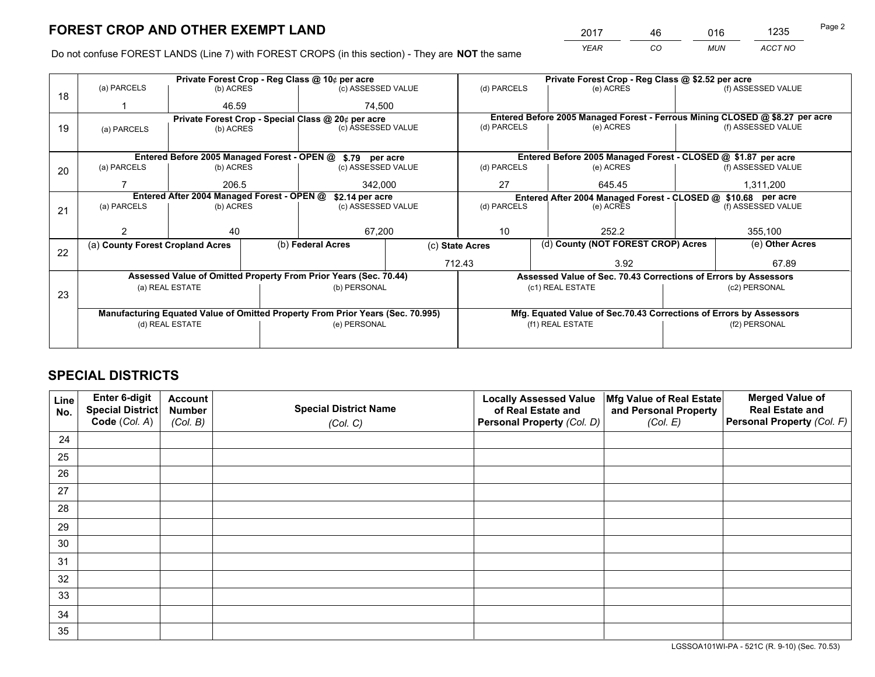*YEAR CO MUN ACCT NO* <sup>2017</sup> <sup>46</sup> <sup>016</sup> <sup>1235</sup>

Do not confuse FOREST LANDS (Line 7) with FOREST CROPS (in this section) - They are **NOT** the same

|    | Private Forest Crop - Reg Class @ 10¢ per acre                                 |                 |  |                                                                  |                 | Private Forest Crop - Reg Class @ \$2.52 per acre             |                                                                              |               |                    |  |
|----|--------------------------------------------------------------------------------|-----------------|--|------------------------------------------------------------------|-----------------|---------------------------------------------------------------|------------------------------------------------------------------------------|---------------|--------------------|--|
| 18 | (a) PARCELS                                                                    | (b) ACRES       |  | (c) ASSESSED VALUE                                               |                 | (d) PARCELS                                                   | (e) ACRES                                                                    |               | (f) ASSESSED VALUE |  |
|    |                                                                                | 46.59           |  | 74.500                                                           |                 |                                                               |                                                                              |               |                    |  |
|    |                                                                                |                 |  | Private Forest Crop - Special Class @ 20¢ per acre               |                 |                                                               | Entered Before 2005 Managed Forest - Ferrous Mining CLOSED @ \$8.27 per acre |               |                    |  |
| 19 | (a) PARCELS                                                                    | (b) ACRES       |  | (c) ASSESSED VALUE                                               |                 | (d) PARCELS                                                   | (e) ACRES                                                                    |               | (f) ASSESSED VALUE |  |
|    |                                                                                |                 |  |                                                                  |                 |                                                               |                                                                              |               |                    |  |
|    |                                                                                |                 |  | Entered Before 2005 Managed Forest - OPEN @ \$.79 per acre       |                 |                                                               | Entered Before 2005 Managed Forest - CLOSED @ \$1.87 per acre                |               |                    |  |
| 20 | (a) PARCELS                                                                    | (b) ACRES       |  | (c) ASSESSED VALUE                                               |                 | (d) PARCELS                                                   | (e) ACRES                                                                    |               | (f) ASSESSED VALUE |  |
|    |                                                                                | 206.5           |  | 342.000                                                          |                 | 27<br>645.45                                                  |                                                                              |               | 1.311.200          |  |
|    | Entered After 2004 Managed Forest - OPEN @<br>\$2.14 per acre                  |                 |  |                                                                  |                 | Entered After 2004 Managed Forest - CLOSED @ \$10.68 per acre |                                                                              |               |                    |  |
| 21 | (a) PARCELS                                                                    | (b) ACRES       |  | (c) ASSESSED VALUE                                               |                 | (d) PARCELS<br>(e) ACRES                                      |                                                                              |               | (f) ASSESSED VALUE |  |
|    |                                                                                |                 |  |                                                                  |                 |                                                               |                                                                              |               |                    |  |
|    |                                                                                | 40              |  | 67,200                                                           |                 | 10                                                            | 252.2                                                                        |               | 355,100            |  |
| 22 | (a) County Forest Cropland Acres                                               |                 |  | (b) Federal Acres                                                | (c) State Acres |                                                               | (d) County (NOT FOREST CROP) Acres                                           |               | (e) Other Acres    |  |
|    |                                                                                |                 |  |                                                                  |                 | 712.43<br>3.92                                                |                                                                              |               | 67.89              |  |
|    |                                                                                |                 |  | Assessed Value of Omitted Property From Prior Years (Sec. 70.44) |                 |                                                               | Assessed Value of Sec. 70.43 Corrections of Errors by Assessors              |               |                    |  |
|    |                                                                                | (a) REAL ESTATE |  | (b) PERSONAL                                                     |                 | (c1) REAL ESTATE                                              |                                                                              | (c2) PERSONAL |                    |  |
| 23 |                                                                                |                 |  |                                                                  |                 |                                                               |                                                                              |               |                    |  |
|    | Manufacturing Equated Value of Omitted Property From Prior Years (Sec. 70.995) |                 |  |                                                                  |                 |                                                               | Mfg. Equated Value of Sec.70.43 Corrections of Errors by Assessors           |               |                    |  |
|    | (d) REAL ESTATE<br>(e) PERSONAL                                                |                 |  | (f1) REAL ESTATE<br>(f2) PERSONAL                                |                 |                                                               |                                                                              |               |                    |  |
|    |                                                                                |                 |  |                                                                  |                 |                                                               |                                                                              |               |                    |  |

## **SPECIAL DISTRICTS**

| Line<br>No. | Enter 6-digit<br><b>Special District</b> | <b>Account</b><br><b>Number</b> | <b>Special District Name</b> | <b>Locally Assessed Value</b><br>of Real Estate and | Mfg Value of Real Estate<br>and Personal Property | <b>Merged Value of</b><br><b>Real Estate and</b> |
|-------------|------------------------------------------|---------------------------------|------------------------------|-----------------------------------------------------|---------------------------------------------------|--------------------------------------------------|
|             | Code (Col. A)                            | (Col. B)                        | (Col. C)                     | Personal Property (Col. D)                          | (Col. E)                                          | Personal Property (Col. F)                       |
| 24          |                                          |                                 |                              |                                                     |                                                   |                                                  |
| 25          |                                          |                                 |                              |                                                     |                                                   |                                                  |
| 26          |                                          |                                 |                              |                                                     |                                                   |                                                  |
| 27          |                                          |                                 |                              |                                                     |                                                   |                                                  |
| 28          |                                          |                                 |                              |                                                     |                                                   |                                                  |
| 29          |                                          |                                 |                              |                                                     |                                                   |                                                  |
| 30          |                                          |                                 |                              |                                                     |                                                   |                                                  |
| 31          |                                          |                                 |                              |                                                     |                                                   |                                                  |
| 32          |                                          |                                 |                              |                                                     |                                                   |                                                  |
| 33          |                                          |                                 |                              |                                                     |                                                   |                                                  |
| 34          |                                          |                                 |                              |                                                     |                                                   |                                                  |
| 35          |                                          |                                 |                              |                                                     |                                                   |                                                  |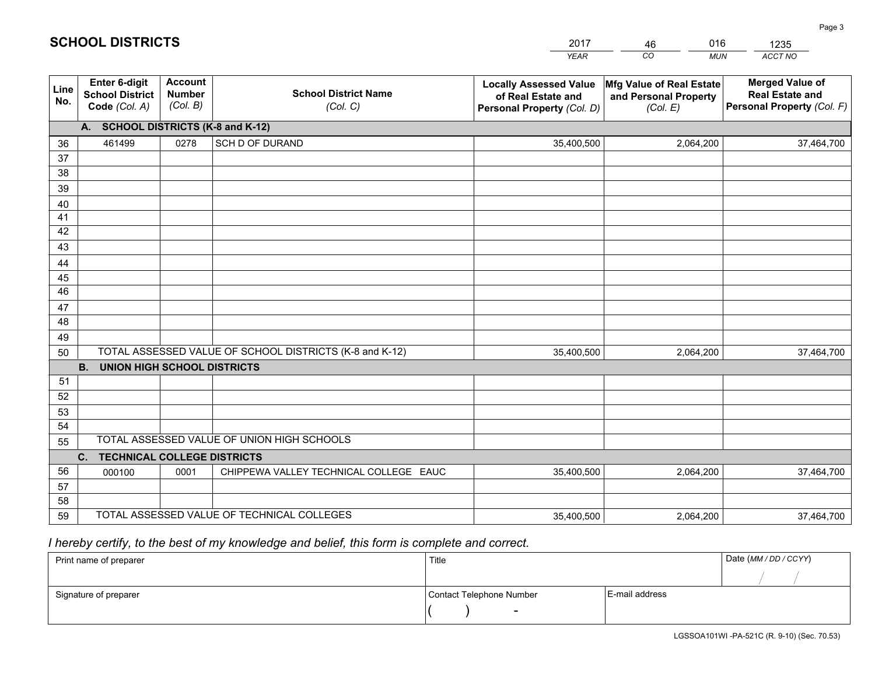|             |                                                                 |                                             |                                                         | <b>YEAR</b>                                                                       | CO<br><b>MUN</b>                                              | ACCT NO                                                                        |
|-------------|-----------------------------------------------------------------|---------------------------------------------|---------------------------------------------------------|-----------------------------------------------------------------------------------|---------------------------------------------------------------|--------------------------------------------------------------------------------|
| Line<br>No. | <b>Enter 6-digit</b><br><b>School District</b><br>Code (Col. A) | <b>Account</b><br><b>Number</b><br>(Col. B) | <b>School District Name</b><br>(Col. C)                 | <b>Locally Assessed Value</b><br>of Real Estate and<br>Personal Property (Col. D) | Mfg Value of Real Estate<br>and Personal Property<br>(Col. E) | <b>Merged Value of</b><br><b>Real Estate and</b><br>Personal Property (Col. F) |
|             | A. SCHOOL DISTRICTS (K-8 and K-12)                              |                                             |                                                         |                                                                                   |                                                               |                                                                                |
| 36          | 461499                                                          | 0278                                        | SCH D OF DURAND                                         | 35,400,500                                                                        | 2,064,200                                                     | 37,464,700                                                                     |
| 37          |                                                                 |                                             |                                                         |                                                                                   |                                                               |                                                                                |
| 38          |                                                                 |                                             |                                                         |                                                                                   |                                                               |                                                                                |
| 39          |                                                                 |                                             |                                                         |                                                                                   |                                                               |                                                                                |
| 40          |                                                                 |                                             |                                                         |                                                                                   |                                                               |                                                                                |
| 41<br>42    |                                                                 |                                             |                                                         |                                                                                   |                                                               |                                                                                |
| 43          |                                                                 |                                             |                                                         |                                                                                   |                                                               |                                                                                |
|             |                                                                 |                                             |                                                         |                                                                                   |                                                               |                                                                                |
| 44<br>45    |                                                                 |                                             |                                                         |                                                                                   |                                                               |                                                                                |
| 46          |                                                                 |                                             |                                                         |                                                                                   |                                                               |                                                                                |
| 47          |                                                                 |                                             |                                                         |                                                                                   |                                                               |                                                                                |
| 48          |                                                                 |                                             |                                                         |                                                                                   |                                                               |                                                                                |
| 49          |                                                                 |                                             |                                                         |                                                                                   |                                                               |                                                                                |
| 50          |                                                                 |                                             | TOTAL ASSESSED VALUE OF SCHOOL DISTRICTS (K-8 and K-12) | 35,400,500                                                                        | 2,064,200                                                     | 37,464,700                                                                     |
|             | <b>B.</b><br>UNION HIGH SCHOOL DISTRICTS                        |                                             |                                                         |                                                                                   |                                                               |                                                                                |
| 51          |                                                                 |                                             |                                                         |                                                                                   |                                                               |                                                                                |
| 52          |                                                                 |                                             |                                                         |                                                                                   |                                                               |                                                                                |
| 53          |                                                                 |                                             |                                                         |                                                                                   |                                                               |                                                                                |
| 54          |                                                                 |                                             |                                                         |                                                                                   |                                                               |                                                                                |
| 55          |                                                                 |                                             | TOTAL ASSESSED VALUE OF UNION HIGH SCHOOLS              |                                                                                   |                                                               |                                                                                |
|             | C.<br><b>TECHNICAL COLLEGE DISTRICTS</b>                        |                                             |                                                         |                                                                                   |                                                               |                                                                                |
| 56          | 000100                                                          | 0001                                        | CHIPPEWA VALLEY TECHNICAL COLLEGE EAUC                  | 35,400,500                                                                        | 2,064,200                                                     | 37,464,700                                                                     |
| 57<br>58    |                                                                 |                                             |                                                         |                                                                                   |                                                               |                                                                                |
| 59          |                                                                 |                                             | TOTAL ASSESSED VALUE OF TECHNICAL COLLEGES              | 35,400,500                                                                        | 2,064,200                                                     | 37,464,700                                                                     |
|             |                                                                 |                                             |                                                         |                                                                                   |                                                               |                                                                                |

46

016

 *I hereby certify, to the best of my knowledge and belief, this form is complete and correct.*

**SCHOOL DISTRICTS**

| Print name of preparer | Title                    |                | Date (MM / DD / CCYY) |
|------------------------|--------------------------|----------------|-----------------------|
|                        |                          |                |                       |
| Signature of preparer  | Contact Telephone Number | E-mail address |                       |
|                        | $\overline{\phantom{0}}$ |                |                       |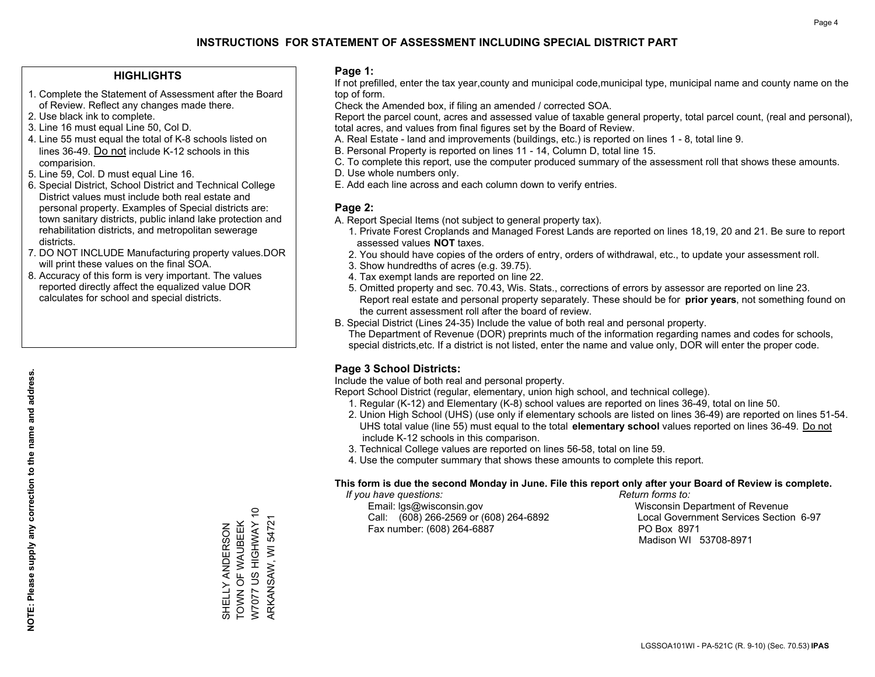### **HIGHLIGHTS**

- 1. Complete the Statement of Assessment after the Board of Review. Reflect any changes made there.
- 2. Use black ink to complete.
- 3. Line 16 must equal Line 50, Col D.
- 4. Line 55 must equal the total of K-8 schools listed on lines 36-49. Do not include K-12 schools in this comparision.
- 5. Line 59, Col. D must equal Line 16.
- 6. Special District, School District and Technical College District values must include both real estate and personal property. Examples of Special districts are: town sanitary districts, public inland lake protection and rehabilitation districts, and metropolitan sewerage districts.
- 7. DO NOT INCLUDE Manufacturing property values.DOR will print these values on the final SOA.
- 8. Accuracy of this form is very important. The values reported directly affect the equalized value DOR calculates for school and special districts.

#### **Page 1:**

 If not prefilled, enter the tax year,county and municipal code,municipal type, municipal name and county name on the top of form.

Check the Amended box, if filing an amended / corrected SOA.

 Report the parcel count, acres and assessed value of taxable general property, total parcel count, (real and personal), total acres, and values from final figures set by the Board of Review.

- A. Real Estate land and improvements (buildings, etc.) is reported on lines 1 8, total line 9.
- B. Personal Property is reported on lines 11 14, Column D, total line 15.
- C. To complete this report, use the computer produced summary of the assessment roll that shows these amounts.
- D. Use whole numbers only.
- E. Add each line across and each column down to verify entries.

### **Page 2:**

- A. Report Special Items (not subject to general property tax).
- 1. Private Forest Croplands and Managed Forest Lands are reported on lines 18,19, 20 and 21. Be sure to report assessed values **NOT** taxes.
- 2. You should have copies of the orders of entry, orders of withdrawal, etc., to update your assessment roll.
	- 3. Show hundredths of acres (e.g. 39.75).
- 4. Tax exempt lands are reported on line 22.
- 5. Omitted property and sec. 70.43, Wis. Stats., corrections of errors by assessor are reported on line 23. Report real estate and personal property separately. These should be for **prior years**, not something found on the current assessment roll after the board of review.
- B. Special District (Lines 24-35) Include the value of both real and personal property.

 The Department of Revenue (DOR) preprints much of the information regarding names and codes for schools, special districts,etc. If a district is not listed, enter the name and value only, DOR will enter the proper code.

### **Page 3 School Districts:**

Include the value of both real and personal property.

Report School District (regular, elementary, union high school, and technical college).

- 1. Regular (K-12) and Elementary (K-8) school values are reported on lines 36-49, total on line 50.
- 2. Union High School (UHS) (use only if elementary schools are listed on lines 36-49) are reported on lines 51-54. UHS total value (line 55) must equal to the total **elementary school** values reported on lines 36-49. Do notinclude K-12 schools in this comparison.
- 3. Technical College values are reported on lines 56-58, total on line 59.
- 4. Use the computer summary that shows these amounts to complete this report.

#### **This form is due the second Monday in June. File this report only after your Board of Review is complete.**

 *If you have questions: Return forms to:*

 Email: lgs@wisconsin.gov Wisconsin Department of RevenueCall:  $(608)$  266-2569 or  $(608)$  264-6892 Fax number: (608) 264-6887 PO Box 8971

Local Government Services Section 6-97 Madison WI 53708-8971

SHELLY ANDERSON<br>TOWN OF WAUBEEK<br>W7077 US HIGHWAY 10 W7077 US HIGHWAY 10 TOWN OF WAUBEEK SHELLY ANDERSON

ARKANSAW, WI 54721

ARKANSAW, WI 54721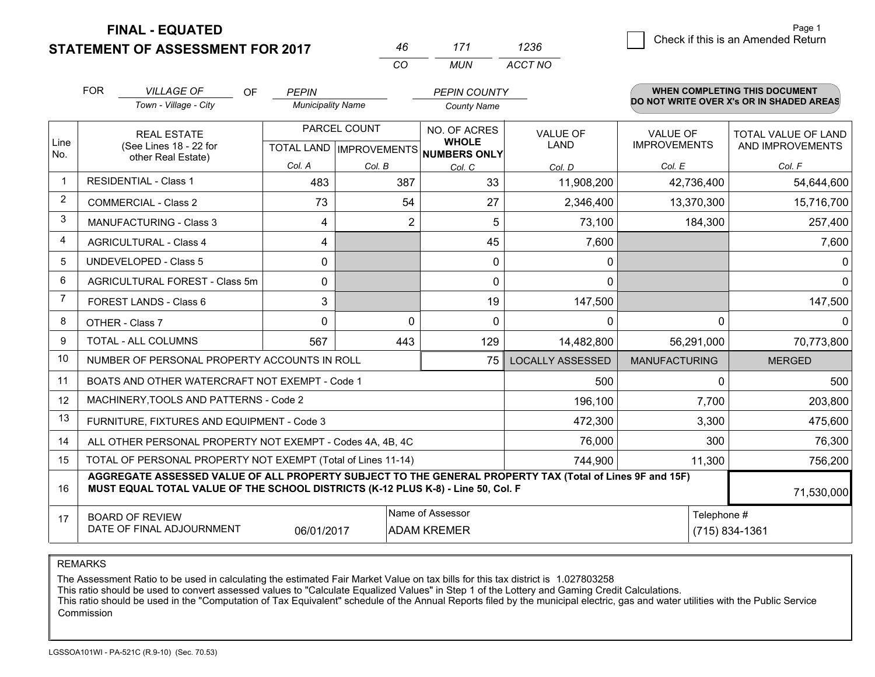**FINAL - EQUATED**

**STATEMENT OF ASSESSMENT FOR 2017** 

|     | 171  | 1236    |
|-----|------|---------|
| ΓO. | MUN. | ACCT NO |

|                | <b>FOR</b><br><b>VILLAGE OF</b><br>OF.<br>Town - Village - City                                                                                                                              | <b>PEPIN</b><br><b>Municipality Name</b> |                                        | <b>PEPIN COUNTY</b><br><b>County Name</b>           |                         |                      | <b>WHEN COMPLETING THIS DOCUMENT</b><br>DO NOT WRITE OVER X's OR IN SHADED AREAS |
|----------------|----------------------------------------------------------------------------------------------------------------------------------------------------------------------------------------------|------------------------------------------|----------------------------------------|-----------------------------------------------------|-------------------------|----------------------|----------------------------------------------------------------------------------|
|                | <b>REAL ESTATE</b>                                                                                                                                                                           |                                          | PARCEL COUNT                           | NO. OF ACRES                                        | <b>VALUE OF</b>         | <b>VALUE OF</b>      | TOTAL VALUE OF LAND                                                              |
| Line<br>No.    | (See Lines 18 - 22 for<br>other Real Estate)                                                                                                                                                 |                                          |                                        | <b>WHOLE</b><br>TOTAL LAND MPROVEMENTS NUMBERS ONLY | <b>LAND</b>             | <b>IMPROVEMENTS</b>  | AND IMPROVEMENTS                                                                 |
|                | <b>RESIDENTIAL - Class 1</b>                                                                                                                                                                 | Col. A<br>483                            | Col. B<br>387                          | Col. C<br>33                                        | Col. D<br>11,908,200    | Col. E<br>42,736,400 | Col. F<br>54,644,600                                                             |
| $\overline{2}$ | <b>COMMERCIAL - Class 2</b>                                                                                                                                                                  | 73                                       | 54                                     | 27                                                  | 2,346,400               | 13,370,300           | 15,716,700                                                                       |
| 3              | <b>MANUFACTURING - Class 3</b>                                                                                                                                                               | 4                                        | $\overline{2}$                         | 5                                                   | 73,100                  | 184,300              | 257,400                                                                          |
| 4              | <b>AGRICULTURAL - Class 4</b>                                                                                                                                                                | 4                                        |                                        | 45                                                  | 7,600                   |                      | 7,600                                                                            |
| 5              | <b>UNDEVELOPED - Class 5</b>                                                                                                                                                                 | $\mathbf{0}$                             |                                        | 0                                                   | 0                       |                      | $\Omega$                                                                         |
| 6              | AGRICULTURAL FOREST - Class 5m                                                                                                                                                               | 0                                        |                                        | $\Omega$                                            | $\mathbf{0}$            |                      | $\overline{0}$                                                                   |
| 7              | FOREST LANDS - Class 6                                                                                                                                                                       | 3                                        |                                        | 19                                                  | 147,500                 |                      | 147,500                                                                          |
| 8              | OTHER - Class 7                                                                                                                                                                              | $\Omega$                                 | $\Omega$                               | $\Omega$                                            | $\Omega$                | $\Omega$             | $\Omega$                                                                         |
| 9              | TOTAL - ALL COLUMNS                                                                                                                                                                          | 567                                      | 443                                    | 129                                                 | 14,482,800              | 56,291,000           | 70,773,800                                                                       |
| 10             | NUMBER OF PERSONAL PROPERTY ACCOUNTS IN ROLL                                                                                                                                                 |                                          |                                        | 75 l                                                | <b>LOCALLY ASSESSED</b> | <b>MANUFACTURING</b> | <b>MERGED</b>                                                                    |
| 11             | BOATS AND OTHER WATERCRAFT NOT EXEMPT - Code 1                                                                                                                                               |                                          |                                        |                                                     | 500                     | $\Omega$             | 500                                                                              |
| 12             | MACHINERY, TOOLS AND PATTERNS - Code 2                                                                                                                                                       |                                          |                                        |                                                     | 196,100                 | 7,700                | 203,800                                                                          |
| 13             | FURNITURE, FIXTURES AND EQUIPMENT - Code 3                                                                                                                                                   |                                          |                                        |                                                     | 472,300                 | 3,300                | 475,600                                                                          |
| 14             | ALL OTHER PERSONAL PROPERTY NOT EXEMPT - Codes 4A, 4B, 4C                                                                                                                                    |                                          |                                        | 76,000                                              | 300                     | 76,300               |                                                                                  |
| 15             | TOTAL OF PERSONAL PROPERTY NOT EXEMPT (Total of Lines 11-14)                                                                                                                                 |                                          | 744,900                                | 11,300                                              | 756,200                 |                      |                                                                                  |
| 16             | AGGREGATE ASSESSED VALUE OF ALL PROPERTY SUBJECT TO THE GENERAL PROPERTY TAX (Total of Lines 9F and 15F)<br>MUST EQUAL TOTAL VALUE OF THE SCHOOL DISTRICTS (K-12 PLUS K-8) - Line 50, Col. F |                                          |                                        |                                                     |                         |                      | 71,530,000                                                                       |
| 17             | <b>BOARD OF REVIEW</b><br>DATE OF FINAL ADJOURNMENT                                                                                                                                          | 06/01/2017                               | Name of Assessor<br><b>ADAM KREMER</b> |                                                     | Telephone #             | (715) 834-1361       |                                                                                  |

REMARKS

The Assessment Ratio to be used in calculating the estimated Fair Market Value on tax bills for this tax district is 1.027803258

This ratio should be used to convert assessed values to "Calculate Equalized Values" in Step 1 of the Lottery and Gaming Credit Calculations.<br>This ratio should be used in the "Computation of Tax Equivalent" schedule of the Commission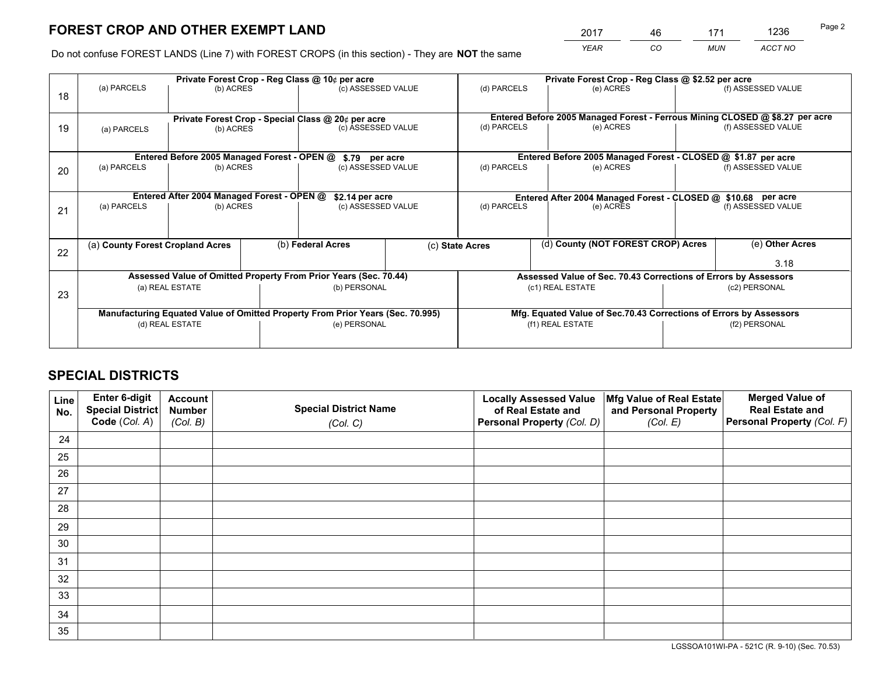*YEAR CO MUN ACCT NO* <sup>2017</sup> <sup>46</sup> <sup>171</sup> <sup>1236</sup>

Do not confuse FOREST LANDS (Line 7) with FOREST CROPS (in this section) - They are **NOT** the same

|    |                                                               | Private Forest Crop - Reg Class @ 10¢ per acre                                 |  |                                                    |  | Private Forest Crop - Reg Class @ \$2.52 per acre             |                                                                              |  |                    |
|----|---------------------------------------------------------------|--------------------------------------------------------------------------------|--|----------------------------------------------------|--|---------------------------------------------------------------|------------------------------------------------------------------------------|--|--------------------|
| 18 | (a) PARCELS                                                   | (b) ACRES                                                                      |  | (c) ASSESSED VALUE                                 |  | (d) PARCELS                                                   | (e) ACRES                                                                    |  | (f) ASSESSED VALUE |
|    |                                                               |                                                                                |  | Private Forest Crop - Special Class @ 20¢ per acre |  |                                                               | Entered Before 2005 Managed Forest - Ferrous Mining CLOSED @ \$8.27 per acre |  |                    |
| 19 | (a) PARCELS                                                   | (b) ACRES                                                                      |  | (c) ASSESSED VALUE                                 |  | (d) PARCELS                                                   | (e) ACRES                                                                    |  | (f) ASSESSED VALUE |
|    |                                                               | Entered Before 2005 Managed Forest - OPEN @                                    |  | \$.79 per acre                                     |  |                                                               | Entered Before 2005 Managed Forest - CLOSED @ \$1.87 per acre                |  |                    |
| 20 | (a) PARCELS                                                   | (b) ACRES                                                                      |  | (c) ASSESSED VALUE                                 |  | (d) PARCELS                                                   | (e) ACRES                                                                    |  | (f) ASSESSED VALUE |
|    | Entered After 2004 Managed Forest - OPEN @<br>\$2.14 per acre |                                                                                |  |                                                    |  | Entered After 2004 Managed Forest - CLOSED @ \$10.68 per acre |                                                                              |  |                    |
| 21 | (a) PARCELS                                                   | (b) ACRES                                                                      |  | (c) ASSESSED VALUE                                 |  | (d) PARCELS                                                   | (e) ACRES                                                                    |  | (f) ASSESSED VALUE |
|    |                                                               |                                                                                |  |                                                    |  |                                                               |                                                                              |  |                    |
| 22 | (a) County Forest Cropland Acres                              |                                                                                |  | (b) Federal Acres                                  |  | (c) State Acres                                               | (d) County (NOT FOREST CROP) Acres                                           |  | (e) Other Acres    |
|    |                                                               |                                                                                |  |                                                    |  |                                                               |                                                                              |  | 3.18               |
|    |                                                               | Assessed Value of Omitted Property From Prior Years (Sec. 70.44)               |  |                                                    |  |                                                               | Assessed Value of Sec. 70.43 Corrections of Errors by Assessors              |  |                    |
| 23 |                                                               | (a) REAL ESTATE                                                                |  | (b) PERSONAL                                       |  |                                                               | (c1) REAL ESTATE                                                             |  | (c2) PERSONAL      |
|    |                                                               | Manufacturing Equated Value of Omitted Property From Prior Years (Sec. 70.995) |  |                                                    |  |                                                               | Mfg. Equated Value of Sec.70.43 Corrections of Errors by Assessors           |  |                    |
|    |                                                               | (d) REAL ESTATE                                                                |  | (e) PERSONAL                                       |  |                                                               | (f1) REAL ESTATE                                                             |  | (f2) PERSONAL      |
|    |                                                               |                                                                                |  |                                                    |  |                                                               |                                                                              |  |                    |

## **SPECIAL DISTRICTS**

| Line<br>No. | Enter 6-digit<br><b>Special District</b> | <b>Account</b><br><b>Number</b> | <b>Special District Name</b> | <b>Locally Assessed Value</b><br>of Real Estate and | Mfg Value of Real Estate<br>and Personal Property | <b>Merged Value of</b><br><b>Real Estate and</b> |
|-------------|------------------------------------------|---------------------------------|------------------------------|-----------------------------------------------------|---------------------------------------------------|--------------------------------------------------|
|             | Code (Col. A)                            | (Col. B)                        | (Col. C)                     | Personal Property (Col. D)                          | (Col. E)                                          | Personal Property (Col. F)                       |
| 24          |                                          |                                 |                              |                                                     |                                                   |                                                  |
| 25          |                                          |                                 |                              |                                                     |                                                   |                                                  |
| 26          |                                          |                                 |                              |                                                     |                                                   |                                                  |
| 27          |                                          |                                 |                              |                                                     |                                                   |                                                  |
| 28          |                                          |                                 |                              |                                                     |                                                   |                                                  |
| 29          |                                          |                                 |                              |                                                     |                                                   |                                                  |
| 30          |                                          |                                 |                              |                                                     |                                                   |                                                  |
| 31          |                                          |                                 |                              |                                                     |                                                   |                                                  |
| 32          |                                          |                                 |                              |                                                     |                                                   |                                                  |
| 33          |                                          |                                 |                              |                                                     |                                                   |                                                  |
| 34          |                                          |                                 |                              |                                                     |                                                   |                                                  |
| 35          |                                          |                                 |                              |                                                     |                                                   |                                                  |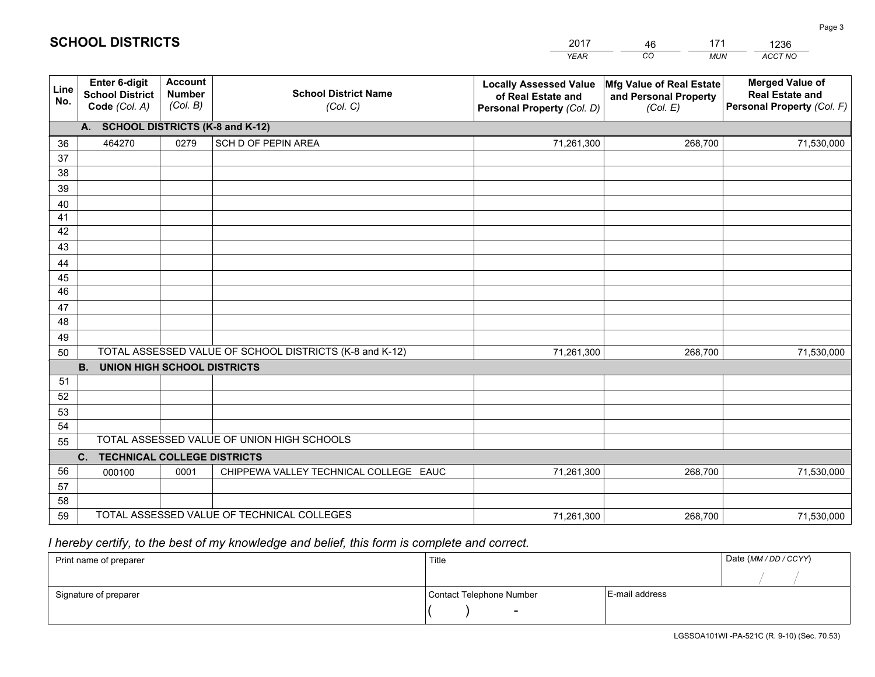|                                                          |                                             |                                         | YEAR                                                                                                                                                                                                                                                                                                     | CO.<br><b>MUN</b>                 | ACCT NO                                                                        |  |
|----------------------------------------------------------|---------------------------------------------|-----------------------------------------|----------------------------------------------------------------------------------------------------------------------------------------------------------------------------------------------------------------------------------------------------------------------------------------------------------|-----------------------------------|--------------------------------------------------------------------------------|--|
| Enter 6-digit<br><b>School District</b><br>Code (Col. A) | <b>Account</b><br><b>Number</b><br>(Col. B) | <b>School District Name</b><br>(Col. C) | <b>Locally Assessed Value</b><br>of Real Estate and<br>Personal Property (Col. D)                                                                                                                                                                                                                        | and Personal Property<br>(Col. E) | <b>Merged Value of</b><br><b>Real Estate and</b><br>Personal Property (Col. F) |  |
|                                                          |                                             |                                         |                                                                                                                                                                                                                                                                                                          |                                   |                                                                                |  |
| 464270                                                   | 0279                                        | SCH D OF PEPIN AREA                     | 71,261,300                                                                                                                                                                                                                                                                                               | 268,700                           | 71,530,000                                                                     |  |
|                                                          |                                             |                                         |                                                                                                                                                                                                                                                                                                          |                                   |                                                                                |  |
|                                                          |                                             |                                         |                                                                                                                                                                                                                                                                                                          |                                   |                                                                                |  |
|                                                          |                                             |                                         |                                                                                                                                                                                                                                                                                                          |                                   |                                                                                |  |
|                                                          |                                             |                                         |                                                                                                                                                                                                                                                                                                          |                                   |                                                                                |  |
|                                                          |                                             |                                         |                                                                                                                                                                                                                                                                                                          |                                   |                                                                                |  |
|                                                          |                                             |                                         |                                                                                                                                                                                                                                                                                                          |                                   |                                                                                |  |
|                                                          |                                             |                                         |                                                                                                                                                                                                                                                                                                          |                                   |                                                                                |  |
|                                                          |                                             |                                         |                                                                                                                                                                                                                                                                                                          |                                   |                                                                                |  |
|                                                          |                                             |                                         |                                                                                                                                                                                                                                                                                                          |                                   |                                                                                |  |
|                                                          |                                             |                                         |                                                                                                                                                                                                                                                                                                          |                                   |                                                                                |  |
|                                                          |                                             |                                         |                                                                                                                                                                                                                                                                                                          |                                   |                                                                                |  |
|                                                          |                                             |                                         |                                                                                                                                                                                                                                                                                                          |                                   |                                                                                |  |
|                                                          |                                             |                                         | 71,261,300                                                                                                                                                                                                                                                                                               | 268,700                           | 71,530,000                                                                     |  |
|                                                          |                                             |                                         |                                                                                                                                                                                                                                                                                                          |                                   |                                                                                |  |
|                                                          |                                             |                                         |                                                                                                                                                                                                                                                                                                          |                                   |                                                                                |  |
|                                                          |                                             |                                         |                                                                                                                                                                                                                                                                                                          |                                   |                                                                                |  |
|                                                          |                                             |                                         |                                                                                                                                                                                                                                                                                                          |                                   |                                                                                |  |
|                                                          |                                             |                                         |                                                                                                                                                                                                                                                                                                          |                                   |                                                                                |  |
| 55                                                       |                                             |                                         |                                                                                                                                                                                                                                                                                                          |                                   |                                                                                |  |
|                                                          |                                             |                                         |                                                                                                                                                                                                                                                                                                          |                                   | 71,530,000                                                                     |  |
|                                                          |                                             |                                         |                                                                                                                                                                                                                                                                                                          |                                   |                                                                                |  |
|                                                          |                                             |                                         |                                                                                                                                                                                                                                                                                                          |                                   |                                                                                |  |
|                                                          |                                             |                                         | 71,261,300                                                                                                                                                                                                                                                                                               | 268,700                           | 71,530,000                                                                     |  |
|                                                          | <b>B.</b><br>C.<br>000100                   | 0001                                    | A. SCHOOL DISTRICTS (K-8 and K-12)<br>TOTAL ASSESSED VALUE OF SCHOOL DISTRICTS (K-8 and K-12)<br>UNION HIGH SCHOOL DISTRICTS<br>TOTAL ASSESSED VALUE OF UNION HIGH SCHOOLS<br><b>TECHNICAL COLLEGE DISTRICTS</b><br>CHIPPEWA VALLEY TECHNICAL COLLEGE EAUC<br>TOTAL ASSESSED VALUE OF TECHNICAL COLLEGES | 71,261,300                        | Mfg Value of Real Estate<br>268,700                                            |  |

46

171

 *I hereby certify, to the best of my knowledge and belief, this form is complete and correct.*

**SCHOOL DISTRICTS**

| Print name of preparer | Title                    |                | Date (MM / DD / CCYY) |
|------------------------|--------------------------|----------------|-----------------------|
|                        |                          |                |                       |
| Signature of preparer  | Contact Telephone Number | E-mail address |                       |
|                        | $\sim$                   |                |                       |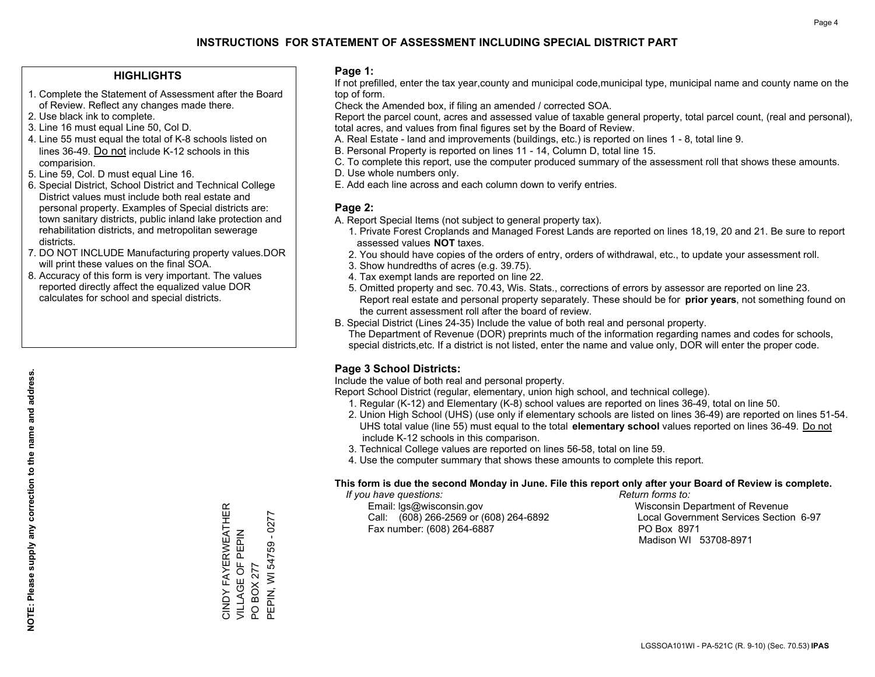### **HIGHLIGHTS**

- 1. Complete the Statement of Assessment after the Board of Review. Reflect any changes made there.
- 2. Use black ink to complete.

**NOTE: Please supply any correction to the name and address.**

NOTE: Please supply any correction to the name and address.

- 3. Line 16 must equal Line 50, Col D.
- 4. Line 55 must equal the total of K-8 schools listed on lines 36-49. Do not include K-12 schools in this comparision.
- 5. Line 59, Col. D must equal Line 16.
- 6. Special District, School District and Technical College District values must include both real estate and personal property. Examples of Special districts are: town sanitary districts, public inland lake protection and rehabilitation districts, and metropolitan sewerage districts.
- 7. DO NOT INCLUDE Manufacturing property values.DOR will print these values on the final SOA.
- 8. Accuracy of this form is very important. The values reported directly affect the equalized value DOR calculates for school and special districts.

#### **Page 1:**

 If not prefilled, enter the tax year,county and municipal code,municipal type, municipal name and county name on the top of form.

Check the Amended box, if filing an amended / corrected SOA.

 Report the parcel count, acres and assessed value of taxable general property, total parcel count, (real and personal), total acres, and values from final figures set by the Board of Review.

- A. Real Estate land and improvements (buildings, etc.) is reported on lines 1 8, total line 9.
- B. Personal Property is reported on lines 11 14, Column D, total line 15.
- C. To complete this report, use the computer produced summary of the assessment roll that shows these amounts.
- D. Use whole numbers only.
- E. Add each line across and each column down to verify entries.

### **Page 2:**

- A. Report Special Items (not subject to general property tax).
- 1. Private Forest Croplands and Managed Forest Lands are reported on lines 18,19, 20 and 21. Be sure to report assessed values **NOT** taxes.
- 2. You should have copies of the orders of entry, orders of withdrawal, etc., to update your assessment roll.
	- 3. Show hundredths of acres (e.g. 39.75).
- 4. Tax exempt lands are reported on line 22.
- 5. Omitted property and sec. 70.43, Wis. Stats., corrections of errors by assessor are reported on line 23. Report real estate and personal property separately. These should be for **prior years**, not something found on the current assessment roll after the board of review.
- B. Special District (Lines 24-35) Include the value of both real and personal property.
- The Department of Revenue (DOR) preprints much of the information regarding names and codes for schools, special districts,etc. If a district is not listed, enter the name and value only, DOR will enter the proper code.

## **Page 3 School Districts:**

Include the value of both real and personal property.

Report School District (regular, elementary, union high school, and technical college).

- 1. Regular (K-12) and Elementary (K-8) school values are reported on lines 36-49, total on line 50.
- 2. Union High School (UHS) (use only if elementary schools are listed on lines 36-49) are reported on lines 51-54. UHS total value (line 55) must equal to the total **elementary school** values reported on lines 36-49. Do notinclude K-12 schools in this comparison.
- 3. Technical College values are reported on lines 56-58, total on line 59.
- 4. Use the computer summary that shows these amounts to complete this report.

### **This form is due the second Monday in June. File this report only after your Board of Review is complete.**

 *If you have questions: Return forms to:*

 Email: lgs@wisconsin.gov Wisconsin Department of RevenueCall:  $(608)$  266-2569 or  $(608)$  264-6892 Fax number: (608) 264-6887 PO Box 8971

Local Government Services Section 6-97 Madison WI 53708-8971

CINDY FAYERWEATHER<br>VILLAGE OF PEPIN CINDY FAYERWEATHER VILLAGE OF PEPIN

PO BOX 277

PO BOX 277

PEPIN, WI 54759 - 0277

PEPIN, WI 54759 - 0277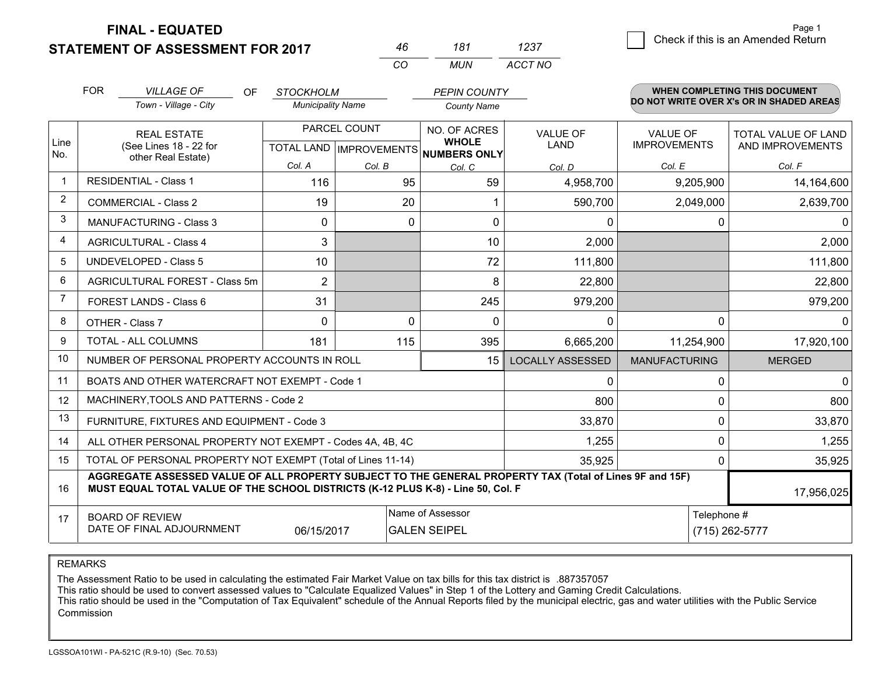**STATEMENT OF ASSESSMENT FOR 2017** 

**FINAL - EQUATED**

|    | 181   | 1237    |
|----|-------|---------|
| rη | MI IN | ACCT NO |

|                | <b>FOR</b>                                                             | <b>VILLAGE OF</b><br><b>OF</b>                                                                                                                                                               | <b>STOCKHOLM</b>         |                                           | <b>PEPIN COUNTY</b>                     |                                |                                        | <b>WHEN COMPLETING THIS DOCUMENT</b>     |
|----------------|------------------------------------------------------------------------|----------------------------------------------------------------------------------------------------------------------------------------------------------------------------------------------|--------------------------|-------------------------------------------|-----------------------------------------|--------------------------------|----------------------------------------|------------------------------------------|
|                |                                                                        | Town - Village - City                                                                                                                                                                        | <b>Municipality Name</b> |                                           | <b>County Name</b>                      |                                |                                        | DO NOT WRITE OVER X's OR IN SHADED AREAS |
| Line           |                                                                        | <b>REAL ESTATE</b><br>(See Lines 18 - 22 for                                                                                                                                                 |                          | PARCEL COUNT<br>TOTAL LAND   IMPROVEMENTS | NO. OF ACRES<br><b>WHOLE</b>            | <b>VALUE OF</b><br><b>LAND</b> | <b>VALUE OF</b><br><b>IMPROVEMENTS</b> | TOTAL VALUE OF LAND<br>AND IMPROVEMENTS  |
| No.            |                                                                        | other Real Estate)                                                                                                                                                                           | Col. A                   | Col. B                                    | <b>NUMBERS ONLY</b><br>Col. C           | Col. D                         | Col. E                                 | Col. F                                   |
| $\mathbf{1}$   |                                                                        | <b>RESIDENTIAL - Class 1</b>                                                                                                                                                                 | 116                      | 95                                        | 59                                      | 4,958,700                      | 9,205,900                              | 14,164,600                               |
| $\overline{2}$ |                                                                        | <b>COMMERCIAL - Class 2</b>                                                                                                                                                                  | 19                       | 20                                        |                                         | 590,700                        | 2,049,000                              | 2,639,700                                |
| 3              |                                                                        | <b>MANUFACTURING - Class 3</b>                                                                                                                                                               | 0                        | $\mathbf{0}$                              | $\mathbf{0}$                            | $\mathbf 0$                    | 0                                      |                                          |
| 4              |                                                                        | <b>AGRICULTURAL - Class 4</b>                                                                                                                                                                | 3                        |                                           | 10                                      | 2,000                          |                                        | 2,000                                    |
| 5              |                                                                        | <b>UNDEVELOPED - Class 5</b>                                                                                                                                                                 | 10                       |                                           | 72                                      | 111,800                        |                                        | 111,800                                  |
| 6              |                                                                        | AGRICULTURAL FOREST - Class 5m                                                                                                                                                               | $\overline{2}$           |                                           | 8                                       | 22,800                         |                                        | 22,800                                   |
| $\overline{7}$ |                                                                        | FOREST LANDS - Class 6                                                                                                                                                                       | 31                       |                                           | 245                                     | 979,200                        |                                        | 979,200                                  |
| 8              |                                                                        | OTHER - Class 7                                                                                                                                                                              | $\Omega$                 | $\Omega$                                  | $\Omega$                                | $\Omega$                       | $\Omega$                               |                                          |
| 9              |                                                                        | TOTAL - ALL COLUMNS                                                                                                                                                                          | 181                      | 115                                       | 395                                     | 6,665,200                      | 11,254,900                             | 17,920,100                               |
| 10             |                                                                        | NUMBER OF PERSONAL PROPERTY ACCOUNTS IN ROLL                                                                                                                                                 |                          |                                           | 15                                      | <b>LOCALLY ASSESSED</b>        | <b>MANUFACTURING</b>                   | <b>MERGED</b>                            |
| 11             |                                                                        | BOATS AND OTHER WATERCRAFT NOT EXEMPT - Code 1                                                                                                                                               |                          |                                           |                                         | $\mathbf 0$                    | 0                                      |                                          |
| 12             |                                                                        | MACHINERY, TOOLS AND PATTERNS - Code 2                                                                                                                                                       |                          |                                           |                                         | 800                            | 0                                      | 800                                      |
| 13             |                                                                        | FURNITURE, FIXTURES AND EQUIPMENT - Code 3                                                                                                                                                   |                          |                                           |                                         | 33,870                         | 0                                      | 33,870                                   |
| 14             | ALL OTHER PERSONAL PROPERTY NOT EXEMPT - Codes 4A, 4B, 4C              |                                                                                                                                                                                              |                          |                                           |                                         |                                | 0                                      | 1,255                                    |
| 15             | TOTAL OF PERSONAL PROPERTY NOT EXEMPT (Total of Lines 11-14)<br>35,925 |                                                                                                                                                                                              |                          |                                           |                                         |                                | 0                                      | 35,925                                   |
| 16             |                                                                        | AGGREGATE ASSESSED VALUE OF ALL PROPERTY SUBJECT TO THE GENERAL PROPERTY TAX (Total of Lines 9F and 15F)<br>MUST EQUAL TOTAL VALUE OF THE SCHOOL DISTRICTS (K-12 PLUS K-8) - Line 50, Col. F |                          |                                           |                                         |                                |                                        | 17,956,025                               |
| 17             |                                                                        | <b>BOARD OF REVIEW</b><br>DATE OF FINAL ADJOURNMENT                                                                                                                                          | 06/15/2017               |                                           | Name of Assessor<br><b>GALEN SEIPEL</b> |                                | Telephone #                            | (715) 262-5777                           |

REMARKS

The Assessment Ratio to be used in calculating the estimated Fair Market Value on tax bills for this tax district is .887357057

This ratio should be used to convert assessed values to "Calculate Equalized Values" in Step 1 of the Lottery and Gaming Credit Calculations.<br>This ratio should be used in the "Computation of Tax Equivalent" schedule of the Commission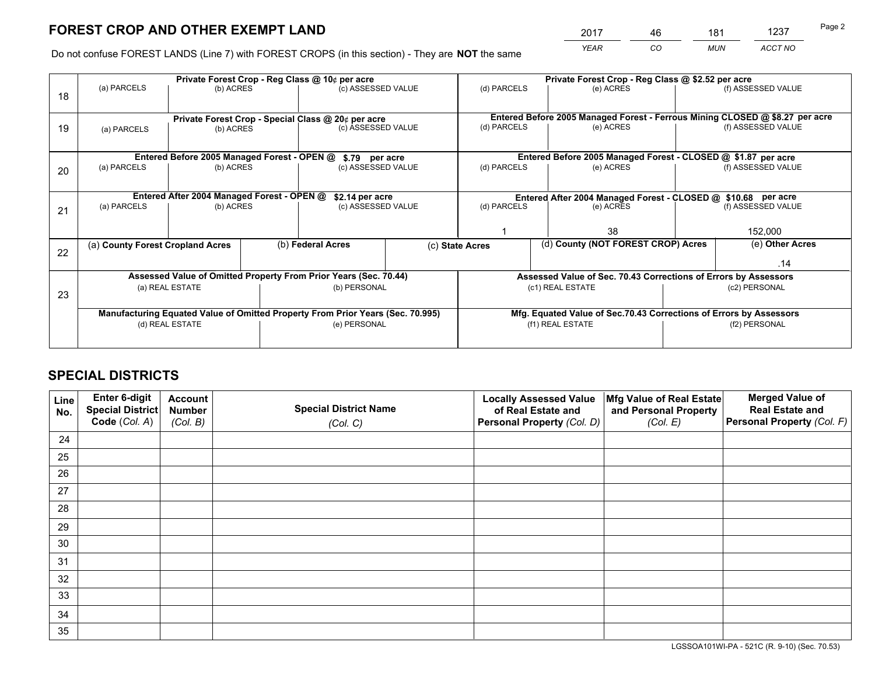*YEAR CO MUN ACCT NO* <u>2017 - 46 181 1237</u>

Do not confuse FOREST LANDS (Line 7) with FOREST CROPS (in this section) - They are **NOT** the same

|    |                                                                                |                                             |  | Private Forest Crop - Reg Class @ 10¢ per acre                   |  | Private Forest Crop - Reg Class @ \$2.52 per acre                  |                                                                              |  |                    |  |
|----|--------------------------------------------------------------------------------|---------------------------------------------|--|------------------------------------------------------------------|--|--------------------------------------------------------------------|------------------------------------------------------------------------------|--|--------------------|--|
| 18 | (a) PARCELS                                                                    | (b) ACRES                                   |  | (c) ASSESSED VALUE                                               |  | (d) PARCELS                                                        | (e) ACRES                                                                    |  | (f) ASSESSED VALUE |  |
|    |                                                                                |                                             |  | Private Forest Crop - Special Class @ 20¢ per acre               |  |                                                                    | Entered Before 2005 Managed Forest - Ferrous Mining CLOSED @ \$8.27 per acre |  |                    |  |
| 19 | (a) PARCELS                                                                    | (b) ACRES                                   |  | (c) ASSESSED VALUE                                               |  | (d) PARCELS                                                        | (e) ACRES                                                                    |  | (f) ASSESSED VALUE |  |
|    |                                                                                | Entered Before 2005 Managed Forest - OPEN @ |  |                                                                  |  |                                                                    | Entered Before 2005 Managed Forest - CLOSED @ \$1.87 per acre                |  |                    |  |
|    | (a) PARCELS                                                                    | (b) ACRES                                   |  | \$.79 per acre<br>(c) ASSESSED VALUE                             |  | (d) PARCELS                                                        | (e) ACRES                                                                    |  | (f) ASSESSED VALUE |  |
| 20 |                                                                                |                                             |  |                                                                  |  |                                                                    |                                                                              |  |                    |  |
|    | Entered After 2004 Managed Forest - OPEN @<br>\$2.14 per acre                  |                                             |  |                                                                  |  | Entered After 2004 Managed Forest - CLOSED @ \$10.68 per acre      |                                                                              |  |                    |  |
| 21 | (a) PARCELS                                                                    | (b) ACRES                                   |  | (c) ASSESSED VALUE                                               |  | (d) PARCELS<br>(e) ACRES                                           |                                                                              |  | (f) ASSESSED VALUE |  |
|    |                                                                                |                                             |  |                                                                  |  |                                                                    |                                                                              |  |                    |  |
|    |                                                                                |                                             |  |                                                                  |  |                                                                    | 38                                                                           |  | 152,000            |  |
|    | (a) County Forest Cropland Acres                                               |                                             |  | (b) Federal Acres                                                |  | (c) State Acres                                                    | (d) County (NOT FOREST CROP) Acres                                           |  | (e) Other Acres    |  |
| 22 |                                                                                |                                             |  |                                                                  |  |                                                                    |                                                                              |  |                    |  |
|    |                                                                                |                                             |  |                                                                  |  |                                                                    |                                                                              |  | .14                |  |
|    |                                                                                |                                             |  | Assessed Value of Omitted Property From Prior Years (Sec. 70.44) |  |                                                                    | Assessed Value of Sec. 70.43 Corrections of Errors by Assessors              |  |                    |  |
| 23 |                                                                                | (a) REAL ESTATE<br>(b) PERSONAL             |  | (c1) REAL ESTATE                                                 |  | (c2) PERSONAL                                                      |                                                                              |  |                    |  |
|    |                                                                                |                                             |  |                                                                  |  |                                                                    |                                                                              |  |                    |  |
|    | Manufacturing Equated Value of Omitted Property From Prior Years (Sec. 70.995) |                                             |  |                                                                  |  | Mfg. Equated Value of Sec.70.43 Corrections of Errors by Assessors |                                                                              |  |                    |  |
|    | (e) PERSONAL<br>(d) REAL ESTATE                                                |                                             |  | (f1) REAL ESTATE                                                 |  | (f2) PERSONAL                                                      |                                                                              |  |                    |  |
|    |                                                                                |                                             |  |                                                                  |  |                                                                    |                                                                              |  |                    |  |
|    |                                                                                |                                             |  |                                                                  |  |                                                                    |                                                                              |  |                    |  |

## **SPECIAL DISTRICTS**

| Line<br>No. | Enter 6-digit<br>Special District<br>Code (Col. A) | <b>Account</b><br><b>Number</b> | <b>Special District Name</b> | <b>Locally Assessed Value</b><br>of Real Estate and | Mfg Value of Real Estate<br>and Personal Property | <b>Merged Value of</b><br><b>Real Estate and</b><br>Personal Property (Col. F) |
|-------------|----------------------------------------------------|---------------------------------|------------------------------|-----------------------------------------------------|---------------------------------------------------|--------------------------------------------------------------------------------|
|             |                                                    | (Col. B)                        | (Col. C)                     | Personal Property (Col. D)                          | (Col. E)                                          |                                                                                |
| 24          |                                                    |                                 |                              |                                                     |                                                   |                                                                                |
| 25          |                                                    |                                 |                              |                                                     |                                                   |                                                                                |
| 26          |                                                    |                                 |                              |                                                     |                                                   |                                                                                |
| 27          |                                                    |                                 |                              |                                                     |                                                   |                                                                                |
| 28          |                                                    |                                 |                              |                                                     |                                                   |                                                                                |
| 29          |                                                    |                                 |                              |                                                     |                                                   |                                                                                |
| 30          |                                                    |                                 |                              |                                                     |                                                   |                                                                                |
| 31          |                                                    |                                 |                              |                                                     |                                                   |                                                                                |
| 32          |                                                    |                                 |                              |                                                     |                                                   |                                                                                |
| 33          |                                                    |                                 |                              |                                                     |                                                   |                                                                                |
| 34          |                                                    |                                 |                              |                                                     |                                                   |                                                                                |
| 35          |                                                    |                                 |                              |                                                     |                                                   |                                                                                |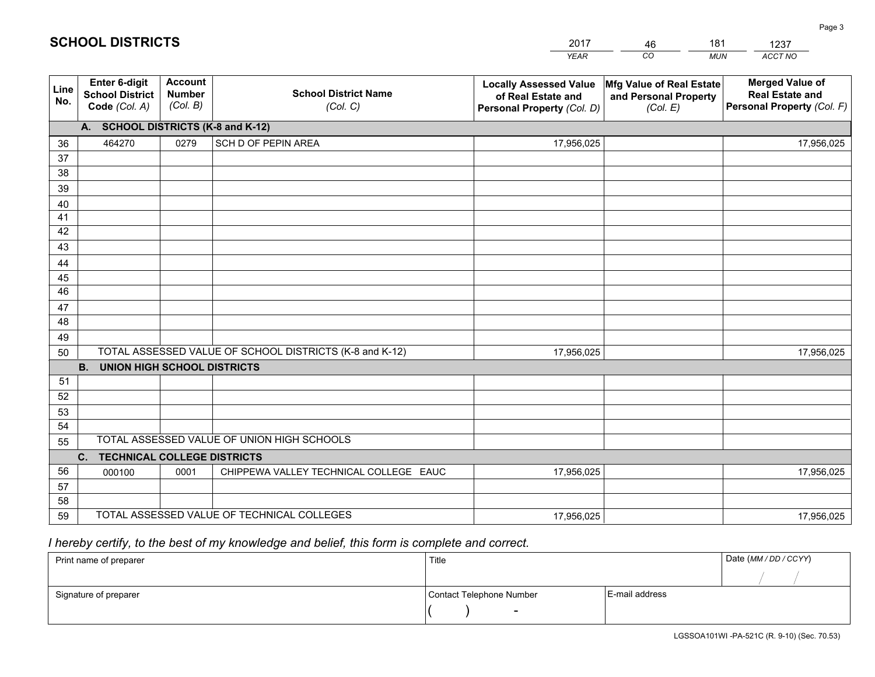|             |                                                          |                                             |                                                         | YEAR                                                                              | CO.<br><b>MUN</b>                                             | ACCT NO                                                                        |
|-------------|----------------------------------------------------------|---------------------------------------------|---------------------------------------------------------|-----------------------------------------------------------------------------------|---------------------------------------------------------------|--------------------------------------------------------------------------------|
| Line<br>No. | Enter 6-digit<br><b>School District</b><br>Code (Col. A) | <b>Account</b><br><b>Number</b><br>(Col. B) | <b>School District Name</b><br>(Col. C)                 | <b>Locally Assessed Value</b><br>of Real Estate and<br>Personal Property (Col. D) | Mfg Value of Real Estate<br>and Personal Property<br>(Col. E) | <b>Merged Value of</b><br><b>Real Estate and</b><br>Personal Property (Col. F) |
|             | A. SCHOOL DISTRICTS (K-8 and K-12)                       |                                             |                                                         |                                                                                   |                                                               |                                                                                |
| 36          | 464270                                                   | 0279                                        | SCH D OF PEPIN AREA                                     | 17,956,025                                                                        |                                                               | 17,956,025                                                                     |
| 37          |                                                          |                                             |                                                         |                                                                                   |                                                               |                                                                                |
| 38          |                                                          |                                             |                                                         |                                                                                   |                                                               |                                                                                |
| 39          |                                                          |                                             |                                                         |                                                                                   |                                                               |                                                                                |
| 40          |                                                          |                                             |                                                         |                                                                                   |                                                               |                                                                                |
| 41          |                                                          |                                             |                                                         |                                                                                   |                                                               |                                                                                |
| 42          |                                                          |                                             |                                                         |                                                                                   |                                                               |                                                                                |
| 43          |                                                          |                                             |                                                         |                                                                                   |                                                               |                                                                                |
| 44          |                                                          |                                             |                                                         |                                                                                   |                                                               |                                                                                |
| 45<br>46    |                                                          |                                             |                                                         |                                                                                   |                                                               |                                                                                |
| 47          |                                                          |                                             |                                                         |                                                                                   |                                                               |                                                                                |
| 48          |                                                          |                                             |                                                         |                                                                                   |                                                               |                                                                                |
| 49          |                                                          |                                             |                                                         |                                                                                   |                                                               |                                                                                |
| 50          |                                                          |                                             | TOTAL ASSESSED VALUE OF SCHOOL DISTRICTS (K-8 and K-12) | 17,956,025                                                                        |                                                               | 17,956,025                                                                     |
|             | <b>UNION HIGH SCHOOL DISTRICTS</b><br><b>B.</b>          |                                             |                                                         |                                                                                   |                                                               |                                                                                |
| 51          |                                                          |                                             |                                                         |                                                                                   |                                                               |                                                                                |
| 52          |                                                          |                                             |                                                         |                                                                                   |                                                               |                                                                                |
| 53          |                                                          |                                             |                                                         |                                                                                   |                                                               |                                                                                |
| 54          |                                                          |                                             |                                                         |                                                                                   |                                                               |                                                                                |
| 55          |                                                          |                                             | TOTAL ASSESSED VALUE OF UNION HIGH SCHOOLS              |                                                                                   |                                                               |                                                                                |
|             | C.<br><b>TECHNICAL COLLEGE DISTRICTS</b>                 |                                             |                                                         |                                                                                   |                                                               |                                                                                |
| 56          | 000100                                                   | 0001                                        | CHIPPEWA VALLEY TECHNICAL COLLEGE EAUC                  | 17,956,025                                                                        |                                                               | 17,956,025                                                                     |
| 57          |                                                          |                                             |                                                         |                                                                                   |                                                               |                                                                                |
| 58          |                                                          |                                             |                                                         |                                                                                   |                                                               |                                                                                |
| 59          |                                                          |                                             | TOTAL ASSESSED VALUE OF TECHNICAL COLLEGES              | 17,956,025                                                                        |                                                               | 17,956,025                                                                     |

46

181

 *I hereby certify, to the best of my knowledge and belief, this form is complete and correct.*

**SCHOOL DISTRICTS**

| Print name of preparer | Title                    |                | Date (MM / DD / CCYY) |
|------------------------|--------------------------|----------------|-----------------------|
|                        |                          |                |                       |
| Signature of preparer  | Contact Telephone Number | E-mail address |                       |
|                        | $\sim$                   |                |                       |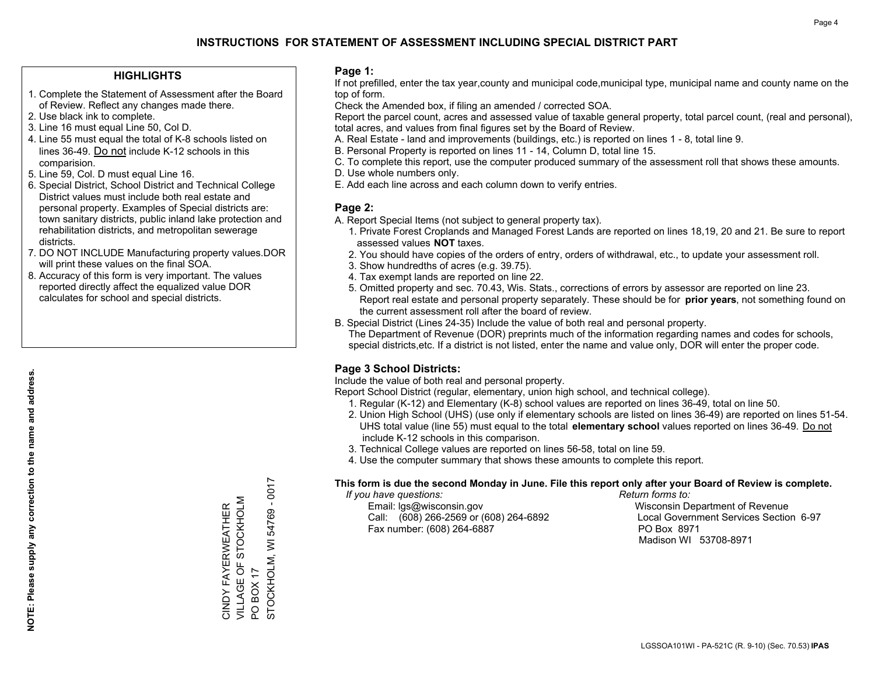### **HIGHLIGHTS**

- 1. Complete the Statement of Assessment after the Board of Review. Reflect any changes made there.
- 2. Use black ink to complete.
- 3. Line 16 must equal Line 50, Col D.
- 4. Line 55 must equal the total of K-8 schools listed on lines 36-49. Do not include K-12 schools in this comparision.
- 5. Line 59, Col. D must equal Line 16.
- 6. Special District, School District and Technical College District values must include both real estate and personal property. Examples of Special districts are: town sanitary districts, public inland lake protection and rehabilitation districts, and metropolitan sewerage districts.
- 7. DO NOT INCLUDE Manufacturing property values.DOR will print these values on the final SOA.

CINDY FAYERWEATHER VILLAGE OF STOCKHOLM

CINDY FAYERWEATHER<br>VILLAGE OF STOCKHOLM

PO BOX 17

 $\overline{S}$ 

**BOX 17** 

STOCKHOLM, WI 54769 - 0017

STOCKHOLM, WI 54769 - 0017

 8. Accuracy of this form is very important. The values reported directly affect the equalized value DOR calculates for school and special districts.

#### **Page 1:**

 If not prefilled, enter the tax year,county and municipal code,municipal type, municipal name and county name on the top of form.

Check the Amended box, if filing an amended / corrected SOA.

 Report the parcel count, acres and assessed value of taxable general property, total parcel count, (real and personal), total acres, and values from final figures set by the Board of Review.

- A. Real Estate land and improvements (buildings, etc.) is reported on lines 1 8, total line 9.
- B. Personal Property is reported on lines 11 14, Column D, total line 15.
- C. To complete this report, use the computer produced summary of the assessment roll that shows these amounts.
- D. Use whole numbers only.
- E. Add each line across and each column down to verify entries.

### **Page 2:**

- A. Report Special Items (not subject to general property tax).
- 1. Private Forest Croplands and Managed Forest Lands are reported on lines 18,19, 20 and 21. Be sure to report assessed values **NOT** taxes.
- 2. You should have copies of the orders of entry, orders of withdrawal, etc., to update your assessment roll.
	- 3. Show hundredths of acres (e.g. 39.75).
- 4. Tax exempt lands are reported on line 22.
- 5. Omitted property and sec. 70.43, Wis. Stats., corrections of errors by assessor are reported on line 23. Report real estate and personal property separately. These should be for **prior years**, not something found on the current assessment roll after the board of review.
- B. Special District (Lines 24-35) Include the value of both real and personal property.
- The Department of Revenue (DOR) preprints much of the information regarding names and codes for schools, special districts,etc. If a district is not listed, enter the name and value only, DOR will enter the proper code.

## **Page 3 School Districts:**

Include the value of both real and personal property.

Report School District (regular, elementary, union high school, and technical college).

- 1. Regular (K-12) and Elementary (K-8) school values are reported on lines 36-49, total on line 50.
- 2. Union High School (UHS) (use only if elementary schools are listed on lines 36-49) are reported on lines 51-54. UHS total value (line 55) must equal to the total **elementary school** values reported on lines 36-49. Do notinclude K-12 schools in this comparison.
- 3. Technical College values are reported on lines 56-58, total on line 59.
- 4. Use the computer summary that shows these amounts to complete this report.

#### **This form is due the second Monday in June. File this report only after your Board of Review is complete.**

 *If you have questions: Return forms to:*

 Email: lgs@wisconsin.gov Wisconsin Department of RevenueCall:  $(608)$  266-2569 or  $(608)$  264-6892 Fax number: (608) 264-6887 PO Box 8971

Local Government Services Section 6-97 Madison WI 53708-8971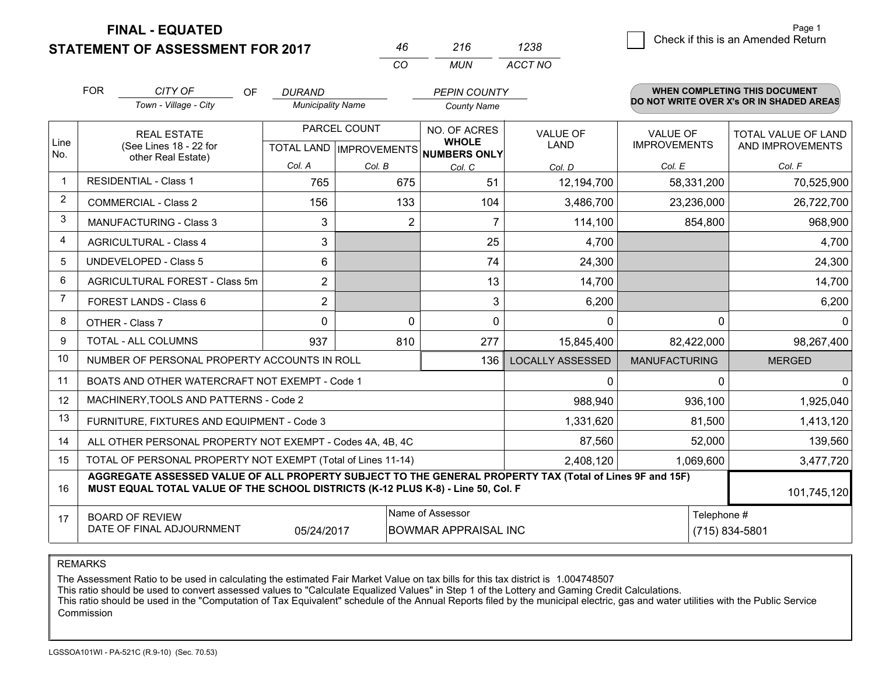**FINAL - EQUATED**

### **STATEMENT OF ASSESSMENT FOR 2017**

|     | 216 | 1238    |
|-----|-----|---------|
| ΓO. | MUN | ACCT NO |

|                | <b>FOR</b>                                                                                                                                                                                                  | CITY OF<br>OF                                                      | <b>DURAND</b>            |                                      | <b>PEPIN COUNTY</b> |                         |                      | <b>WHEN COMPLETING THIS DOCUMENT</b>     |
|----------------|-------------------------------------------------------------------------------------------------------------------------------------------------------------------------------------------------------------|--------------------------------------------------------------------|--------------------------|--------------------------------------|---------------------|-------------------------|----------------------|------------------------------------------|
|                |                                                                                                                                                                                                             | Town - Village - City                                              | <b>Municipality Name</b> |                                      | <b>County Name</b>  |                         |                      | DO NOT WRITE OVER X's OR IN SHADED AREAS |
|                |                                                                                                                                                                                                             | <b>REAL ESTATE</b><br>(See Lines 18 - 22 for<br>other Real Estate) |                          | PARCEL COUNT                         |                     | <b>VALUE OF</b>         | <b>VALUE OF</b>      | <b>TOTAL VALUE OF LAND</b>               |
| Line<br>No.    |                                                                                                                                                                                                             |                                                                    |                          | TOTAL LAND IMPROVEMENTS NUMBERS ONLY | <b>WHOLE</b>        | <b>LAND</b>             | <b>IMPROVEMENTS</b>  | AND IMPROVEMENTS                         |
|                |                                                                                                                                                                                                             |                                                                    | Col. A                   | Col. B                               | Col. C              | Col. D                  | Col. E               | Col. F                                   |
| $\mathbf{1}$   |                                                                                                                                                                                                             | <b>RESIDENTIAL - Class 1</b>                                       | 765                      | 675                                  | 51                  | 12,194,700              | 58,331,200           | 70,525,900                               |
| $\overline{2}$ |                                                                                                                                                                                                             | <b>COMMERCIAL - Class 2</b>                                        | 156                      | 133                                  | 104                 | 3,486,700               | 23,236,000           | 26,722,700                               |
| 3              |                                                                                                                                                                                                             | <b>MANUFACTURING - Class 3</b>                                     | 3                        | 2                                    | 7                   | 114,100                 | 854,800              | 968,900                                  |
| $\overline{4}$ |                                                                                                                                                                                                             | <b>AGRICULTURAL - Class 4</b>                                      | 3                        |                                      | 25                  | 4,700                   |                      | 4,700                                    |
| 5              |                                                                                                                                                                                                             | <b>UNDEVELOPED - Class 5</b>                                       | 6                        |                                      | 74                  | 24,300                  |                      | 24,300                                   |
| 6              |                                                                                                                                                                                                             | AGRICULTURAL FOREST - Class 5m                                     | 2                        |                                      | 13                  | 14,700                  |                      | 14,700                                   |
| $\overline{7}$ |                                                                                                                                                                                                             | FOREST LANDS - Class 6                                             | $\overline{2}$           |                                      | 3                   | 6,200                   |                      | 6,200                                    |
| 8              | OTHER - Class 7                                                                                                                                                                                             |                                                                    | $\Omega$                 | $\Omega$                             | $\Omega$            | $\Omega$                | $\Omega$             | $\Omega$                                 |
| 9              | <b>TOTAL - ALL COLUMNS</b>                                                                                                                                                                                  |                                                                    | 937                      | 810                                  | 277                 | 15,845,400              | 82,422,000           | 98,267,400                               |
| 10             |                                                                                                                                                                                                             | NUMBER OF PERSONAL PROPERTY ACCOUNTS IN ROLL                       |                          |                                      | 136                 | <b>LOCALLY ASSESSED</b> | <b>MANUFACTURING</b> | <b>MERGED</b>                            |
| 11             |                                                                                                                                                                                                             | BOATS AND OTHER WATERCRAFT NOT EXEMPT - Code 1                     |                          |                                      |                     | $\Omega$                | $\Omega$             | $\Omega$                                 |
| 12             |                                                                                                                                                                                                             | MACHINERY, TOOLS AND PATTERNS - Code 2                             |                          |                                      |                     | 988,940                 | 936,100              | 1,925,040                                |
| 13             |                                                                                                                                                                                                             | FURNITURE, FIXTURES AND EQUIPMENT - Code 3                         |                          |                                      |                     | 1,331,620               | 81,500               | 1,413,120                                |
| 14             |                                                                                                                                                                                                             | ALL OTHER PERSONAL PROPERTY NOT EXEMPT - Codes 4A, 4B, 4C          |                          |                                      | 87,560              | 52,000                  | 139,560              |                                          |
| 15             |                                                                                                                                                                                                             | TOTAL OF PERSONAL PROPERTY NOT EXEMPT (Total of Lines 11-14)       |                          |                                      | 2,408,120           | 1,069,600               | 3,477,720            |                                          |
| 16             | AGGREGATE ASSESSED VALUE OF ALL PROPERTY SUBJECT TO THE GENERAL PROPERTY TAX (Total of Lines 9F and 15F)<br>MUST EQUAL TOTAL VALUE OF THE SCHOOL DISTRICTS (K-12 PLUS K-8) - Line 50, Col. F<br>101,745,120 |                                                                    |                          |                                      |                     |                         |                      |                                          |
| 17             |                                                                                                                                                                                                             | <b>BOARD OF REVIEW</b>                                             |                          |                                      | Name of Assessor    | Telephone #             |                      |                                          |
|                | DATE OF FINAL ADJOURNMENT<br><b>BOWMAR APPRAISAL INC</b><br>05/24/2017                                                                                                                                      |                                                                    |                          |                                      |                     |                         | (715) 834-5801       |                                          |

REMARKS

The Assessment Ratio to be used in calculating the estimated Fair Market Value on tax bills for this tax district is 1.004748507

This ratio should be used to convert assessed values to "Calculate Equalized Values" in Step 1 of the Lottery and Gaming Credit Calculations.<br>This ratio should be used in the "Computation of Tax Equivalent" schedule of the Commission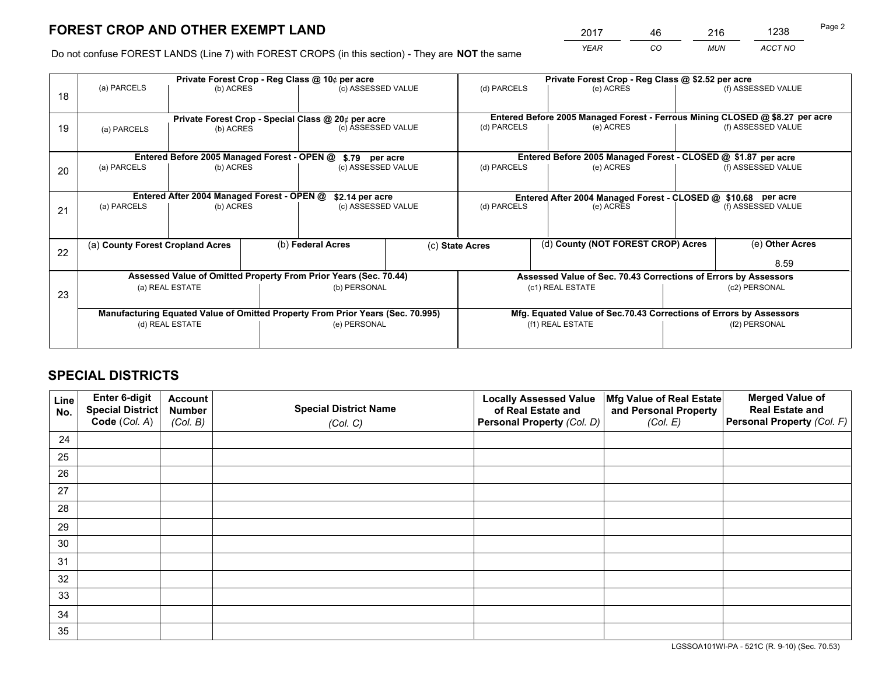*YEAR CO MUN ACCT NO* <sup>2017</sup> <sup>46</sup> <sup>216</sup> <sup>1238</sup>

Do not confuse FOREST LANDS (Line 7) with FOREST CROPS (in this section) - They are **NOT** the same

|    |                                                                                |                                                                  |  | Private Forest Crop - Reg Class @ 10¢ per acre |              |                                                                              | Private Forest Crop - Reg Class @ \$2.52 per acre |                    |                    |  |
|----|--------------------------------------------------------------------------------|------------------------------------------------------------------|--|------------------------------------------------|--------------|------------------------------------------------------------------------------|---------------------------------------------------|--------------------|--------------------|--|
| 18 | (a) PARCELS                                                                    | (b) ACRES                                                        |  | (c) ASSESSED VALUE                             |              | (d) PARCELS                                                                  | (e) ACRES                                         |                    | (f) ASSESSED VALUE |  |
|    |                                                                                |                                                                  |  |                                                |              | Entered Before 2005 Managed Forest - Ferrous Mining CLOSED @ \$8.27 per acre |                                                   |                    |                    |  |
| 19 | (a) PARCELS                                                                    | Private Forest Crop - Special Class @ 20¢ per acre<br>(b) ACRES  |  | (c) ASSESSED VALUE                             |              | (d) PARCELS                                                                  | (e) ACRES                                         |                    | (f) ASSESSED VALUE |  |
|    |                                                                                | Entered Before 2005 Managed Forest - OPEN @                      |  |                                                |              | Entered Before 2005 Managed Forest - CLOSED @ \$1.87 per acre                |                                                   |                    |                    |  |
| 20 | (a) PARCELS<br>(b) ACRES                                                       |                                                                  |  | \$.79 per acre<br>(c) ASSESSED VALUE           |              | (d) PARCELS<br>(e) ACRES                                                     |                                                   | (f) ASSESSED VALUE |                    |  |
|    |                                                                                | Entered After 2004 Managed Forest - OPEN @                       |  | \$2.14 per acre                                |              | Entered After 2004 Managed Forest - CLOSED @ \$10.68 per acre                |                                                   |                    |                    |  |
| 21 | (a) PARCELS<br>(b) ACRES                                                       |                                                                  |  | (c) ASSESSED VALUE                             |              | (d) PARCELS<br>(e) ACRES                                                     |                                                   |                    | (f) ASSESSED VALUE |  |
|    | (a) County Forest Cropland Acres                                               |                                                                  |  | (b) Federal Acres                              |              | (d) County (NOT FOREST CROP) Acres<br>(c) State Acres                        |                                                   |                    | (e) Other Acres    |  |
| 22 |                                                                                |                                                                  |  |                                                |              |                                                                              |                                                   |                    | 8.59               |  |
|    |                                                                                | Assessed Value of Omitted Property From Prior Years (Sec. 70.44) |  |                                                |              | Assessed Value of Sec. 70.43 Corrections of Errors by Assessors              |                                                   |                    |                    |  |
| 23 |                                                                                | (a) REAL ESTATE                                                  |  |                                                | (b) PERSONAL |                                                                              | (c1) REAL ESTATE                                  |                    | (c2) PERSONAL      |  |
|    | Manufacturing Equated Value of Omitted Property From Prior Years (Sec. 70.995) |                                                                  |  |                                                |              | Mfg. Equated Value of Sec.70.43 Corrections of Errors by Assessors           |                                                   |                    |                    |  |
|    | (d) REAL ESTATE                                                                |                                                                  |  | (e) PERSONAL                                   |              | (f1) REAL ESTATE                                                             |                                                   |                    | (f2) PERSONAL      |  |
|    |                                                                                |                                                                  |  |                                                |              |                                                                              |                                                   |                    |                    |  |

## **SPECIAL DISTRICTS**

| Line<br>No. | Enter 6-digit<br>Special District<br>Code (Col. A) | <b>Account</b><br><b>Number</b> | <b>Special District Name</b> | <b>Locally Assessed Value</b><br>of Real Estate and | Mfg Value of Real Estate<br>and Personal Property | <b>Merged Value of</b><br><b>Real Estate and</b><br>Personal Property (Col. F) |
|-------------|----------------------------------------------------|---------------------------------|------------------------------|-----------------------------------------------------|---------------------------------------------------|--------------------------------------------------------------------------------|
|             |                                                    | (Col. B)                        | (Col. C)                     | Personal Property (Col. D)                          | (Col. E)                                          |                                                                                |
| 24          |                                                    |                                 |                              |                                                     |                                                   |                                                                                |
| 25          |                                                    |                                 |                              |                                                     |                                                   |                                                                                |
| 26          |                                                    |                                 |                              |                                                     |                                                   |                                                                                |
| 27          |                                                    |                                 |                              |                                                     |                                                   |                                                                                |
| 28          |                                                    |                                 |                              |                                                     |                                                   |                                                                                |
| 29          |                                                    |                                 |                              |                                                     |                                                   |                                                                                |
| 30          |                                                    |                                 |                              |                                                     |                                                   |                                                                                |
| 31          |                                                    |                                 |                              |                                                     |                                                   |                                                                                |
| 32          |                                                    |                                 |                              |                                                     |                                                   |                                                                                |
| 33          |                                                    |                                 |                              |                                                     |                                                   |                                                                                |
| 34          |                                                    |                                 |                              |                                                     |                                                   |                                                                                |
| 35          |                                                    |                                 |                              |                                                     |                                                   |                                                                                |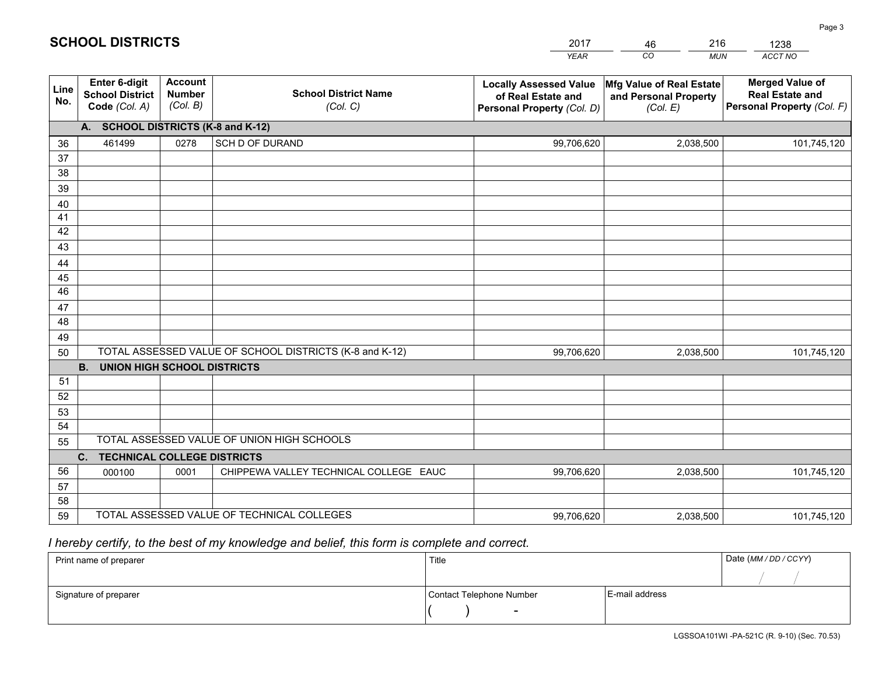|             |                                                                 |                                             |                                                         | <b>YEAR</b>                                                                       | CO<br><b>MUN</b>                                              | ACCT NO                                                                        |  |  |
|-------------|-----------------------------------------------------------------|---------------------------------------------|---------------------------------------------------------|-----------------------------------------------------------------------------------|---------------------------------------------------------------|--------------------------------------------------------------------------------|--|--|
| Line<br>No. | <b>Enter 6-digit</b><br><b>School District</b><br>Code (Col. A) | <b>Account</b><br><b>Number</b><br>(Col. B) | <b>School District Name</b><br>(Col. C)                 | <b>Locally Assessed Value</b><br>of Real Estate and<br>Personal Property (Col. D) | Mfg Value of Real Estate<br>and Personal Property<br>(Col. E) | <b>Merged Value of</b><br><b>Real Estate and</b><br>Personal Property (Col. F) |  |  |
|             | A. SCHOOL DISTRICTS (K-8 and K-12)                              |                                             |                                                         |                                                                                   |                                                               |                                                                                |  |  |
| 36          | 461499                                                          | 0278                                        | SCH D OF DURAND                                         | 99,706,620                                                                        | 2,038,500                                                     | 101,745,120                                                                    |  |  |
| 37          |                                                                 |                                             |                                                         |                                                                                   |                                                               |                                                                                |  |  |
| 38          |                                                                 |                                             |                                                         |                                                                                   |                                                               |                                                                                |  |  |
| 39          |                                                                 |                                             |                                                         |                                                                                   |                                                               |                                                                                |  |  |
| 40          |                                                                 |                                             |                                                         |                                                                                   |                                                               |                                                                                |  |  |
| 41<br>42    |                                                                 |                                             |                                                         |                                                                                   |                                                               |                                                                                |  |  |
| 43          |                                                                 |                                             |                                                         |                                                                                   |                                                               |                                                                                |  |  |
|             |                                                                 |                                             |                                                         |                                                                                   |                                                               |                                                                                |  |  |
| 44<br>45    |                                                                 |                                             |                                                         |                                                                                   |                                                               |                                                                                |  |  |
| 46          |                                                                 |                                             |                                                         |                                                                                   |                                                               |                                                                                |  |  |
| 47          |                                                                 |                                             |                                                         |                                                                                   |                                                               |                                                                                |  |  |
| 48          |                                                                 |                                             |                                                         |                                                                                   |                                                               |                                                                                |  |  |
| 49          |                                                                 |                                             |                                                         |                                                                                   |                                                               |                                                                                |  |  |
| 50          |                                                                 |                                             | TOTAL ASSESSED VALUE OF SCHOOL DISTRICTS (K-8 and K-12) | 99,706,620                                                                        | 2,038,500                                                     | 101,745,120                                                                    |  |  |
|             | <b>B.</b><br>UNION HIGH SCHOOL DISTRICTS                        |                                             |                                                         |                                                                                   |                                                               |                                                                                |  |  |
| 51          |                                                                 |                                             |                                                         |                                                                                   |                                                               |                                                                                |  |  |
| 52          |                                                                 |                                             |                                                         |                                                                                   |                                                               |                                                                                |  |  |
| 53          |                                                                 |                                             |                                                         |                                                                                   |                                                               |                                                                                |  |  |
| 54          |                                                                 |                                             |                                                         |                                                                                   |                                                               |                                                                                |  |  |
| 55          | TOTAL ASSESSED VALUE OF UNION HIGH SCHOOLS                      |                                             |                                                         |                                                                                   |                                                               |                                                                                |  |  |
|             | C.<br><b>TECHNICAL COLLEGE DISTRICTS</b>                        |                                             |                                                         |                                                                                   |                                                               |                                                                                |  |  |
| 56          | 000100                                                          | 0001                                        | CHIPPEWA VALLEY TECHNICAL COLLEGE EAUC                  | 99,706,620                                                                        | 2,038,500                                                     | 101,745,120                                                                    |  |  |
| 57<br>58    |                                                                 |                                             |                                                         |                                                                                   |                                                               |                                                                                |  |  |
| 59          |                                                                 |                                             | TOTAL ASSESSED VALUE OF TECHNICAL COLLEGES              | 99,706,620                                                                        | 2,038,500                                                     | 101,745,120                                                                    |  |  |
|             |                                                                 |                                             |                                                         |                                                                                   |                                                               |                                                                                |  |  |

46

216

 *I hereby certify, to the best of my knowledge and belief, this form is complete and correct.*

**SCHOOL DISTRICTS**

| Print name of preparer | Title                    |                | Date (MM / DD / CCYY) |
|------------------------|--------------------------|----------------|-----------------------|
|                        |                          |                |                       |
| Signature of preparer  | Contact Telephone Number | E-mail address |                       |
|                        | $\overline{\phantom{0}}$ |                |                       |